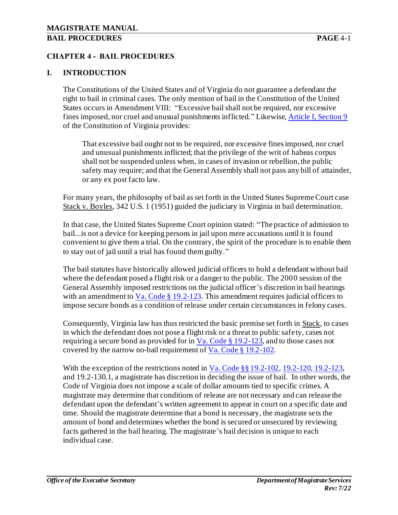### **CHAPTER 4 - BAIL PROCEDURES**

### **I. INTRODUCTION**

The Constitutions of the United States and of Virginia do not guarantee a defendant the right to bail in criminal cases. The only mention of bail in the Constitution of the United States occurs in Amendment VIII: "Excessive bail shall not be required, nor excessive fines imposed, nor cruel and unusual punishments inflicted." Likewise[, Article I, Section 9](http://law.lis.virginia.gov/constitution/article1/section9) of the Constitution of Virginia provides:

That excessive bail ought not to be required, nor excessive fines imposed, nor cruel and unusual punishments inflicted; that the privilege of the writ of habeas corpus shall not be suspended unless when, in cases of invasion or rebellion, the public safety may require; and that the General Assembly shall not pass any bill of attainder, or any ex post facto law.

For many years, the philosophy of bail as set forth in the United States Supreme Court case Stack v. Boyles, 342 U.S. 1 (1951) guided the judiciary in Virginia in bail determination.

In that case, the United States Supreme Court opinion stated: "The practice of admission to bail...is not a device for keeping persons in jail upon mere accusations until it is found convenient to give them a trial. On the contrary, the spirit of the procedure is to enable them to stay out of jail until a trial has found them guilty."

The bail statutes have historically allowed judicial officers to hold a defendant without bail where the defendant posed a flight risk or a danger to the public. The 2000 session of the General Assembly imposed restrictions on the judicial officer's discretion in bail hearings with an amendment to  $Va$ . Code § 19.2-123. This amendment requires judicial officers to</u> impose secure bonds as a condition of release under certain circumstances in felony cases.

Consequently, Virginia law has thus restricted the basic premise set forth in Stack, to cases in which the defendant does not pose a flight risk or a threat to public safety, cases not requiring a secure bond as provided for in  $Va$ . Code § 19.2-123, and to those cases not</u> covered by the narrow no-bail requirement of Va. Code § 19.2-102.

With the exception of the restrictions noted in Va. Code §§ 19.2-102, 19.2-120, 19.2-123, and 19.2-130.1, a magistrate has discretion in deciding the issue of bail. In other words, the Code of Virginia does not impose a scale of dollar amounts tied to specific crimes. A magistrate may determine that conditions of release are not necessary and can release the defendant upon the defendant's written agreement to appear in court on a specific date and time. Should the magistrate determine that a bond is necessary, the magistrate sets the amount of bond and determines whether the bond is secured or unsecured by reviewing facts gathered in the bail hearing. The magistrate's bail decision is unique to each individual case.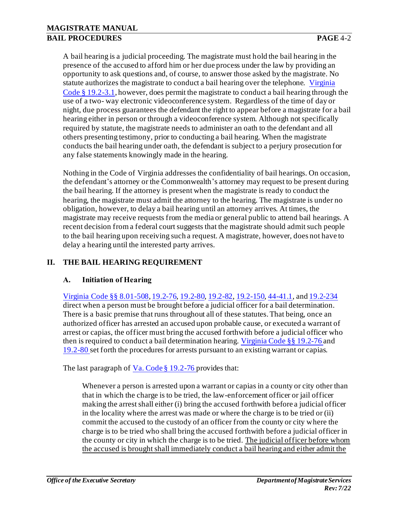A bail hearing is a judicial proceeding. The magistrate must hold the bail hearing in the presence of the accused to afford him or her due process under the law by providing an opportunity to ask questions and, of course, to answer those asked by the magistrate. No statute authorizes the magistrate to conduct a bail hearing over the telephone. Virginia Code § 19.2-3.1, however, does permit the magistrate to conduct a bail hearing through the use of a two- way electronic videoconference system. Regardless of the time of day or night, due process guarantees the defendant the right to appear before a magistrate for a bail hearing either in person or through a videoconference system. Although not specifically required by statute, the magistrate needs to administer an oath to the defendant and all others presenting testimony, prior to conducting a bail hearing. When the magistrate conducts the bail hearing under oath, the defendant is subject to a perjury prosecution for any false statements knowingly made in the hearing.

Nothing in the Code of Virginia addresses the confidentiality of bail hearings. On occasion, the defendant's attorney or the Commonwealth's attorney may request to be present during the bail hearing. If the attorney is present when the magistrate is ready to conduct the hearing, the magistrate must admit the attorney to the hearing. The magistrate is under no obligation, however, to delay a bail hearing until an attorney arrives. At times, the magistrate may receive requests from the media or general public to attend bail hearings. A recent decision from a federal court suggests that the magistrate should admit such people to the bail hearing upon receiving such a request. A magistrate, however, does not have to delay a hearing until the interested party arrives.

## **II. THE BAIL HEARING REQUIREMENT**

## **A. Initiation of Hearing**

Virginia Code §§ 8.01-508, 19.2-76, 19.2-80, 19.2-82, 19.2-150, 44-41.1, and 19.2-234 direct when a person must be brought before a judicial officer for a bail determination. There is a basic premise that runs throughout all of these statutes. That being, once an authorized officer has arrested an accused upon probable cause, or executed a warrant of arrest or capias, the officer must bring the accused forthwith before a judicial officer who then is required to conduct a bail determination hearing. Virginia Code §§ 19.2-76 and 19.2-80 set forth the procedures for arrests pursuant to an existing warrant or capias.

The last paragraph of Va. Code § 19.2-76 provides that:

Whenever a person is arrested upon a warrant or capias in a county or city other than that in which the charge is to be tried, the law-enforcement officer or jail officer making the arrest shall either (i) bring the accused forthwith before a judicial officer in the locality where the arrest was made or where the charge is to be tried or (ii) commit the accused to the custody of an officer from the county or city where the charge is to be tried who shall bring the accused forthwith before a judicial officer in the county or city in which the charge is to be tried. The judicial officer before whom the accused is brought shall immediately conduct a bail hearing and either admit the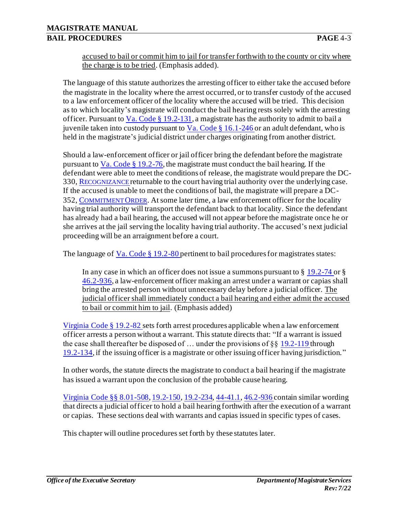accused to bail or commit him to jail for transfer forthwith to the county or city where the charge is to be tried. (Emphasis added).

The language of this statute authorizes the arresting officer to either take the accused before the magistrate in the locality where the arrest occurred, or to transfer custody of the accused to a law enforcement officer of the locality where the accused will be tried. This decision as to which locality's magistrate will conduct the bail hearing rests solely with the arresting officer. Pursuant to Va. Code  $\S 19.2-131$ , a magistrate has the authority to admit to bail a juvenile taken into custody pursuant to Va. Code § 16.1-246 or an adult defendant, who is held in the magistrate's judicial district under charges originating from another district.

Should a law-enforcement officer or jail officer bring the defendant before the magistrate pursuant to  $Va$ . Code  $\S 19.2$ -76, the magistrate must conduct the bail hearing. If the</u> defendant were able to meet the conditions of release, the magistrate would prepare the DC-330, R[ECOGNIZANCE](http://oesinet/forms/dcmasters/300s.pdf) returnable to the court having trial authority over the underlying case. If the accused is unable to meet the conditions of bail, the magistrate will prepare a DC-352, C[OMMITMENT](http://oesinet/forms/dcmasters/300s.pdf) ORDER. At some later time, a law enforcement officer for the locality having trial authority will transport the defendant back to that locality. Since the defendant has already had a bail hearing, the accused will not appear before the magistrate once he or she arrives at the jail serving the locality having trial authority. The accused's next judicial proceeding will be an arraignment before a court.

The language of  $Va$ . Code § 19.2-80 pertinent to bail procedures for magistrates states:</u>

In any case in which an officer does not issue a summons pursuant to § 19.2-74 or § 46.2-936, a law-enforcement officer making an arrest under a warrant or capias shall bring the arrested person without unnecessary delay before a judicial officer. The judicial officer shall immediately conduct a bail hearing and either admit the accused to bail or commit him to jail. (Emphasis added)

Virginia Code § 19.2-82 sets forth arrest procedures applicable when a law enforcement officer arrests a person without a warrant. This statute directs that: "If a warrant is issued the case shall thereafter be disposed of ... under the provisions of  $\S$ § 19.2-119 through 19.2-134, if the issuing officer is a magistrate or other issuing officer having jurisdiction."

In other words, the statute directs the magistrate to conduct a bail hearing if the magistrate has issued a warrant upon the conclusion of the probable cause hearing.

Virginia Code §§ 8.01-508, 19.2-150, 19.2-234, 44-41.1, 46.2-936 contain similar wording that directs a judicial officer to hold a bail hearing forthwith after the execution of a warrant or capias. These sections deal with warrants and capias issued in specific types of cases.

This chapter will outline procedures set forth by these statutes later.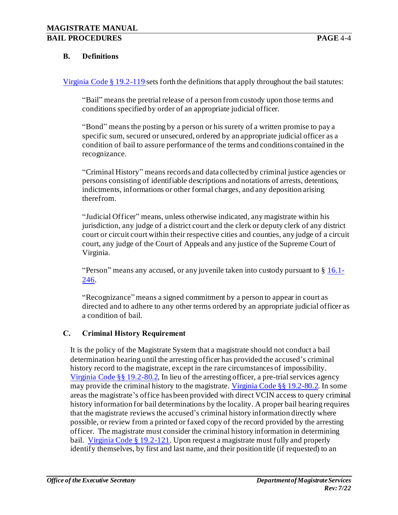### **B. Definitions**

Virginia Code § 19.2-119 sets forth the definitions that apply throughout the bail statutes:

"Bail" means the pretrial release of a person from custody upon those terms and conditions specified by order of an appropriate judicial officer.

"Bond" means the posting by a person or his surety of a written promise to pay a specific sum, secured or unsecured, ordered by an appropriate judicial officer as a condition of bail to assure performance of the terms and conditions contained in the recognizance.

"Criminal History" means records and data collected by criminal justice agencies or persons consisting of identifiable descriptions and notations of arrests, detentions, indictments, informations or other formal charges, and any deposition arising therefrom.

"Judicial Officer" means, unless otherwise indicated, any magistrate within his jurisdiction, any judge of a district court and the clerk or deputy clerk of any district court or circuit court within their respective cities and counties, any judge of a circuit court, any judge of the Court of Appeals and any justice of the Supreme Court of Virginia.

"Person" means any accused, or any juvenile taken into custody pursuant to § 16.1- 246.

"Recognizance" means a signed commitment by a person to appear in court as directed and to adhere to any other terms ordered by an appropriate judicial officer as a condition of bail.

#### **C. Criminal History Requirement**

It is the policy of the Magistrate System that a magistrate should not conduct a bail determination hearing until the arresting officer has provided the accused's criminal history record to the magistrate, except in the rare circumstances of impossibility. [Virginia Code §§ 19.2-80.2,](https://law.lis.virginia.gov/vacode/19.2-80.2) In lieu of the arresting officer, a pre-trial services agency may provide the criminal history to the magistrate[. Virginia Code §§ 19.2-80.2.](https://law.lis.virginia.gov/vacode/19.2-80.2) In some areas the magistrate's office has been provided with direct VCIN access to query criminal history information for bail determinations by the locality. A proper bail hearing requires that the magistrate reviews the accused's criminal history information directly where possible, or review from a printed or faxed copy of the record provided by the arresting officer. The magistrate must consider the criminal history information in determining bail. [Virginia Code § 19.2-121](https://law.lis.virginia.gov/vacode/19.2-121). Upon request a magistrate must fully and properly identify themselves, by first and last name, and their position title (if requested) to an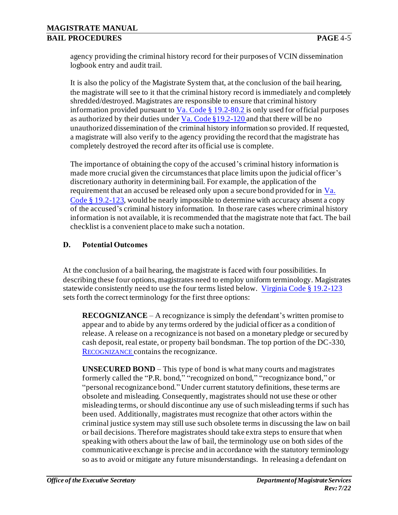agency providing the criminal history record for their purposes of VCIN dissemination logbook entry and audit trail.

It is also the policy of the Magistrate System that, at the conclusion of the bail hearing, the magistrate will see to it that the criminal history record is immediately and completely shredded/destroyed. Magistrates are responsible to ensure that criminal history information provided pursuant to Va. Code  $\S 19.2 - 80.2$  is only used for official purposes as authorized by their duties under  $Va$ . Code §19.2-120 and that there will be no</u> unauthorized dissemination of the criminal history information so provided. If requested, a magistrate will also verify to the agency providing the record that the magistrate has completely destroyed the record after its official use is complete.

The importance of obtaining the copy of the accused's criminal history information is made more crucial given the circumstances that place limits upon the judicial officer's discretionary authority in determining bail. For example, the application of the requirement that an accused be released only upon a secure bond provided for in  $Va$ . Code § 19.2-123, would be nearly impossible to determine with accuracy absent a copy of the accused's criminal history information. In those rare cases where criminal history information is not available, it is recommended that the magistrate note that fact. The bail checklist is a convenient place to make such a notation.

## **D. Potential Outcomes**

At the conclusion of a bail hearing, the magistrate is faced with four possibilities. In describing these four options, magistrates need to employ uniform terminology. Magistrates statewide consistently need to use the four terms listed below. Virginia Code § 19.2-123 sets forth the correct terminology for the first three options:

**RECOGNIZANCE** – A recognizance is simply the defendant's written promise to appear and to abide by any terms ordered by the judicial officer as a condition of release. A release on a recognizance is not based on a monetary pledge or secured by cash deposit, real estate, or property bail bondsman. The top portion of the DC-330, R[ECOGNIZANCE](http://oesinet/forms/dcmasters/300s.pdf) contains the recognizance.

**UNSECURED BOND** – This type of bond is what many courts and magistrates formerly called the "P.R. bond," "recognized on bond," "recognizance bond," or "personal recognizance bond." Under current statutory definitions, these terms are obsolete and misleading. Consequently, magistrates should not use these or other misleading terms, or should discontinue any use of such misleading terms if such has been used. Additionally, magistrates must recognize that other actors within the criminal justice system may still use such obsolete terms in discussing the law on bail or bail decisions. Therefore magistrates should take extra steps to ensure that when speaking with others about the law of bail, the terminology use on both sides of the communicative exchange is precise and in accordance with the statutory terminology so as to avoid or mitigate any future misunderstandings. In releasing a defendant on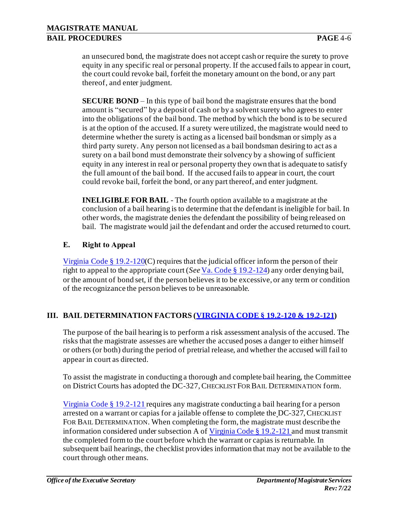an unsecured bond, the magistrate does not accept cash or require the surety to prove equity in any specific real or personal property. If the accused fails to appear in court, the court could revoke bail, forfeit the monetary amount on the bond, or any part thereof, and enter judgment.

**SECURE BOND** – In this type of bail bond the magistrate ensures that the bond amount is "secured" by a deposit of cash or by a solvent surety who agrees to enter into the obligations of the bail bond. The method by which the bond is to be secured is at the option of the accused. If a surety were utilized, the magistrate would need to determine whether the surety is acting as a licensed bail bondsman or simply as a third party surety. Any person not licensed as a bail bondsman desiring to act as a surety on a bail bond must demonstrate their solvency by a showing of sufficient equity in any interest in real or personal property they own that is adequate to satisfy the full amount of the bail bond. If the accused fails to appear in court, the court could revoke bail, forfeit the bond, or any part thereof, and enter judgment.

**INELIGIBLE FOR BAIL** - The fourth option available to a magistrate at the conclusion of a bail hearing is to determine that the defendant is ineligible for bail. In other words, the magistrate denies the defendant the possibility of being released on bail. The magistrate would jail the defendant and order the accused returned to court.

### **E. Right to Appeal**

Virginia Code § 19.2-120(C) requires that the judicial officer inform the person of their right to appeal to the appropriate court (*See* Va. Code § 19.2-124) any order denying bail, or the amount of bond set, if the person believes it to be excessive, or any term or condition of the recognizance the person believes to be unreasonable.

## **III. BAIL DETERMINATION FACTORS (VIRGINIA CODE § 19.2-120 & 19.2-121)**

The purpose of the bail hearing is to perform a risk assessment analysis of the accused. The risks that the magistrate assesses are whether the accused poses a danger to either himself or others (or both) during the period of pretrial release, and whether the accused will fail to appear in court as directed.

To assist the magistrate in conducting a thorough and complete bail hearing, the Committee on District Courts has adopted the DC-327, CHECKLIST FOR BAIL DETERMINATION form.

Virginia Code § 19.2-121 requires any magistrate conducting a bail hearing for a person arrested on a warrant or capias for a jailable offense to complete the DC-327,CHECKLIST FOR BAIL DETERMINATION. When completing the form, the magistrate must describe the information considered under subsection A of Virginia Code § 19.2-121 and must transmit the completed form to the court before which the warrant or capias is returnable. In subsequent bail hearings, the checklist provides information that may not be available to the court through other means.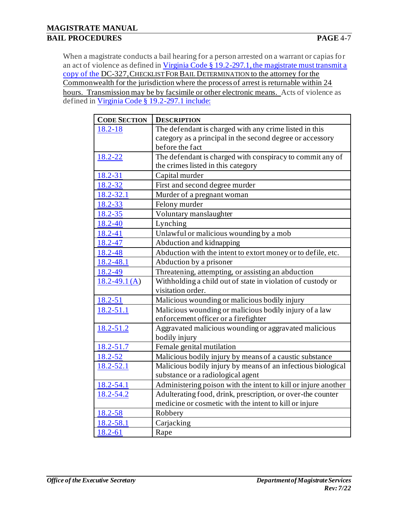When a magistrate conducts a bail hearing for a person arrested on a warrant or capias for an act of violence as defined in Virginia Code § 19.2-297.1, the magistrate must transmit a copy of the DC-327,CHECKLIST FOR BAIL DETERMINATION to the attorney for the Commonwealth for the jurisdiction where the process of arrest is returnable within 24 hours. Transmission may be by facsimile or other electronic means. Acts of violence as defined in Virginia Code § 19.2-297.1 include:

| <b>CODE SECTION</b> | <b>DESCRIPTION</b>                                             |
|---------------------|----------------------------------------------------------------|
| 18.2-18             | The defendant is charged with any crime listed in this         |
|                     | category as a principal in the second degree or accessory      |
|                     | before the fact                                                |
| 18.2-22             | The defendant is charged with conspiracy to commit any of      |
|                     | the crimes listed in this category                             |
| 18.2-31             | Capital murder                                                 |
| 18.2-32             | First and second degree murder                                 |
| $18.2 - 32.1$       | Murder of a pregnant woman                                     |
| 18.2-33             | Felony murder                                                  |
| 18.2-35             | Voluntary manslaughter                                         |
| $18.2 - 40$         | Lynching                                                       |
| 18.2-41             | Unlawful or malicious wounding by a mob                        |
| 18.2-47             | Abduction and kidnapping                                       |
| 18.2-48             | Abduction with the intent to extort money or to defile, etc.   |
| 18.2-48.1           | Abduction by a prisoner                                        |
| 18.2-49             | Threatening, attempting, or assisting an abduction             |
| $18.2 - 49.1(A)$    | Withholding a child out of state in violation of custody or    |
|                     | visitation order.                                              |
| 18.2-51             | Malicious wounding or malicious bodily injury                  |
| 18.2-51.1           | Malicious wounding or malicious bodily injury of a law         |
|                     | enforcement officer or a firefighter                           |
| 18.2-51.2           | Aggravated malicious wounding or aggravated malicious          |
|                     | bodily injury                                                  |
| $18.2 - 51.7$       | Female genital mutilation                                      |
| 18.2-52             | Malicious bodily injury by means of a caustic substance        |
| $18.2 - 52.1$       | Malicious bodily injury by means of an infectious biological   |
|                     | substance or a radiological agent                              |
| 18.2-54.1           | Administering poison with the intent to kill or injure another |
| 18.2-54.2           | Adulterating food, drink, prescription, or over-the counter    |
|                     | medicine or cosmetic with the intent to kill or injure         |
| 18.2-58             | Robbery                                                        |
| 18.2-58.1           | Carjacking                                                     |
| 18.2-61             | Rape                                                           |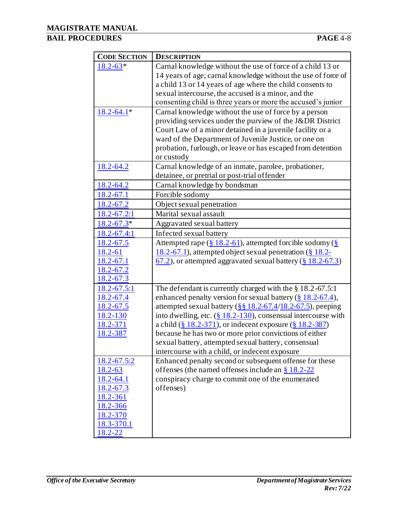### **BAIL PROCEDURES PAGE** 4-8

| <b>CODE SECTION</b>   | <b>DESCRIPTION</b>                                                                |
|-----------------------|-----------------------------------------------------------------------------------|
| $18.2 - 63*$          | Carnal knowledge without the use of force of a child 13 or                        |
|                       | 14 years of age; carnal knowledge without the use of force of                     |
|                       | a child 13 or 14 years of age where the child consents to                         |
|                       | sexual intercourse, the accused is a minor, and the                               |
|                       | consenting child is three years or more the accused's junior                      |
| $18.2 - 64.1*$        | Carnal knowledge without the use of force by a person                             |
|                       | providing services under the purview of the J&DR District                         |
|                       | Court Law of a minor detained in a juvenile facility or a                         |
|                       | ward of the Department of Juvenile Justice, or one on                             |
|                       | probation, furlough, or leave or has escaped from detention                       |
|                       | or custody                                                                        |
| $18.2 - 64.2$         | Carnal knowledge of an inmate, parolee, probationer,                              |
|                       | detainee, or pretrial or post-trial of fender                                     |
| $18.2 - 64.2$         | Carnal knowledge by bondsman                                                      |
| 18.2-67.1             | Forcible sodomy                                                                   |
| 18.2-67.2             | Object sexual penetration                                                         |
| 18.2-67.2:1           | Marital sexual assault                                                            |
| $18.2 - 67.3*$        | Aggravated sexual battery                                                         |
| 18.2-67.4:1           | Infected sexual battery                                                           |
| 18.2-67.5             | Attempted rape $(\frac{8}{2}18.2-61)$ , attempted forcible sodomy $(\frac{8}{2})$ |
| 18.2-61               | 18.2-67.1), attempted object sexual penetration $(\S 18.2 -$                      |
| $18.2 - 67.1$         | $(67.2)$ , or attempted aggravated sexual battery ( $§$ 18.2-67.3)                |
| <u>18.2-67.2</u>      |                                                                                   |
| 18.2-67.3             |                                                                                   |
| $18.2 - 67.5:1$       | The defendant is currently charged with the $\S 18.2-67.5:1$                      |
| $18.2 - 67.4$         | enhanced penalty version for sexual battery $(\frac{8}{9}18.2-67.4)$ ,            |
| 18.2-67.5             | attempted sexual battery $(\frac{88}{18.2} - 67.4/18.2 - 67.5)$ , peeping         |
| 18.2-130              | into dwelling, etc. $(\frac{8}{9}18.2-130)$ , consensual intercourse with         |
| 18.2-371              | a child $(\frac{8}{9}18.2-371)$ , or indecent exposure $(\frac{8}{9}18.2-387)$    |
| 18.2-387              | because he has two or more prior convictions of either                            |
|                       | sexual battery, attempted sexual battery, consensual                              |
|                       | intercourse with a child, or indecent exposure                                    |
| $18.2 - 67.5:2$       | Enhanced penalty second or subsequent offense for these                           |
| $18.2 - 63$           | offenses (the named offenses include an $\S 18.2 - 22$                            |
| 18.2-64.1             | conspiracy charge to commit one of the enumerated                                 |
| 18.2-67.3             | offenses)                                                                         |
| 18.2-361              |                                                                                   |
| 18.2-366              |                                                                                   |
| 18.2-370              |                                                                                   |
| 18.3-370.1<br>18.2-22 |                                                                                   |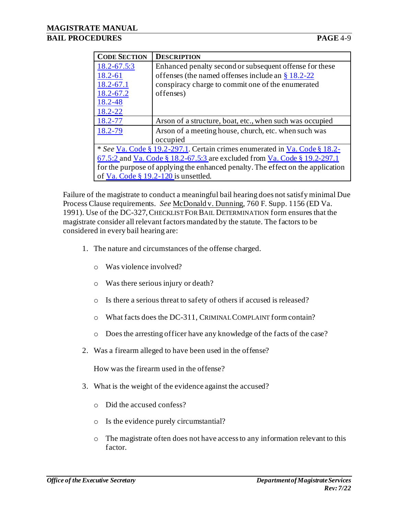| <b>CODE SECTION</b>                                                              | <b>DESCRIPTION</b>                                       |  |
|----------------------------------------------------------------------------------|----------------------------------------------------------|--|
| 18.2-67.5:3                                                                      | Enhanced penalty second or subsequent offense for these  |  |
| 18.2-61                                                                          | offenses (the named offenses include an $\S 18.2 - 22$   |  |
| 18.2-67.1                                                                        | conspiracy charge to commit one of the enumerated        |  |
| 18.2-67.2                                                                        | offenses)                                                |  |
| 18.2-48                                                                          |                                                          |  |
| 18.2-22                                                                          |                                                          |  |
| 18.2-77                                                                          | Arson of a structure, boat, etc., when such was occupied |  |
| 18.2-79                                                                          | Arson of a meeting house, church, etc. when such was     |  |
|                                                                                  | occupied                                                 |  |
| * See Va. Code § 19.2-297.1. Certain crimes enumerated in Va. Code § 18.2-       |                                                          |  |
| <u>67.5:2</u> and Va. Code § 18.2-67.5:3 are excluded from Va. Code § 19.2-297.1 |                                                          |  |
| for the purpose of applying the enhanced penalty. The effect on the application  |                                                          |  |
| of $Va$ . Code § 19.2-120 is unsettled.                                          |                                                          |  |

Failure of the magistrate to conduct a meaningful bail hearing does not satisfy minimal Due Process Clause requirements. *See* McDonald v. Dunning, 760 F. Supp. 1156 (ED Va. 1991). Use of the DC-327,CHECKLIST FOR BAIL DETERMINATION form ensures that the magistrate consider all relevant factors mandated by the statute. The factors to be considered in every bail hearing are:

- 1. The nature and circumstances of the offense charged.
	- o Was violence involved?
	- o Was there serious injury or death?
	- o Is there a serious threat to safety of others if accused is released?
	- o What facts does the DC-311, CRIMINAL COMPLAINT form contain?
	- o Does the arresting officer have any knowledge of the facts of the case?
- 2. Was a firearm alleged to have been used in the offense?

How was the firearm used in the offense?

- 3. What is the weight of the evidence against the accused?
	- o Did the accused confess?
	- o Is the evidence purely circumstantial?
	- o The magistrate often does not have access to any information relevant to this factor.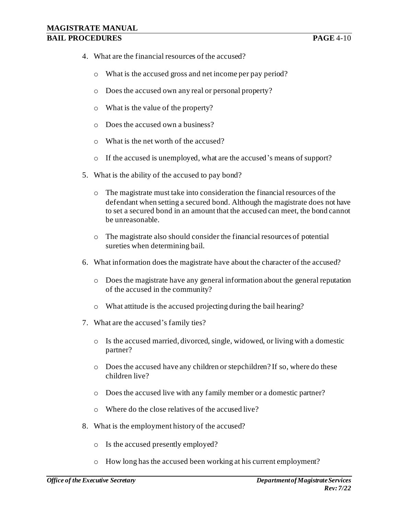- 4. What are the financial resources of the accused?
	- o What is the accused gross and net income per pay period?
	- o Does the accused own any real or personal property?
	- o What is the value of the property?
	- o Does the accused own a business?
	- o What is the net worth of the accused?
	- o If the accused is unemployed, what are the accused's means of support?
- 5. What is the ability of the accused to pay bond?
	- o The magistrate must take into consideration the financial resources of the defendant when setting a secured bond. Although the magistrate does not have to set a secured bond in an amount that the accused can meet, the bond cannot be unreasonable.
	- o The magistrate also should consider the financial resources of potential sureties when determining bail.
- 6. What information does the magistrate have about the character of the accused?
	- o Does the magistrate have any general information about the general reputation of the accused in the community?
	- o What attitude is the accused projecting during the bail hearing?
- 7. What are the accused's family ties?
	- o Is the accused married, divorced, single, widowed, or living with a domestic partner?
	- o Does the accused have any children or stepchildren? If so, where do these children live?
	- o Does the accused live with any family member or a domestic partner?
	- o Where do the close relatives of the accused live?
- 8. What is the employment history of the accused?
	- o Is the accused presently employed?
	- o How long has the accused been working at his current employment?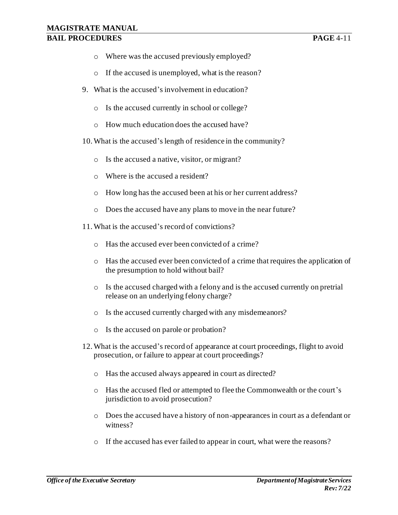### **MAGISTRATE MANUAL BAIL PROCEDURES PAGE** 4-11

- o Where was the accused previously employed?
- o If the accused is unemployed, what is the reason?
- 9. What is the accused's involvement in education?
	- o Is the accused currently in school or college?
	- o How much education does the accused have?
- 10.What is the accused's length of residence in the community?
	- o Is the accused a native, visitor, or migrant?
	- o Where is the accused a resident?
	- o How long has the accused been at his or her current address?
	- o Does the accused have any plans to move in the near future?
- 11.What is the accused's record of convictions?
	- o Has the accused ever been convicted of a crime?
	- o Has the accused ever been convicted of a crime that requires the application of the presumption to hold without bail?
	- o Is the accused charged with a felony and is the accused currently on pretrial release on an underlying felony charge?
	- o Is the accused currently charged with any misdemeanors?
	- o Is the accused on parole or probation?
- 12.What is the accused's record of appearance at court proceedings, flight to avoid prosecution, or failure to appear at court proceedings?
	- o Has the accused always appeared in court as directed?
	- o Has the accused fled or attempted to flee the Commonwealth or the court's jurisdiction to avoid prosecution?
	- o Does the accused have a history of non-appearances in court as a defendant or witness?
	- o If the accused has ever failed to appear in court, what were the reasons?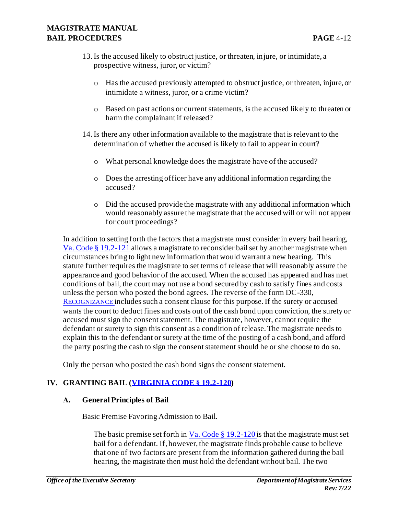- 13.Is the accused likely to obstruct justice, or threaten, injure, or intimidate, a prospective witness, juror, or victim?
	- o Has the accused previously attempted to obstruct justice, or threaten, injure, or intimidate a witness, juror, or a crime victim?
	- o Based on past actions or current statements, is the accused likely to threaten or harm the complainant if released?
- 14.Is there any other information available to the magistrate that is relevant to the determination of whether the accused is likely to fail to appear in court?
	- o What personal knowledge does the magistrate have of the accused?
	- o Does the arresting officer have any additional information regarding the accused?
	- o Did the accused provide the magistrate with any additional information which would reasonably assure the magistrate that the accused will or will not appear for court proceedings?

In addition to setting forth the factors that a magistrate must consider in every bail hearing, Va. Code § 19.2-121 allows a magistrate to reconsider bail set by another magistrate when circumstances bring to light new information that would warrant a new hearing. This statute further requires the magistrate to set terms of release that will reasonably assure the appearance and good behavior of the accused. When the accused has appeared and has met conditions of bail, the court may not use a bond secured by cash to satisfy fines and costs unless the person who posted the bond agrees. The reverse of the form DC-330, R[ECOGNIZANCE](http://oesinet/forms/dcmasters/300s.pdf) includes such a consent clause for this purpose. If the surety or accused wants the court to deduct fines and costs out of the cash bond upon conviction, the surety or accused must sign the consent statement. The magistrate, however, cannot require the defendant or surety to sign this consent as a condition of release. The magistrate needs to explain this to the defendant or surety at the time of the posting of a cash bond, and afford the party posting the cash to sign the consent statement should he or she choose to do so.

Only the person who posted the cash bond signs the consent statement.

## **IV. GRANTING BAIL (VIRGINIA CODE § 19.2-120)**

#### **A. General Principles of Bail**

Basic Premise Favoring Admission to Bail.

The basic premise set forth in  $Va$ . Code § 19.2-120 is that the magistrate must set</u> bail for a defendant. If, however, the magistrate finds probable cause to believe that one of two factors are present from the information gathered during the bail hearing, the magistrate then must hold the defendant without bail. The two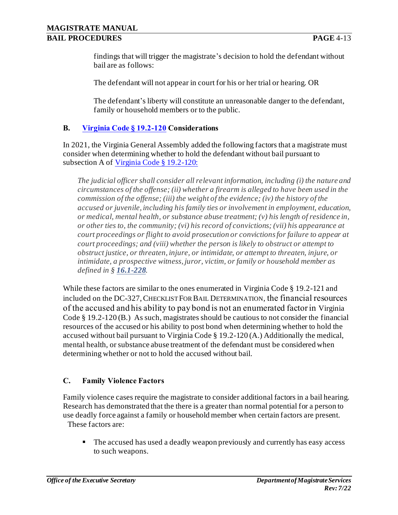findings that will trigger the magistrate's decision to hold the defendant without bail are as follows:

The defendant will not appear in court for his or her trial or hearing. OR

The defendant's liberty will constitute an unreasonable danger to the defendant, family or household members or to the public.

## **B. Virginia Code § 19.2-120 Considerations**

In 2021, the Virginia General Assembly added the following factors that a magistrate must consider when determining whether to hold the defendant without bail pursuant to subsection A of Virginia Code § 19.2-120:

*The judicial officer shall consider all relevant information, including (i) the nature and circumstances of the offense; (ii) whether a firearm is alleged to have been used in the commission of the offense; (iii) the weight of the evidence; (iv) the history of the accused or juvenile, including his family ties or involvement in employment, education, or medical, mental health, or substance abuse treatment; (v) his length of residence in, or other ties to, the community; (vi) his record of convictions; (vii) his appearance at court proceedings or flight to avoid prosecution or convictions for failure to appear at court proceedings; and (viii) whether the person is likely to obstruct or attempt to obstruct justice, or threaten, injure, or intimidate, or attempt to threaten, injure, or intimidate, a prospective witness, juror, victim, or family or household member as defined in § [16.1-228](http://law.lis.virginia.gov/vacode/16.1-228).*

While these factors are similar to the ones enumerated in Virginia Code § 19.2-121 and included on the DC-327, CHECKLIST FOR BAIL DETERMINATION, the financial resources of the accused and his ability to pay bond is not an enumerated factor in Virginia Code § 19.2-120 (B.) As such, magistrates should be cautious to not consider the financial resources of the accused or his ability to post bond when determining whether to hold the accused without bail pursuant to Virginia Code § 19.2-120 (A.) Additionally the medical, mental health, or substance abuse treatment of the defendant must be considered when determining whether or not to hold the accused without bail.

## **C. Family Violence Factors**

Family violence cases require the magistrate to consider additional factors in a bail hearing. Research has demonstrated that the there is a greater than normal potential for a person to use deadly force against a family or household member when certain factors are present. These factors are:

■ The accused has used a deadly weapon previously and currently has easy access to such weapons.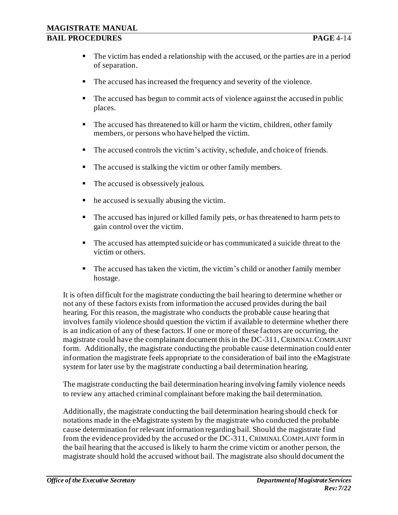- The victim has ended a relationship with the accused, or the parties are in a period of separation.
- The accused has increased the frequency and severity of the violence.
- The accused has begun to commit acts of violence against the accused in public places.
- The accused has threatened to kill or harm the victim, children, other family members, or persons who have helped the victim.
- The accused controls the victim's activity, schedule, and choice of friends.
- The accused is stalking the victim or other family members.
- The accused is obsessively jealous.
- $\blacksquare$  he accused is sexually abusing the victim.
- The accused has injured or killed family pets, or has threatened to harm pets to gain control over the victim.
- The accused has attempted suicide or has communicated a suicide threat to the victim or others.
- The accused has taken the victim, the victim's child or another family member hostage.

It is often difficult for the magistrate conducting the bail hearing to determine whether or not any of these factors exists from information the accused provides during the bail hearing. For this reason, the magistrate who conducts the probable cause hearing that involves family violence should question the victim if available to determine whether there is an indication of any of these factors. If one or more of these factors are occurring, the magistrate could have the complainant document this in the DC-311, CRIMINAL COMPLAINT form. Additionally, the magistrate conducting the probable cause determination could enter information the magistrate feels appropriate to the consideration of bail into the eMagistrate system for later use by the magistrate conducting a bail determination hearing.

The magistrate conducting the bail determination hearing involving family violence needs to review any attached criminal complainant before making the bail determination.

Additionally, the magistrate conducting the bail determination hearing should check for notations made in the eMagistrate system by the magistrate who conducted the probable cause determination for relevant information regarding bail. Should the magistrate find from the evidence provided by the accused or the DC-311, CRIMINAL COMPLAINT form in the bail hearing that the accused is likely to harm the crime victim or another person, the magistrate should hold the accused without bail. The magistrate also should document the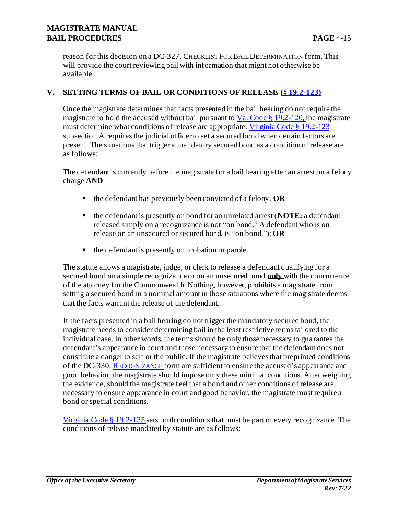reason for this decision on a DC-327, CHECKLIST FOR BAIL DETERMINATION form. This will provide the court reviewing bail with information that might not otherwise be available.

### **V. SETTING TERMS OF BAIL OR CONDITIONS OF RELEASE (§ 19.2-123)**

Once the magistrate determines that facts presented in the bail hearing do not require the magistrate to hold the accused without bail pursuant to  $Va$ . Code § 19.2-120, the magistrate must determine what conditions of release are appropriate. Virginia Code § 19.2-123 subsection A requires the judicial officer to set a secured bond when certain factors are present. The situations that trigger a mandatory secured bond as a condition of release are as follows:

The defendant is currently before the magistrate for a bail hearing after an arrest on a felony charge **AND**

- the defendant has previously been convicted of a felony, **OR**
- the defendant is presently on bond for an unrelated arrest (**NOTE:** a defendant released simply on a recognizance is not "on bond." A defendant who is on release on an unsecured or secured bond, is "on bond."); **OR**
- the defendant is presently on probation or parole.

The statute allows a magistrate, judge, or clerk to release a defendant qualifying for a secured bond on a simple recognizance or on an unsecured bond **only** with the concurrence of the attorney for the Commonwealth. Nothing, however, prohibits a magistrate from setting a secured bond in a nominal amount in those situations where the magistrate deems that the facts warrant the release of the defendant.

If the facts presented in a bail hearing do not trigger the mandatory secured bond, the magistrate needs to consider determining bail in the least restrictive terms tailored to the individual case. In other words, the terms should be only those necessary to guarantee the defendant's appearance in court and those necessary to ensure that the defendant does not constitute a danger to self or the public. If the magistrate believes that preprinted conditions of the DC-330, R[ECOGNIZANCE](http://oesinet/forms/dcmasters/300s.pdf) form are sufficient to ensure the accused's appearance and good behavior, the magistrate should impose only these minimal conditions. After weighing the evidence, should the magistrate feel that a bond and other conditions of release are necessary to ensure appearance in court and good behavior, the magistrate must require a bond or special conditions.

Virginia Code § 19.2-135 sets forth conditions that must be part of every recognizance. The conditions of release mandated by statute are as follows: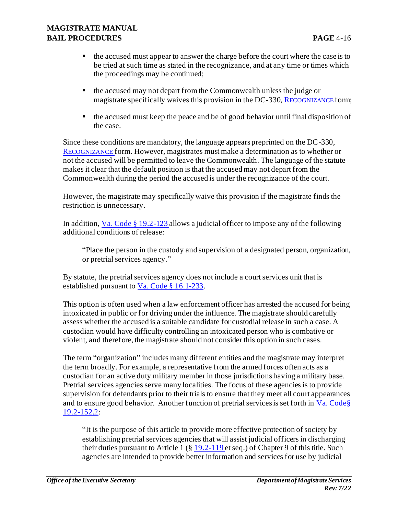- the accused must appear to answer the charge before the court where the case is to be tried at such time as stated in the recognizance, and at any time or times which the proceedings may be continued;
- the accused may not depart from the Commonwealth unless the judge or magistrate specifically waives this provision in the DC-330, R[ECOGNIZANCE](http://oesinet/forms/dcmasters/300s.pdf) form;
- $\blacksquare$  the accused must keep the peace and be of good behavior until final disposition of the case.

Since these conditions are mandatory, the language appears preprinted on the DC-330, R[ECOGNIZANCE](http://oesinet/forms/dcmasters/300s.pdf) form. However, magistrates must make a determination as to whether or not the accused will be permitted to leave the Commonwealth. The language of the statute makes it clear that the default position is that the accused may not depart from the Commonwealth during the period the accused is under the recognizance of the court.

However, the magistrate may specifically waive this provision if the magistrate finds the restriction is unnecessary.

In addition, Va. Code § 19.2-123 allows a judicial officer to impose any of the following additional conditions of release:

"Place the person in the custody and supervision of a designated person, organization, or pretrial services agency."

By statute, the pretrial services agency does not include a court services unit that is established pursuant to Va. Code § 16.1-233.

This option is often used when a law enforcement officer has arrested the accused for being intoxicated in public or for driving under the influence. The magistrate should carefully assess whether the accused is a suitable candidate for custodial release in such a case. A custodian would have difficulty controlling an intoxicated person who is combative or violent, and therefore, the magistrate should not consider this option in such cases.

The term "organization" includes many different entities and the magistrate may interpret the term broadly. For example, a representative from the armed forces often acts as a custodian for an active duty military member in those jurisdictions having a military base. Pretrial services agencies serve many localities. The focus of these agencies is to provide supervision for defendants prior to their trials to ensure that they meet all court appearances and to ensure good behavior. Another function of pretrial services is set forth in Va. Code § 19.2-152.2:

"It is the purpose of this article to provide more effective protection of society by establishing pretrial services agencies that will assist judicial officers in discharging their duties pursuant to Article 1 (§ 19.2-119 et seq.) of Chapter 9 of this title. Such agencies are intended to provide better information and services for use by judicial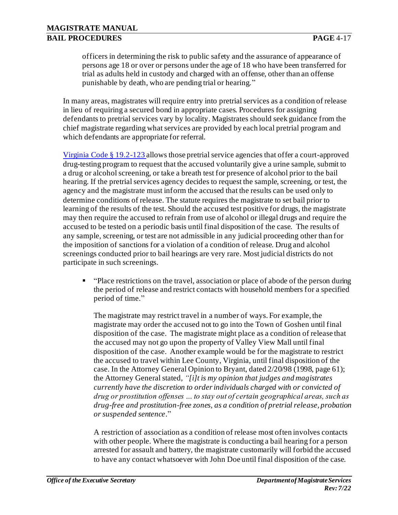officers in determining the risk to public safety and the assurance of appearance of persons age 18 or over or persons under the age of 18 who have been transferred for trial as adults held in custody and charged with an offense, other than an offense punishable by death, who are pending trial or hearing."

In many areas, magistrates will require entry into pretrial services as a condition of release in lieu of requiring a secured bond in appropriate cases. Procedures for assigning defendants to pretrial services vary by locality. Magistrates should seek guidance from the chief magistrate regarding what services are provided by each local pretrial program and which defendants are appropriate for referral.

Virginia Code § 19.2-123 allows those pretrial service agencies that offer a court-approved drug-testing program to request that the accused voluntarily give a urine sample, submit to a drug or alcohol screening, or take a breath test for presence of alcohol prior to the bail hearing. If the pretrial services agency decides to request the sample, screening, or test, the agency and the magistrate must inform the accused that the results can be used only to determine conditions of release. The statute requires the magistrate to set bail prior to learning of the results of the test. Should the accused test positive for drugs, the magistrate may then require the accused to refrain from use of alcohol or illegal drugs and require the accused to be tested on a periodic basis until final disposition of the case. The results of any sample, screening, or test are not admissible in any judicial proceeding other than for the imposition of sanctions for a violation of a condition of release. Drug and alcohol screenings conducted prior to bail hearings are very rare. Most judicial districts do not participate in such screenings.

▪ "Place restrictions on the travel, association or place of abode of the person during the period of release and restrict contacts with household members for a specified period of time."

The magistrate may restrict travel in a number of ways. For example, the magistrate may order the accused not to go into the Town of Goshen until final disposition of the case. The magistrate might place as a condition of release that the accused may not go upon the property of Valley View Mall until final disposition of the case. Another example would be for the magistrate to restrict the accused to travel within Lee County, Virginia, until final disposition of the case. In the Attorney General Opinion to Bryant, dated 2/20/98 (1998, page 61); the Attorney General stated, *"[i]t is my opinion that judges and magistrates currently have the discretion to order individuals charged with or convicted of drug or prostitution offenses … to stay out of certain geographical areas, such as drug-free and prostitution-free zones, as a condition of pretrial release, probation or suspended sentence*."

A restriction of association as a condition of release most often involves contacts with other people. Where the magistrate is conducting a bail hearing for a person arrested for assault and battery, the magistrate customarily will forbid the accused to have any contact whatsoever with John Doe until final disposition of the case.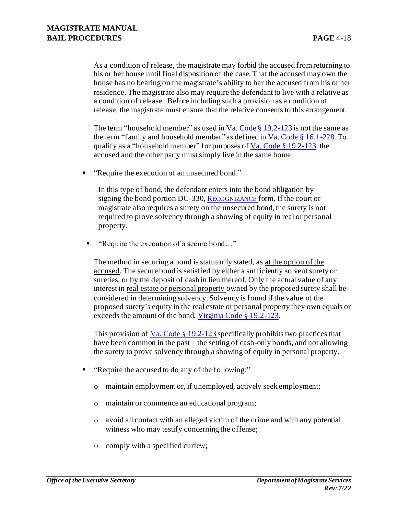As a condition of release, the magistrate may forbid the accused from returning to his or her house until final disposition of the case. That the accused may own the house has no bearing on the magistrate's ability to bar the accused from his or her residence. The magistrate also may require the defendant to live with a relative as a condition of release. Before including such a provision as a condition of release, the magistrate must ensure that the relative consents to this arrangement.

The term "household member" as used in  $Va$ . Code § 19.2-123 is not the same as</u> the term "family and household member" as defined in  $Va$ . Code § 16.1-228. To qualify as a "household member" for purposes of  $V$  a. Code § 19.2-123, the</u> accused and the other party must simply live in the same home.

■ "Require the execution of an unsecured bond."

In this type of bond, the defendant enters into the bond obligation by signing the bond portion DC-330, R[ECOGNIZANCE](http://oesinet/forms/dcmasters/300s.pdf) form. If the court or magistrate also requires a surety on the unsecured bond, the surety is not required to prove solvency through a showing of equity in real or personal property.

"Require the execution of a secure bond..."

The method in securing a bond is statutorily stated, as at the option of the accused. The secure bond is satisfied by either a sufficiently solvent surety or sureties, or by the deposit of cash in lieu thereof. Only the actual value of any interest in real estate or personal property owned by the proposed surety shall be considered in determining solvency. Solvency is found if the value of the proposed surety's equity in the real estate or personal property they own equals or exceeds the amount of the bond. Virginia Code § 19.2-123.

This provision of Va. Code  $\S 19.2$ -123 specifically prohibits two practices that have been common in the past – the setting of cash-only bonds, and not allowing the surety to prove solvency through a showing of equity in personal property.

- "Require the accused to do any of the following:"
	- o maintain employment or, if unemployed, actively seek employment;
	- o maintain or commence an educational program;
	- o avoid all contact with an alleged victim of the crime and with any potential witness who may testify concerning the offense;
	- o comply with a specified curfew;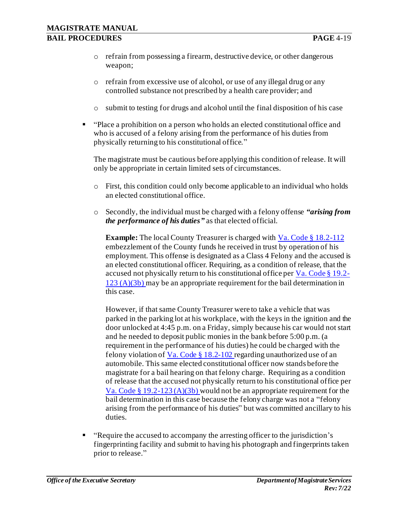- o refrain from possessing a firearm, destructive device, or other dangerous weapon;
- o refrain from excessive use of alcohol, or use of any illegal drug or any controlled substance not prescribed by a health care provider; and
- $\circ$  submit to testing for drugs and alcohol until the final disposition of his case
- "Place a prohibition on a person who holds an elected constitutional office and who is accused of a felony arising from the performance of his duties from physically returning to his constitutional office."

The magistrate must be cautious before applying this condition of release. It will only be appropriate in certain limited sets of circumstances.

- o First, this condition could only become applicable to an individual who holds an elected constitutional office.
- o Secondly, the individual must be charged with a felony offense *"arising from the performance of his duties"* as that elected official.

**Example:** The local County Treasurer is charged with Va. Code § 18.2-112 embezzlement of the County funds he received in trust by operation of his employment. This offense is designated as a Class 4 Felony and the accused is an elected constitutional officer. Requiring, as a condition of release, that the accused not physically return to his constitutional office per Va. Code § 19.2-  $123 (A)(3b)$  may be an appropriate requirement for the bail determination in this case.

However, if that same County Treasurer were to take a vehicle that was parked in the parking lot at his workplace, with the keys in the ignition and the door unlocked at 4:45 p.m. on a Friday, simply because his car would not start and he needed to deposit public monies in the bank before 5:00 p.m. (a requirement in the performance of his duties) he could be charged with the felony violation of Va. Code  $\S$  18.2-102 regarding unauthorized use of an automobile. This same elected constitutional officer now stands before the magistrate for a bail hearing on that felony charge. Requiring as a condition of release that the accused not physically return to his constitutional office per Va. Code § 19.2-123 (A)(3b) would not be an appropriate requirement for the bail determination in this case because the felony charge was not a "felony arising from the performance of his duties" but was committed ancillary to his duties.

▪ "Require the accused to accompany the arresting officer to the jurisdiction's fingerprinting facility and submit to having his photograph and fingerprints taken prior to release."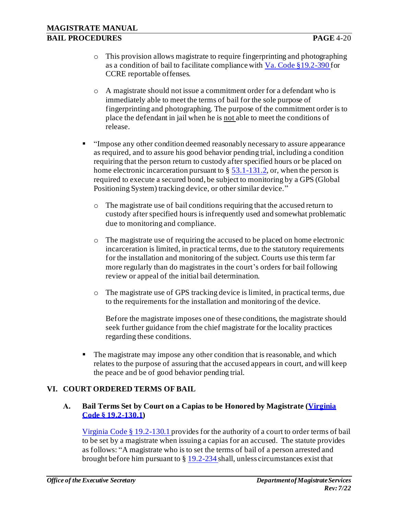- o This provision allows magistrate to require fingerprinting and photographing as a condition of bail to facilitate compliance with Va. Code §19.2-390 for CCRE reportable offenses.
- o A magistrate should not issue a commitment order for a defendant who is immediately able to meet the terms of bail for the sole purpose of fingerprinting and photographing. The purpose of the commitment order is to place the defendant in jail when he is not able to meet the conditions of release.
- "Impose any other condition deemed reasonably necessary to assure appearance as required, and to assure his good behavior pending trial, including a condition requiring that the person return to custody after specified hours or be placed on home electronic incarceration pursuant to  $\S$  53.1-131.2, or, when the person is required to execute a secured bond, be subject to monitoring by a GPS (Global Positioning System) tracking device, or other similar device."
	- o The magistrate use of bail conditions requiring that the accused return to custody after specified hours is infrequently used and somewhat problematic due to monitoring and compliance.
	- o The magistrate use of requiring the accused to be placed on home electronic incarceration is limited, in practical terms, due to the statutory requirements for the installation and monitoring of the subject. Courts use this term far more regularly than do magistrates in the court's orders for bail following review or appeal of the initial bail determination.
	- o The magistrate use of GPS tracking device is limited, in practical terms, due to the requirements for the installation and monitoring of the device.

Before the magistrate imposes one of these conditions, the magistrate should seek further guidance from the chief magistrate for the locality practices regarding these conditions.

**•** The magistrate may impose any other condition that is reasonable, and which relates to the purpose of assuring that the accused appears in court, and will keep the peace and be of good behavior pending trial.

#### **VI. COURT ORDERED TERMS OF BAIL**

#### **A. Bail Terms Set by Court on a Capias to be Honored by Magistrate (Virginia Code § 19.2-130.1)**

Virginia Code § 19.2-130.1 provides for the authority of a court to order terms of bail to be set by a magistrate when issuing a capias for an accused. The statute provides as follows: "A magistrate who is to set the terms of bail of a person arrested and brought before him pursuant to § 19.2-234 shall, unless circumstances exist that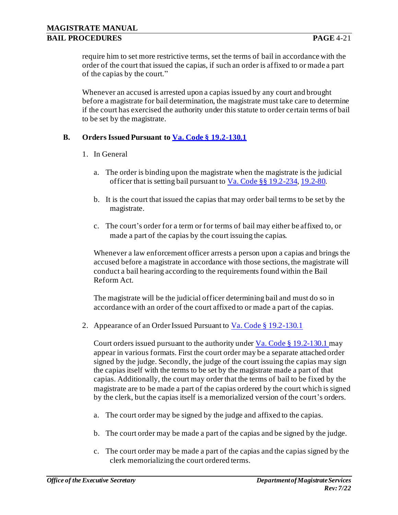require him to set more restrictive terms, set the terms of bail in accordance with the order of the court that issued the capias, if such an order is affixed to or made a part of the capias by the court."

Whenever an accused is arrested upon a capias issued by any court and brought before a magistrate for bail determination, the magistrate must take care to determine if the court has exercised the authority under this statute to order certain terms of bail to be set by the magistrate.

### **B. Orders Issued Pursuant to Va. Code § 19.2-130.1**

- 1. In General
	- a. The order is binding upon the magistrate when the magistrate is the judicial officer that is setting bail pursuant to Va. Code §§ 19.2-234, 19.2-80.
	- b. It is the court that issued the capias that may order bail terms to be set by the magistrate.
	- c. The court's order for a term or for terms of bail may either be affixed to, or made a part of the capias by the court issuing the capias.

Whenever a law enforcement officer arrests a person upon a capias and brings the accused before a magistrate in accordance with those sections, the magistrate will conduct a bail hearing according to the requirements found within the Bail Reform Act.

The magistrate will be the judicial officer determining bail and must do so in accordance with an order of the court affixed to or made a part of the capias.

2. Appearance of an Order Issued Pursuant to Va. Code § 19.2-130.1

Court orders issued pursuant to the authority under Va. Code § 19.2-130.1 may appear in various formats. First the court order may be a separate attached order signed by the judge. Secondly, the judge of the court issuing the capias may sign the capias itself with the terms to be set by the magistrate made a part of that capias. Additionally, the court may order that the terms of bail to be fixed by the magistrate are to be made a part of the capias ordered by the court which is signed by the clerk, but the capias itself is a memorialized version of the court's orders.

- a. The court order may be signed by the judge and affixed to the capias.
- b. The court order may be made a part of the capias and be signed by the judge.
- c. The court order may be made a part of the capias and the capias signed by the clerk memorializing the court ordered terms.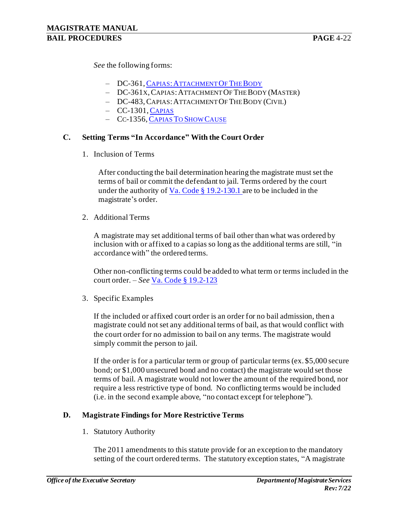*See* the following forms:

- DC-361, CAPIAS: A[TTACHMENT](http://oesinet/forms/dcmasters/300s.pdf) OF THE BODY
- ‒ DC-361X,CAPIAS:ATTACHMENT OF THE BODY (MASTER)
- ‒ DC-483,CAPIAS:ATTACHMENT OF THE BODY (CIVIL)
- $-$  CC-1301, C[APIAS](http://oesinet/forms/ccmasters/1300s.pdf)
- CC-1356, C[APIAS](http://oesinet/forms/ccmasters/1300s.pdf) TO SHOW CAUSE

#### **C. Setting Terms "In Accordance" With the Court Order**

1. Inclusion of Terms

After conducting the bail determination hearing the magistrate must set the terms of bail or commit the defendant to jail. Terms ordered by the court under the authority of Va. Code  $\S$  19.2-130.1 are to be included in the magistrate's order.

2. Additional Terms

A magistrate may set additional terms of bail other than what was ordered by inclusion with or affixed to a capias so long as the additional terms are still, "in accordance with" the ordered terms.

Other non-conflicting terms could be added to what term or terms included in the court order. – *See* Va. Code § 19.2-123

3. Specific Examples

If the included or affixed court order is an order for no bail admission, then a magistrate could not set any additional terms of bail, as that would conflict with the court order for no admission to bail on any terms. The magistrate would simply commit the person to jail.

If the order is for a particular term or group of particular terms (ex. \$5,000 secure bond; or \$1,000 unsecured bond and no contact) the magistrate would set those terms of bail. A magistrate would not lower the amount of the required bond, nor require a less restrictive type of bond. No conflicting terms would be included (i.e. in the second example above, "no contact except for telephone").

#### **D. Magistrate Findings for More Restrictive Terms**

1. Statutory Authority

The 2011 amendments to this statute provide for an exception to the mandatory setting of the court ordered terms. The statutory exception states, "A magistrate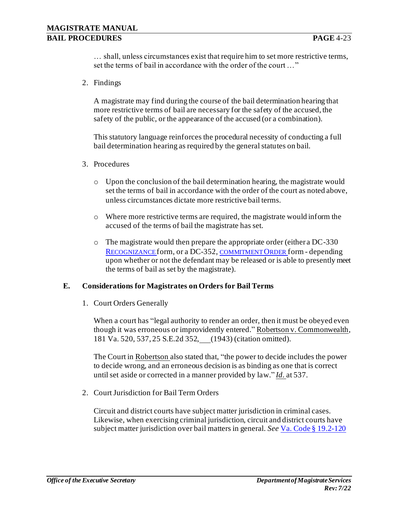… shall, unless circumstances exist that require him to set more restrictive terms, set the terms of bail in accordance with the order of the court …"

2. Findings

A magistrate may find during the course of the bail determination hearing that more restrictive terms of bail are necessary for the safety of the accused, the safety of the public, or the appearance of the accused (or a combination).

This statutory language reinforces the procedural necessity of conducting a full bail determination hearing as required by the general statutes on bail.

- 3. Procedures
	- o Upon the conclusion of the bail determination hearing, the magistrate would set the terms of bail in accordance with the order of the court as noted above, unless circumstances dictate more restrictive bail terms.
	- o Where more restrictive terms are required, the magistrate would inform the accused of the terms of bail the magistrate has set.
	- o The magistrate would then prepare the appropriate order (either a DC-330 R[ECOGNIZANCE](http://oesinet/forms/dcmasters/300s.pdf) form, or a DC-352, [COMMITMENT](http://oesinet/forms/dcmasters/300s.pdf) ORDER form - depending upon whether or not the defendant may be released or is able to presently meet the terms of bail as set by the magistrate).

#### **E. Considerations for Magistrates on Orders for Bail Terms**

1. Court Orders Generally

When a court has "legal authority to render an order, then it must be obeyed even though it was erroneous or improvidently entered." Robertson v. Commonwealth, 181 Va. 520, 537, 25 S.E.2d 352, (1943) (citation omitted).

The Court in Robertson also stated that, "the power to decide includes the power to decide wrong, and an erroneous decision is as binding as one that is correct until set aside or corrected in a manner provided by law." *Id.* at 537.

2. Court Jurisdiction for Bail Term Orders

Circuit and district courts have subject matter jurisdiction in criminal cases. Likewise, when exercising criminal jurisdiction, circuit and district courts have subject matter jurisdiction over bail matters in general. *See* Va. Code § 19.2-120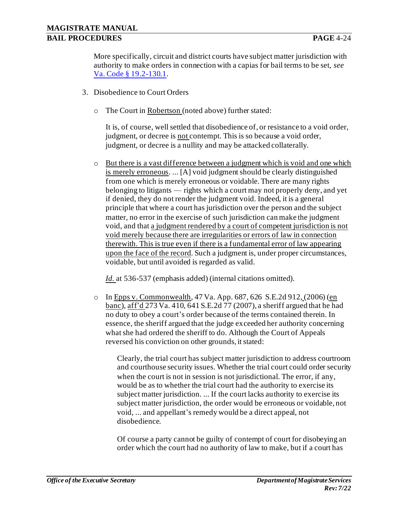More specifically, circuit and district courts have subject matter jurisdiction with authority to make orders in connection with a capias for bail terms to be set, *see*  Va. Code § 19.2-130.1.

- 3. Disobedience to Court Orders
	- o The Court in Robertson (noted above) further stated:

It is, of course, well settled that disobedience of, or resistance to a void order, judgment, or decree is not contempt. This is so because a void order, judgment, or decree is a nullity and may be attacked collaterally.

o But there is a vast difference between a judgment which is void and one which is merely erroneous. ... [A] void judgment should be clearly distinguished from one which is merely erroneous or voidable. There are many rights belonging to litigants — rights which a court may not properly deny, and yet if denied, they do not render the judgment void. Indeed, it is a general principle that where a court has jurisdiction over the person and the subject matter, no error in the exercise of such jurisdiction can make the judgment void, and that a judgment rendered by a court of competent jurisdiction is not void merely because there are irregularities or errors of law in connection therewith. This is true even if there is a fundamental error of law appearing upon the face of the record. Such a judgment is, under proper circumstances, voidable, but until avoided is regarded as valid.

*Id.* at 536-537 (emphasis added) (internal citations omitted).

o In Epps v. Commonwealth, 47 Va. App. 687, 626 S.E.2d 912, (2006) (en banc), aff'd 273 Va. 410, 641 S.E.2d 77 (2007), a sheriff argued that he had no duty to obey a court's order because of the terms contained therein. In essence, the sheriff argued that the judge exceeded her authority concerning what she had ordered the sheriff to do. Although the Court of Appeals reversed his conviction on other grounds, it stated:

Clearly, the trial court has subject matter jurisdiction to address courtroom and courthouse security issues. Whether the trial court could order security when the court is not in session is not jurisdictional. The error, if any, would be as to whether the trial court had the authority to exercise its subject matter jurisdiction. ... If the court lacks authority to exercise its subject matter jurisdiction, the order would be erroneous or voidable, not void, ... and appellant's remedy would be a direct appeal, not disobedience.

Of course a party cannot be guilty of contempt of court for disobeying an order which the court had no authority of law to make, but if a court has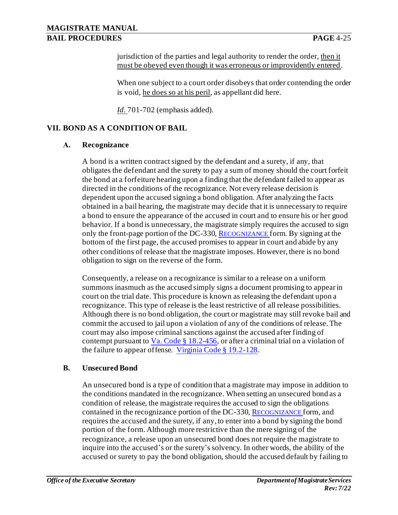jurisdiction of the parties and legal authority to render the order, then it must be obeyed even though it was erroneous or improvidently entered.

When one subject to a court order disobeys that order contending the order is void, he does so at his peril, as appellant did here.

*Id.* 701-702 (emphasis added).

### **VII. BOND AS A CONDITION OF BAIL**

#### **A. Recognizance**

A bond is a written contract signed by the defendant and a surety, if any, that obligates the defendant and the surety to pay a sum of money should the court forfeit the bond at a forfeiture hearing upon a finding that the defendant failed to appear as directed in the conditions of the recognizance. Not every release decision is dependent upon the accused signing a bond obligation. After analyzing the facts obtained in a bail hearing, the magistrate may decide that it is unnecessary to require a bond to ensure the appearance of the accused in court and to ensure his or her good behavior. If a bond is unnecessary, the magistrate simply requires the accused to sign only the front-page portion of the DC-330, R[ECOGNIZANCE](http://oesinet/forms/dcmasters/300s.pdf) form. By signing at the bottom of the first page, the accused promises to appear in court and abide by any other conditions of release that the magistrate imposes. However, there is no bond obligation to sign on the reverse of the form.

Consequently, a release on a recognizance is similar to a release on a uniform summons inasmuch as the accused simply signs a document promising to appear in court on the trial date. This procedure is known as releasing the defendant upon a recognizance. This type of release is the least restrictive of all release possibilities. Although there is no bond obligation, the court or magistrate may still revoke bail and commit the accused to jail upon a violation of any of the conditions of release. The court may also impose criminal sanctions against the accused after finding of contempt pursuant to  $Va$ . Code § 18.2-456, or after a criminal trial on a violation of</u> the failure to appear offense. Virginia Code § 19.2-128.

#### **B. Unsecured Bond**

An unsecured bond is a type of condition that a magistrate may impose in addition to the conditions mandated in the recognizance. When setting an unsecured bond as a condition of release, the magistrate requires the accused to sign the obligations contained in the recognizance portion of the DC-330, R[ECOGNIZANCE](http://oesinet/forms/dcmasters/300s.pdf) form, and requires the accused and the surety, if any, to enter into a bond by signing the bond portion of the form. Although more restrictive than the mere signing of the recognizance, a release upon an unsecured bond does not require the magistrate to inquire into the accused's or the surety's solvency. In other words, the ability of the accused or surety to pay the bond obligation, should the accused default by failing to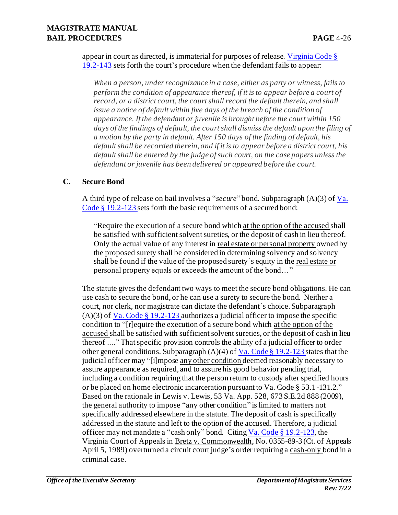appear in court as directed, is immaterial for purposes of release. Virginia Code  $\S$ 19.2-143 sets forth the court's procedure when the defendant fails to appear:

*When a person, under recognizance in a case, either as party or witness, fails to perform the condition of appearance thereof, if it is to appear before a court of record, or a district court, the court shall record the default therein, and shall issue a notice of default within five days of the breach of the condition of appearance. If the defendant or juvenile is brought before the court within 150 days of the findings of default, the court shall dismiss the default upon the filing of a motion by the party in default. After 150 days of the finding of default, his default shall be recorded therein, and if it is to appear before a district court, his default shall be entered by the judge of such court, on the case papers unless the defendant or juvenile has been delivered or appeared before the court.*

#### **C. Secure Bond**

A third type of release on bail involves a "*secure*" bond. Subparagraph (A)(3) of Va. Code § 19.2-123 sets forth the basic requirements of a secured bond:

"Require the execution of a secure bond which at the option of the accused shall be satisfied with sufficient solvent sureties, or the deposit of cash in lieu thereof. Only the actual value of any interest in real estate or personal property owned by the proposed surety shall be considered in determining solvency and solvency shall be found if the value of the proposed surety's equity in the real estate or personal property equals or exceeds the amount of the bond…"

The statute gives the defendant two ways to meet the secure bond obligations. He can use cash to secure the bond, or he can use a surety to secure the bond. Neither a court, nor clerk, nor magistrate can dictate the defendant's choice. Subparagraph  $(A)(3)$  of Va. Code § 19.2-123 authorizes a judicial officer to impose the specific condition to "[r]equire the execution of a secure bond which at the option of the accused shall be satisfied with sufficient solvent sureties, or the deposit of cash in lieu thereof ...." That specific provision controls the ability of a judicial officer to order other general conditions. Subparagraph  $(A)(4)$  of Va. Code § 19.2-123 states that the judicial officer may "[i]mpose any other condition deemed reasonably necessary to assure appearance as required, and to assure his good behavior pending trial, including a condition requiring that the person return to custody after specified hours or be placed on home electronic incarceration pursuant to Va. Code § 53.1-131.2." Based on the rationale in Lewis v. Lewis, 53 Va. App. 528, 673 S.E.2d 888 (2009), the general authority to impose "any other condition" is limited to matters not specifically addressed elsewhere in the statute. The deposit of cash is specifically addressed in the statute and left to the option of the accused. Therefore, a judicial officer may not mandate a "cash only" bond. Citing Va. Code § 19.2-123, the Virginia Court of Appeals in Bretz v. Commonwealth, No. 0355-89-3 (Ct. of Appeals April 5, 1989) overturned a circuit court judge's order requiring a cash-only bond in a criminal case.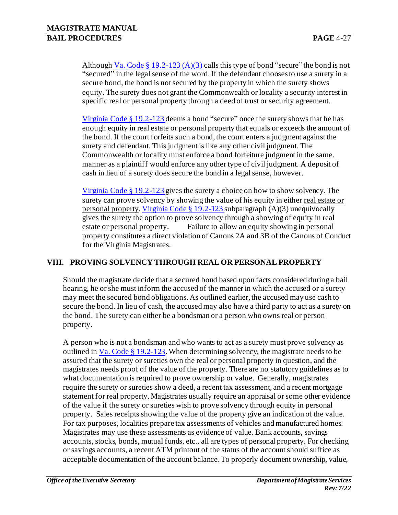Although Va. Code § 19.2-123 (A)(3) calls this type of bond "secure" the bond is not "secured" in the legal sense of the word. If the defendant chooses to use a surety in a secure bond, the bond is not secured by the property in which the surety shows equity. The surety does not grant the Commonwealth or locality a security interest in specific real or personal property through a deed of trust or security agreement.

Virginia Code § 19.2-123 deems a bond "secure" once the surety shows that he has enough equity in real estate or personal property that equals or exceeds the amount of the bond. If the court forfeits such a bond, the court enters a judgment against the surety and defendant. This judgment is like any other civil judgment. The Commonwealth or locality must enforce a bond forfeiture judgment in the same. manner as a plaintiff would enforce any other type of civil judgment. A deposit of cash in lieu of a surety does secure the bond in a legal sense, however.

Virginia Code § 19.2-123 gives the surety a choice on how to show solvency. The surety can prove solvency by showing the value of his equity in either real estate or personal property. Virginia Code § 19.2-123 subparagraph (A)(3) unequivocally gives the surety the option to prove solvency through a showing of equity in real estate or personal property. Failure to allow an equity showing in personal property constitutes a direct violation of Canons 2A and 3B of the Canons of Conduct for the Virginia Magistrates.

### **VIII. PROVING SOLVENCY THROUGH REAL OR PERSONAL PROPERTY**

Should the magistrate decide that a secured bond based upon facts considered during a bail hearing, he or she must inform the accused of the manner in which the accused or a surety may meet the secured bond obligations. As outlined earlier, the accused may use cash to secure the bond. In lieu of cash, the accused may also have a third party to act as a surety on the bond. The surety can either be a bondsman or a person who owns real or person property.

A person who is not a bondsman and who wants to act as a surety must prove solvency as outlined in Va. Code § 19.2-123.When determining solvency, the magistrate needs to be assured that the surety or sureties own the real or personal property in question, and the magistrates needs proof of the value of the property. There are no statutory guidelines as to what documentation is required to prove ownership or value. Generally, magistrates require the surety or sureties show a deed, a recent tax assessment, and a recent mortgage statement for real property. Magistrates usually require an appraisal or some other evidence of the value if the surety or sureties wish to prove solvency through equity in personal property. Sales receipts showing the value of the property give an indication of the value. For tax purposes, localities prepare tax assessments of vehicles and manufactured homes. Magistrates may use these assessments as evidence of value. Bank accounts, savings accounts, stocks, bonds, mutual funds, etc., all are types of personal property. For checking or savings accounts, a recent ATM printout of the status of the account should suffice as acceptable documentation of the account balance. To properly document ownership, value,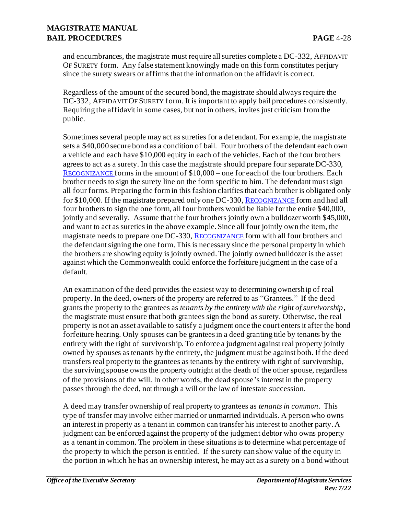and encumbrances, the magistrate must require all sureties complete a DC-332, AFFIDAVIT OF SURETY form. Any false statement knowingly made on this form constitutes perjury since the surety swears or affirms that the information on the affidavit is correct.

Regardless of the amount of the secured bond, the magistrate should always require the DC-332, AFFIDAVIT OF SURETY form. It is important to apply bail procedures consistently. Requiring the affidavit in some cases, but not in others, invites just criticism from the public.

Sometimes several people may act as sureties for a defendant. For example, the magistrate sets a \$40,000 secure bond as a condition of bail. Four brothers of the defendant each own a vehicle and each have \$10,000 equity in each of the vehicles. Each of the four brothers agrees to act as a surety. In this case the magistrate should prepare four separate DC-330, R[ECOGNIZANCE](http://oesinet/forms/dcmasters/300s.pdf) forms in the amount of \$10,000 – one for each of the four brothers. Each brother needs to sign the surety line on the form specific to him. The defendant must sign all four forms. Preparing the form in this fashion clarifies that each brother is obligated only for \$10,000. If the magistrate prepared only one DC-330, R[ECOGNIZANCE](http://oesinet/forms/dcmasters/300s.pdf) form and had all four brothers to sign the one form, all four brothers would be liable for the entire \$40,000, jointly and severally. Assume that the four brothers jointly own a bulldozer worth \$45,000, and want to act as sureties in the above example. Since all four jointly own the item, the magistrate needs to prepare one DC-330, R[ECOGNIZANCE](http://oesinet/forms/dcmasters/300s.pdf) form with all four brothers and the defendant signing the one form. This is necessary since the personal property in which the brothers are showing equity is jointly owned. The jointly owned bulldozer is the asset against which the Commonwealth could enforce the forfeiture judgment in the case of a default.

An examination of the deed provides the easiest way to determining ownership of real property. In the deed, owners of the property are referred to as "Grantees." If the deed grants the property to the grantees as *tenants by the entirety with the right of survivorship*, the magistrate must ensure that both grantees sign the bond as surety. Otherwise, the real property is not an asset available to satisfy a judgment once the court enters it after the bond forfeiture hearing. Only spouses can be grantees in a deed granting title by tenants by the entirety with the right of survivorship. To enforce a judgment against real property jointly owned by spouses as tenants by the entirety, the judgment must be against both. If the deed transfers real property to the grantees as tenants by the entirety with right of survivorship, the surviving spouse owns the property outright at the death of the other spouse, regardless of the provisions of the will. In other words, the dead spouse's interest in the property passes through the deed, not through a will or the law of intestate succession.

A deed may transfer ownership of real property to grantees as *tenants in common*. This type of transfer may involve either married or unmarried individuals. A person who owns an interest in property as a tenant in common can transfer his interest to another party. A judgment can be enforced against the property of the judgment debtor who owns property as a tenant in common. The problem in these situations is to determine what percentage of the property to which the person is entitled. If the surety can show value of the equity in the portion in which he has an ownership interest, he may act as a surety on a bond without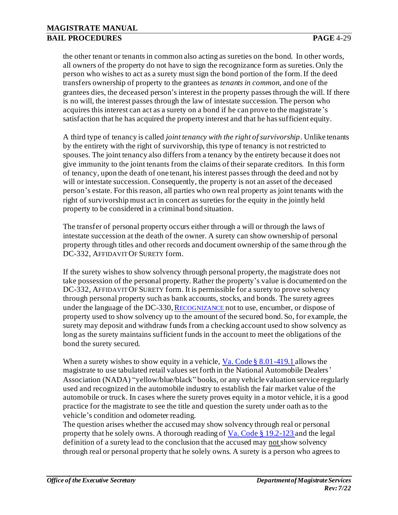the other tenant or tenants in common also acting as sureties on the bond. In other words, all owners of the property do not have to sign the recognizance form as sureties. Only the person who wishes to act as a surety must sign the bond portion of the form. If the deed transfers ownership of property to the grantees as *tenants in common*, and one of the grantees dies, the deceased person's interest in the property passes through the will. If there is no will, the interest passes through the law of intestate succession. The person who acquires this interest can act as a surety on a bond if he can prove to the magistrate's satisfaction that he has acquired the property interest and that he has sufficient equity.

A third type of tenancy is called *joint tenancy with the right of survivorship*. Unlike tenants by the entirety with the right of survivorship, this type of tenancy is not restricted to spouses. The joint tenancy also differs from a tenancy by the entirety because it does not give immunity to the joint tenants from the claims of their separate creditors. In this form of tenancy, upon the death of one tenant, his interest passes through the deed and not by will or intestate succession. Consequently, the property is not an asset of the deceased person's estate. For this reason, all parties who own real property as joint tenants with the right of survivorship must act in concert as sureties for the equity in the jointly held property to be considered in a criminal bond situation.

The transfer of personal property occurs either through a will or through the laws of intestate succession at the death of the owner. A surety can show ownership of personal property through titles and other records and document ownership of the same through the DC-332, AFFIDAVIT OF SURETY form.

If the surety wishes to show solvency through personal property, the magistrate does not take possession of the personal property. Rather the property's value is documented on the DC-332, AFFIDAVIT OF SURETY form. It is permissible for a surety to prove solvency through personal property such as bank accounts, stocks, and bonds. The surety agrees under the language of the DC-330, R[ECOGNIZANCE](http://oesinet/forms/dcmasters/300s.pdf) not to use, encumber, or dispose of property used to show solvency up to the amount of the secured bond. So, for example, the surety may deposit and withdraw funds from a checking account used to show solvency as long as the surety maintains sufficient funds in the account to meet the obligations of the bond the surety secured.

When a surety wishes to show equity in a vehicle, Va. Code § 8.01-419.1 allows the magistrate to use tabulated retail values set forth in the National Automobile Dealers' Association (NADA) "yellow/blue/black" books, or any vehicle valuation service regularly used and recognized in the automobile industry to establish the fair market value of the automobile or truck. In cases where the surety proves equity in a motor vehicle, it is a good practice for the magistrate to see the title and question the surety under oath as to the vehicle's condition and odometer reading.

The question arises whether the accused may show solvency through real or personal property that he solely owns. A thorough reading of Va. Code § 19.2-123 and the legal definition of a surety lead to the conclusion that the accused may not show solvency through real or personal property that he solely owns. A surety is a person who agrees to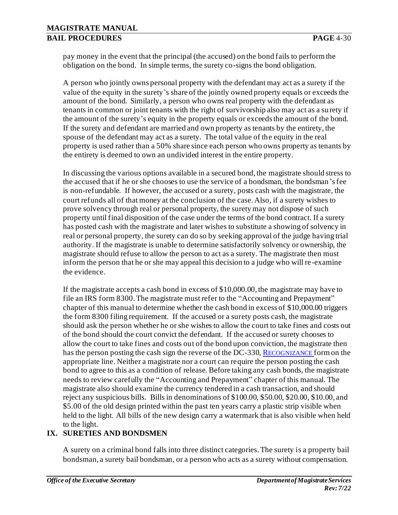pay money in the event that the principal (the accused) on the bond fails to perform the obligation on the bond. In simple terms, the surety co-signs the bond obligation.

A person who jointly owns personal property with the defendant may act as a surety if the value of the equity in the surety's share of the jointly owned property equals or exceeds the amount of the bond. Similarly, a person who owns real property with the defendant as tenants in common or joint tenants with the right of survivorship also may act as a surety if the amount of the surety's equity in the property equals or exceeds the amount of the bond. If the surety and defendant are married and own property as tenants by the entirety, the spouse of the defendant may act as a surety. The total value of the equity in the real property is used rather than a 50% share since each person who owns property as tenants by the entirety is deemed to own an undivided interest in the entire property.

In discussing the various options available in a secured bond, the magistrate should stress to the accused that if he or she chooses to use the service of a bondsman, the bondsman 's fee is non-refundable. If however, the accused or a surety, posts cash with the magistrate, the court refunds all of that money at the conclusion of the case. Also, if a surety wishes to prove solvency through real or personal property, the surety may not dispose of such property until final disposition of the case under the terms of the bond contract. If a surety has posted cash with the magistrate and later wishes to substitute a showing of solvency in real or personal property, the surety can do so by seeking approval of the judge having trial authority. If the magistrate is unable to determine satisfactorily solvency or ownership, the magistrate should refuse to allow the person to act as a surety. The magistrate then must inform the person that he or she may appeal this decision to a judge who will re-examine the evidence.

If the magistrate accepts a cash bond in excess of \$10,000.00, the magistrate may have to file an IRS form 8300. The magistrate must refer to the "Accounting and Prepayment" chapter of this manual to determine whether the cash bond in excess of \$10,000.00 triggers the form 8300 filing requirement. If the accused or a surety posts cash, the magistrate should ask the person whether he or she wishes to allow the court to take fines and costs out of the bond should the court convict the defendant. If the accused or surety chooses to allow the court to take fines and costs out of the bond upon conviction, the magistrate then has the person posting the cash sign the reverse of the DC-330, R[ECOGNIZANCE](http://oesinet/forms/dcmasters/300s.pdf) form on the appropriate line. Neither a magistrate nor a court can require the person posting the cash bond to agree to this as a condition of release. Before taking any cash bonds, the magistrate needs to review carefully the "Accounting and Prepayment" chapter of this manual. The magistrate also should examine the currency tendered in a cash transaction, and should reject any suspicious bills. Bills in denominations of \$100.00, \$50.00, \$20.00, \$10.00, and \$5.00 of the old design printed within the past ten years carry a plastic strip visible when held to the light. All bills of the new design carry a watermark that is also visible when held to the light.

## **IX. SURETIES AND BONDSMEN**

A surety on a criminal bond falls into three distinct categories. The surety is a property bail bondsman, a surety bail bondsman, or a person who acts as a surety without compensation.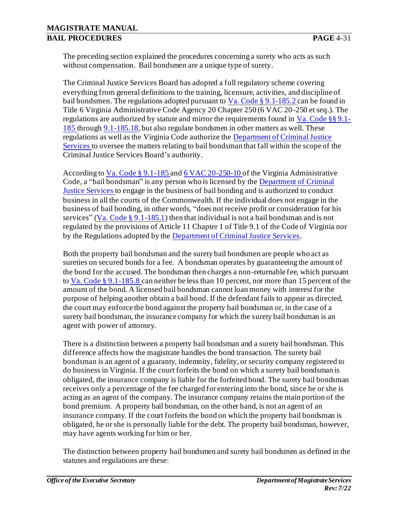The preceding section explained the procedures concerning a surety who acts as such without compensation. Bail bondsmen are a unique type of surety.

The Criminal Justice Services Board has adopted a full regulatory scheme covering everything from general definitions to the training, licensure, activities, and discipline of bail bondsmen. The regulations adopted pursuant to Va. Code § 9.1-185.2 can be found in Title 6 Virginia Administrative Code Agency 20 Chapter 250 (6 VAC 20-250 et seq.). The regulations are authorized by statute and mirror the requirements found in Va. Code §§ 9.1- 185 through 9.1-185.18, but also regulate bondsmen in other matters as well. These regulations as well as the Virginia Code authorize th[e Department of Criminal Justice](http://www.dcjs.virginia.gov/) [Services t](http://www.dcjs.virginia.gov/)o oversee the matters relating to bail bondsman that fall within the scope of the Criminal Justice Services Board's authority.

According to Va. Code § 9.1-185 an[d 6 VAC 20-250-10](http://law.lis.virginia.gov/admincode/title6/agency20/chapter250/section10/) of the Virginia Administrative Code, a "bail bondsman" is any person who is licensed by th[e Department of Criminal](http://www.dcjs.virginia.gov/) [Justice Services t](http://www.dcjs.virginia.gov/)o engage in the business of bail bonding and is authorized to conduct business in all the courts of the Commonwealth. If the individual does not engage in the business of bail bonding, in other words, "does not receive profit or consideration for his services" (Va. Code § 9.1-185.1) then that individual is not a bail bondsman and is not regulated by the provisions of Article 11 Chapter 1 of Title 9.1 of the Code of Virginia nor by the Regulations adopted by th[e Department of Criminal Justice Services](http://www.dcjs.virginia.gov/).

Both the property bail bondsman and the surety bail bondsmen are people who act as sureties on secured bonds for a fee. A bondsman operates by guaranteeing the amount of the bond for the accused. The bondsman then charges a non-returnable fee, which pursuant to Va. Code § 9.1-185.8 can neither be less than 10 percent, nor more than 15 percent of the amount of the bond. A licensed bail bondsman cannot loan money with interest for the purpose of helping another obtain a bail bond. If the defendant fails to appear as directed, the court may enforce the bond against the property bail bondsman or, in the case of a surety bail bondsman, the insurance company for which the surety bail bondsman is an agent with power of attorney.

There is a distinction between a property bail bondsman and a surety bail bondsman. This difference affects how the magistrate handles the bond transaction. The surety bail bondsman is an agent of a guaranty, indemnity, fidelity, or security company registered to do business in Virginia. If the court forfeits the bond on which a surety bail bondsman is obligated, the insurance company is liable for the forfeited bond. The surety bail bondsman receives only a percentage of the fee charged for entering into the bond, since he or she is acting as an agent of the company. The insurance company retains the main portion of the bond premium. A property bail bondsman, on the other hand, is not an agent of an insurance company. If the court forfeits the bond on which the property bail bondsman is obligated, he or she is personally liable for the debt. The property bail bondsman, however, may have agents working for him or her.

The distinction between property bail bondsmen and surety bail bondsmen as defined in the statutes and regulations are these: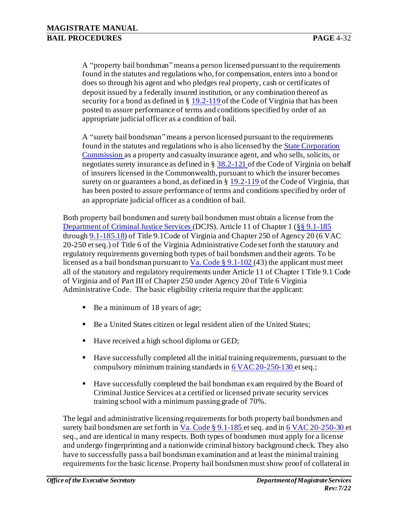A "property bail bondsman" means a person licensed pursuant to the requirements found in the statutes and regulations who, for compensation, enters into a bond or does so through his agent and who pledges real property, cash or certificates of deposit issued by a federally insured institution, or any combination thereof as security for a bond as defined in § 19.2-119 of the Code of Virginia that has been posted to assure performance of terms and conditions specified by order of an appropriate judicial officer as a condition of bail.

A "surety bail bondsman" means a person licensed pursuant to the requirements found in the statutes and regulations who is also licensed by the **State Corporation** [Commission](http://www.scc.virginia.gov/) as a property and casualty insurance agent, and who sells, solicits, or negotiates surety insurance as defined in § 38.2-121 of the Code of Virginia on behalf of insurers licensed in the Commonwealth, pursuant to which the insurer becomes surety on or guarantees a bond, as defined in § 19.2-119 of the Code of Virginia, that has been posted to assure performance of terms and conditions specified by order of an appropriate judicial officer as a condition of bail.

Both property bail bondsmen and surety bail bondsmen must obtain a license from the [Department of Criminal Justice Services \(](http://www.dcjs.virginia.gov/)DCJS). Article 11 of Chapter 1 (§§ 9.1-185 through 9.1-185.18) of Title 9.1Code of Virginia and Chapter 250 of Agency 20 (6 VAC 20-250 et seq.) of Title 6 of the Virginia Administrative Code set forth the statutory and regulatory requirements governing both types of bail bondsmen and their agents. To be licensed as a bail bondsman pursuant to  $V$ . Code § 9.1-102 (43) the applicant must meet</u> all of the statutory and regulatory requirements under Article 11 of Chapter 1 Title 9.1 Code of Virginia and of Part III of Chapter 250 under Agency 20 of Title 6 Virginia Administrative Code. The basic eligibility criteria require that the applicant:

- Be a minimum of 18 years of age;
- Be a United States citizen or legal resident alien of the United States;
- Have received a high school diploma or GED;
- Have successfully completed all the initial training requirements, pursuant to the compulsory minimum training standards i[n 6 VAC 20-250-130](http://law.lis.virginia.gov/admincode/title6/agency20/chapter250/section130/) et seq.;
- Have successfully completed the bail bondsman exam required by the Board of Criminal Justice Services at a certified or licensed private security services training school with a minimum passing grade of 70%.

The legal and administrative licensing requirements for both property bail bondsmen and surety bail bondsmen are set forth in Va. Code § 9.1-185 et seq. and i[n 6 VAC 20-250-30](http://law.lis.virginia.gov/admincode/title6/agency20/chapter250/section30/) et seq., and are identical in many respects. Both types of bondsmen must apply for a license and undergo fingerprinting and a nationwide criminal history background check. They also have to successfully pass a bail bondsman examination and at least the minimal training requirements for the basic license. Property bail bondsmen must show proof of collateral in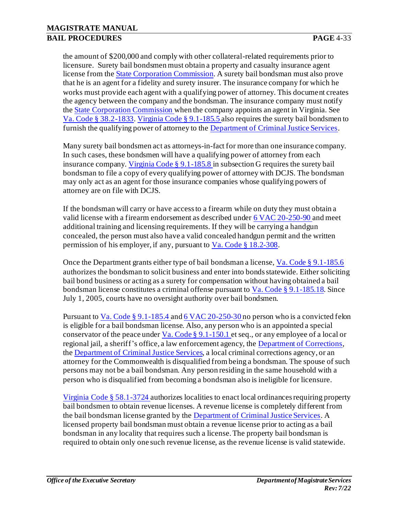the amount of \$200,000 and comply with other collateral-related requirements prior to licensure. Surety bail bondsmen must obtain a property and casualty insurance agent license from th[e State Corporation Commission](http://www.scc.virginia.gov/). A surety bail bondsman must also prove that he is an agent for a fidelity and surety insurer. The insurance company for which he works must provide each agent with a qualifying power of attorney. This document creates the agency between the company and the bondsman. The insurance company must notify the [State Corporation Commission](http://www.scc.virginia.gov/) when the company appoints an agent in Virginia. See Va. Code § 38.2-1833. Virginia Code § 9.1-185.5 also requires the surety bail bondsmen to furnish the qualifying power of attorney to th[e Department of Criminal Justice Services.](http://www.dcjs.virginia.gov/)

Many surety bail bondsmen act as attorneys-in-fact for more than one insurance company. In such cases, these bondsmen will have a qualifying power of attorney from each insurance company. Virginia Code § 9.1-185.8 in subsection G requires the surety bail bondsman to file a copy of every qualifying power of attorney with DCJS. The bondsman may only act as an agent for those insurance companies whose qualifying powers of attorney are on file with DCJS.

If the bondsman will carry or have access to a firearm while on duty they must obtain a valid license with a firearm endorsement as described unde[r 6 VAC 20-250-90 a](http://law.lis.virginia.gov/admincode/title6/agency20/chapter250/section90/)nd meet additional training and licensing requirements. If they will be carrying a handgun concealed, the person must also have a valid concealed handgun permit and the written permission of his employer, if any, pursuant to Va. Code § 18.2-308.

Once the Department grants either type of bail bondsman a license, Va. Code § 9.1-185.6 authorizes the bondsman to solicit business and enter into bonds statewide. Either soliciting bail bond business or acting as a surety for compensation without having obtained a bail bondsman license constitutes a criminal offense pursuant to Va. Code § 9.1-185.18. Since July 1, 2005, courts have no oversight authority over bail bondsmen.

Pursuant to  $Va$ . Code § 9.1-185.4 an[d 6 VAC 20-250-30](http://law.lis.virginia.gov/admincode/title6/agency20/chapter250/section30/) no person who is a convicted felon</u> is eligible for a bail bondsman license. Also, any person who is an appointed a special conservator of the peace under Va. Code § 9.1-150.1 et seq., or any employee of a local or regional jail, a sheriff's office, a law enforcement agency, th[e Department of Corrections,](http://www.vadoc.state.va.us/) the [Department of Criminal Justice Services,](http://www.dcjs.virginia.gov/) a local criminal corrections agency, or an attorney for the Commonwealth is disqualified from being a bondsman. The spouse of such persons may not be a bail bondsman. Any person residing in the same household with a person who is disqualified from becoming a bondsman also is ineligible for licensure.

Virginia Code § 58.1-3724 authorizes localities to enact local ordinances requiring property bail bondsmen to obtain revenue licenses. A revenue license is completely different from the bail bondsman license granted by th[e Department of Criminal Justice Services.](http://www.dcjs.virginia.gov/) A licensed property bail bondsman must obtain a revenue license prior to acting as a bail bondsman in any locality that requires such a license. The property bail bondsman is required to obtain only one such revenue license, as the revenue license is valid statewide.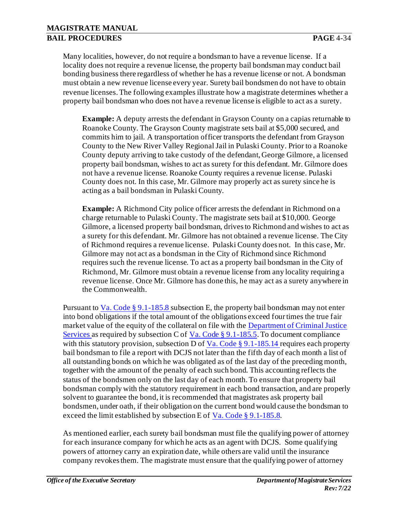Many localities, however, do not require a bondsman to have a revenue license. If a locality does not require a revenue license, the property bail bondsman may conduct bail bonding business there regardless of whether he has a revenue license or not. A bondsman must obtain a new revenue license every year. Surety bail bondsmen do not have to obtain revenue licenses. The following examples illustrate how a magistrate determines whether a property bail bondsman who does not have a revenue license is eligible to act as a surety.

**Example:** A deputy arrests the defendant in Grayson County on a capias returnable to Roanoke County. The Grayson County magistrate sets bail at \$5,000 secured, and commits him to jail. A transportation officer transports the defendant from Grayson County to the New River Valley Regional Jail in Pulaski County. Prior to a Roanoke County deputy arriving to take custody of the defendant, George Gilmore, a licensed property bail bondsman, wishes to act as surety for this defendant. Mr. Gilmore does not have a revenue license. Roanoke County requires a revenue license. Pulaski County does not. In this case, Mr. Gilmore may properly act as surety since he is acting as a bail bondsman in Pulaski County.

**Example:** A Richmond City police officer arrests the defendant in Richmond on a charge returnable to Pulaski County. The magistrate sets bail at \$10,000. George Gilmore, a licensed property bail bondsman, drives to Richmond and wishes to act as a surety for this defendant. Mr. Gilmore has not obtained a revenue license. The City of Richmond requires a revenue license. Pulaski County does not. In this case, Mr. Gilmore may not act as a bondsman in the City of Richmond since Richmond requires such the revenue license. To act as a property bail bondsman in the City of Richmond, Mr. Gilmore must obtain a revenue license from any locality requiring a revenue license. Once Mr. Gilmore has done this, he may act as a surety anywhere in the Commonwealth.

Pursuant to Va. Code  $\S 9.1$ -185.8 subsection E, the property bail bondsman may not enter into bond obligations if the total amount of the obligations exceed four times the true fair market value of the equity of the collateral on file with th[e Department of Criminal Justice](http://www.dcjs.virginia.gov/) [Services a](http://www.dcjs.virginia.gov/)s required by subsection C of  $Va$ . Code § 9.1-185.5</u>. To document compliance with this statutory provision, subsection D of Va. Code  $\S$  9.1-185.14 requires each property bail bondsman to file a report with DCJS not later than the fifth day of each month a list of all outstanding bonds on which he was obligated as of the last day of the preceding month, together with the amount of the penalty of each such bond. This accounting reflects the status of the bondsmen only on the last day of each month. To ensure that property bail bondsman comply with the statutory requirement in each bond transaction, and are properly solvent to guarantee the bond, it is recommended that magistrates ask property bail bondsmen, under oath, if their obligation on the current bond would cause the bondsman to exceed the limit established by subsection E of Va. Code § 9.1-185.8.

As mentioned earlier, each surety bail bondsman must file the qualifying power of attorney for each insurance company for which he acts as an agent with DCJS. Some qualifying powers of attorney carry an expiration date, while others are valid until the insurance company revokes them. The magistrate must ensure that the qualifying power of attorney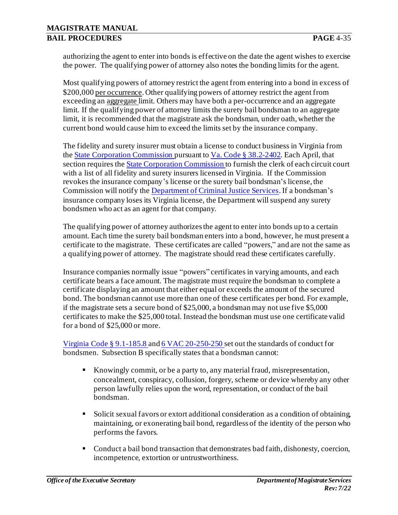authorizing the agent to enter into bonds is effective on the date the agent wishes to exercise the power. The qualifying power of attorney also notes the bonding limits for the agent.

Most qualifying powers of attorney restrict the agent from entering into a bond in excess of \$200,000 per occurrence. Other qualifying powers of attorney restrict the agent from exceeding an aggregate limit. Others may have both a per-occurrence and an aggregate limit. If the qualifying power of attorney limits the surety bail bondsman to an aggregate limit, it is recommended that the magistrate ask the bondsman, under oath, whether the current bond would cause him to exceed the limits set by the insurance company.

The fidelity and surety insurer must obtain a license to conduct business in Virginia from the [State Corporation Commission](http://www.scc.virginia.gov/) pursuant to Va. Code § 38.2-2402. Each April, that section requires the **State Corporation Commission** to furnish the clerk of each circuit court with a list of all fidelity and surety insurers licensed in Virginia. If the Commission revokes the insurance company's license or the surety bail bondsman's license, the Commission will notify th[e Department of Criminal Justice Services.](http://www.dcjs.virginia.gov/)If a bondsman's insurance company loses its Virginia license, the Department will suspend any surety bondsmen who act as an agent for that company.

The qualifying power of attorney authorizes the agent to enter into bonds up to a certain amount. Each time the surety bail bondsman enters into a bond, however, he must present a certificate to the magistrate. These certificates are called "powers," and are not the same as a qualifying power of attorney. The magistrate should read these certificates carefully.

Insurance companies normally issue "powers" certificates in varying amounts, and each certificate bears a face amount. The magistrate must require the bondsman to complete a certificate displaying an amount that either equal or exceeds the amount of the secured bond. The bondsman cannot use more than one of these certificates per bond. For example, if the magistrate sets a secure bond of \$25,000, a bondsman may not use five \$5,000 certificates to make the \$25,000 total. Instead the bondsman must use one certificate valid for a bond of \$25,000 or more.

Virginia Code § 9.1-185.8 an[d 6 VAC 20-250-250](http://law.lis.virginia.gov/admincode/title6/agency20/chapter250/section250/) set out the standards of conduct for bondsmen. Subsection B specifically states that a bondsman cannot:

- Knowingly commit, or be a party to, any material fraud, misrepresentation, concealment, conspiracy, collusion, forgery, scheme or device whereby any other person lawfully relies upon the word, representation, or conduct of the bail bondsman.
- Solicit sexual favors or extort additional consideration as a condition of obtaining, maintaining, or exonerating bail bond, regardless of the identity of the person who performs the favors.
- Conduct a bail bond transaction that demonstrates bad faith, dishonesty, coercion, incompetence, extortion or untrustworthiness.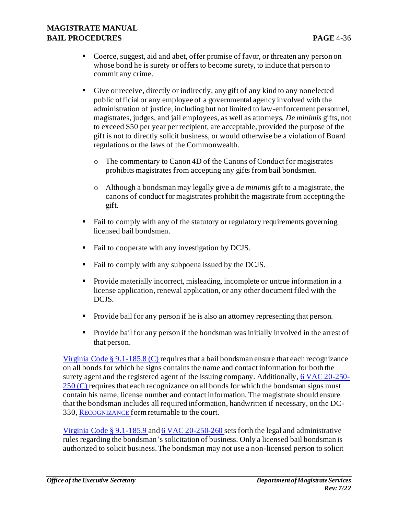- Coerce, suggest, aid and abet, offer promise of favor, or threaten any person on whose bond he is surety or offers to become surety, to induce that person to commit any crime.
- Give or receive, directly or indirectly, any gift of any kind to any nonelected public official or any employee of a governmental agency involved with the administration of justice, including but not limited to law-enforcement personnel, magistrates, judges, and jail employees, as well as attorneys. *De minimis* gifts, not to exceed \$50 per year per recipient, are acceptable, provided the purpose of the gift is not to directly solicit business, or would otherwise be a violation of Board regulations or the laws of the Commonwealth.
	- o The commentary to Canon 4D of the Canons of Conduct for magistrates prohibits magistrates from accepting any gifts from bail bondsmen.
	- o Although a bondsman may legally give a *de minimis* gift to a magistrate, the canons of conduct for magistrates prohibit the magistrate from accepting the gift.
- Fail to comply with any of the statutory or regulatory requirements governing licensed bail bondsmen.
- Fail to cooperate with any investigation by DCJS.
- Fail to comply with any subpoena issued by the DCJS.
- Provide materially incorrect, misleading, incomplete or untrue information in a license application, renewal application, or any other document filed with the DCJS.
- Provide bail for any person if he is also an attorney representing that person.
- Provide bail for any person if the bondsman was initially involved in the arrest of that person.

Virginia Code § 9.1-185.8 (C) requires that a bail bondsman ensure that each recognizance on all bonds for which he signs contains the name and contact information for both the surety agent and the registered agent of the issuing company. Additionally[, 6 VAC 20-250-](http://law.lis.virginia.gov/admincode/title6/agency20/chapter250/section250/) [250 \(C\) r](http://law.lis.virginia.gov/admincode/title6/agency20/chapter250/section250/)equires that each recognizance on all bonds for which the bondsman signs must contain his name, license number and contact information. The magistrate should ensure that the bondsman includes all required information, handwritten if necessary, on the DC-330, R[ECOGNIZANCE](http://oesinet/forms/dcmasters/300s.pdf) form returnable to the court.

Virginia Code § 9.1-185.9 an[d 6 VAC 20-250-260](http://law.lis.virginia.gov/admincode/title6/agency20/chapter250/section260/) sets forth the legal and administrative rules regarding the bondsman's solicitation of business. Only a licensed bail bondsman is authorized to solicit business. The bondsman may not use a non-licensed person to solicit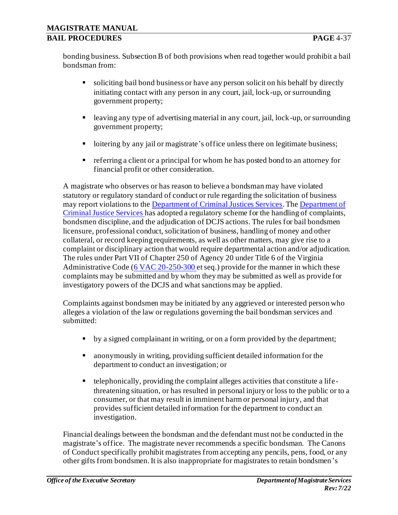bonding business. Subsection B of both provisions when read together would prohibit a bail bondsman from:

- soliciting bail bond business or have any person solicit on his behalf by directly initiating contact with any person in any court, jail, lock-up, or surrounding government property;
- leaving any type of advertising material in any court, jail, lock-up, or surrounding government property;
- loitering by any jail or magistrate's office unless there on legitimate business;
- referring a client or a principal for whom he has posted bond to an attorney for financial profit or other consideration.

A magistrate who observes or has reason to believe a bondsman may have violated statutory or regulatory standard of conduct or rule regarding the solicitation of business may report violations to the [Department of Criminal Justices Services.](http://www.dcjs.virginia.gov/)Th[e Department of](http://www.dcjs.virginia.gov/) [Criminal Justice Services h](http://www.dcjs.virginia.gov/)as adopted a regulatory scheme for the handling of complaints, bondsmen discipline, and the adjudication of DCJS actions. The rules for bail bondsmen licensure, professional conduct, solicitation of business, handling of money and other collateral, or record keeping requirements, as well as other matters, may give rise to a complaint or disciplinary action that would require departmental action and/or adjudication. The rules under Part VII of Chapter 250 of Agency 20 under Title 6 of the Virginia Administrative Code [\(6 VAC 20-250-300](http://law.lis.virginia.gov/admincode/title6/agency20/chapter250/section300/) et seq.) provide for the manner in which these complaints may be submitted and by whom they may be submitted as well as provide for investigatory powers of the DCJS and what sanctions may be applied.

Complaints against bondsmen may be initiated by any aggrieved or interested person who alleges a violation of the law or regulations governing the bail bondsman services and submitted:

- by a signed complainant in writing, or on a form provided by the department;
- anonymously in writing, providing sufficient detailed information for the department to conduct an investigation; or
- telephonically, providing the complaint alleges activities that constitute a lifethreatening situation, or has resulted in personal injury or loss to the public or to a consumer, or that may result in imminent harm or personal injury, and that provides sufficient detailed information for the department to conduct an investigation.

Financial dealings between the bondsman and the defendant must not be conducted in the magistrate's office. The magistrate never recommends a specific bondsman. The Canons of Conduct specifically prohibit magistrates from accepting any pencils, pens, food, or any other gifts from bondsmen. It is also inappropriate for magistrates to retain bondsmen's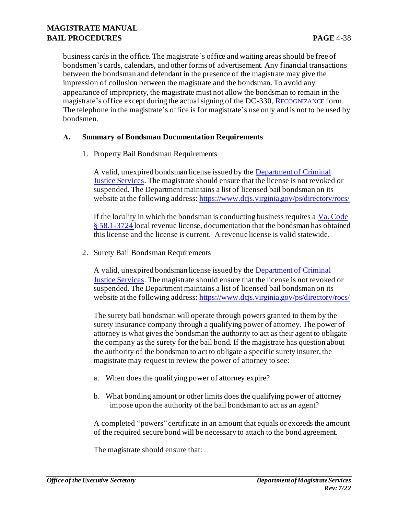business cards in the office. The magistrate's office and waiting areas should be free of bondsmen's cards, calendars, and other forms of advertisement. Any financial transactions between the bondsman and defendant in the presence of the magistrate may give the impression of collusion between the magistrate and the bondsman. To avoid any appearance of impropriety, the magistrate must not allow the bondsman to remain in the magistrate's office except during the actual signing of the DC-330, R[ECOGNIZANCE](http://oesinet/forms/dcmasters/300s.pdf) form. The telephone in the magistrate's office is for magistrate's use only and is not to be used by bondsmen.

#### **A. Summary of Bondsman Documentation Requirements**

1. Property Bail Bondsman Requirements

A valid, unexpired bondsman license issued by th[e Department of Criminal](http://www.dcjs.virginia.gov/) [Justice Services.](http://www.dcjs.virginia.gov/) The magistrate should ensure that the license is not revoked or suspended. The Department maintains a list of licensed bail bondsman on its website at the following address[: https://www.dcjs.virginia.gov/ps/directory/rocs/](https://www.dcjs.virginia.gov/ps/directory/rocs/)

If the locality in which the bondsman is conducting business requires a  $Va$ . Code § 58.1-3724 local revenue license, documentation that the bondsman has obtained this license and the license is current. A revenue license is valid statewide.

2. Surety Bail Bondsman Requirements

A valid, unexpired bondsman license issued by th[e Department of Criminal](http://www.dcjs.virginia.gov/) [Justice Services.](http://www.dcjs.virginia.gov/) The magistrate should ensure that the license is not revoked or suspended. The Department maintains a list of licensed bail bondsman on its website at the following address[: https://www.dcjs.virginia.gov/ps/directory/rocs/](https://www.dcjs.virginia.gov/ps/directory/rocs/)

The surety bail bondsman will operate through powers granted to them by the surety insurance company through a qualifying power of attorney. The power of attorney is what gives the bondsman the authority to act as their agent to obligate the company as the surety for the bail bond. If the magistrate has question about the authority of the bondsman to act to obligate a specific surety insurer, the magistrate may request to review the power of attorney to see:

- a. When does the qualifying power of attorney expire?
- b. What bonding amount or other limits does the qualifying power of attorney impose upon the authority of the bail bondsman to act as an agent?

A completed "powers" certificate in an amount that equals or exceeds the amount of the required secure bond will be necessary to attach to the bond agreement.

The magistrate should ensure that: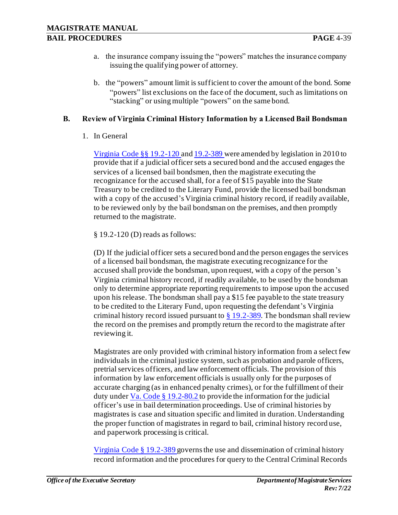- a. the insurance company issuing the "powers" matches the insurance company issuing the qualifying power of attorney.
- b. the "powers" amount limit is sufficient to cover the amount of the bond. Some "powers" list exclusions on the face of the document, such as limitations on "stacking" or using multiple "powers" on the same bond.

### **B. Review of Virginia Criminal History Information by a Licensed Bail Bondsman**

1. In General

Virginia Code §§ 19.2-120 and 19.2-389 were amended by legislation in 2010 to provide that if a judicial officer sets a secured bond and the accused engages the services of a licensed bail bondsmen, then the magistrate executing the recognizance for the accused shall, for a fee of \$15 payable into the State Treasury to be credited to the Literary Fund, provide the licensed bail bondsman with a copy of the accused's Virginia criminal history record, if readily available, to be reviewed only by the bail bondsman on the premises, and then promptly returned to the magistrate.

§ 19.2-120 (D) reads as follows:

(D) If the judicial officer sets a secured bond and the person engages the services of a licensed bail bondsman, the magistrate executing recognizance for the accused shall provide the bondsman, upon request, with a copy of the person's Virginia criminal history record, if readily available, to be used by the bondsman only to determine appropriate reporting requirements to impose upon the accused upon his release. The bondsman shall pay a \$15 fee payable to the state treasury to be credited to the Literary Fund, upon requesting the defendant's Virginia criminal history record issued pursuant to  $\S$  19.2-389. The bondsman shall review the record on the premises and promptly return the record to the magistrate after reviewing it.

Magistrates are only provided with criminal history information from a select few individuals in the criminal justice system, such as probation and parole officers, pretrial services officers, and law enforcement officials. The provision of this information by law enforcement officials is usually only for the purposes of accurate charging (as in enhanced penalty crimes), or for the fulfillment of their duty under  $Va$ . Code § 19.2-80.2 to provide the information for the judicial</u> officer's use in bail determination proceedings. Use of criminal histories by magistrates is case and situation specific and limited in duration. Understanding the proper function of magistrates in regard to bail, criminal history record use, and paperwork processing is critical.

Virginia Code § 19.2-389 governs the use and dissemination of criminal history record information and the procedures for query to the Central Criminal Records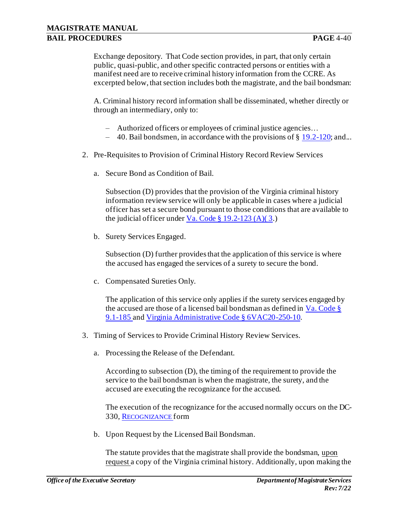Exchange depository. That Code section provides, in part, that only certain public, quasi-public, and other specific contracted persons or entities with a manifest need are to receive criminal history information from the CCRE. As excerpted below, that section includes both the magistrate, and the bail bondsman:

A. Criminal history record information shall be disseminated, whether directly or through an intermediary, only to:

- ‒ Authorized officers or employees of criminal justice agencies…
- $-$  40. Bail bondsmen, in accordance with the provisions of § 19.2-120; and...
- 2. Pre-Requisites to Provision of Criminal History Record Review Services
	- a. Secure Bond as Condition of Bail.

Subsection (D) provides that the provision of the Virginia criminal history information review service will only be applicable in cases where a judicial officer has set a secure bond pursuant to those conditions that are available to the judicial officer under  $V$ a. Code § 19.2-123 (A)(3.)</u>

b. Surety Services Engaged.

Subsection (D) further provides that the application of this service is where the accused has engaged the services of a surety to secure the bond.

c. Compensated Sureties Only.

The application of this service only applies if the surety services engaged by the accused are those of a licensed bail bondsman as defined in  $Va$ . Code § 9.1-185 an[d Virginia Administrative Code § 6VAC20-250-10.](http://law.lis.virginia.gov/admincode/title6/agency20/chapter250/section10/)

- 3. Timing of Services to Provide Criminal History Review Services.
	- a. Processing the Release of the Defendant.

According to subsection (D), the timing of the requirement to provide the service to the bail bondsman is when the magistrate, the surety, and the accused are executing the recognizance for the accused.

The execution of the recognizance for the accused normally occurs on the DC-330, R[ECOGNIZANCE](http://oesinet/forms/dcmasters/300s.pdf) form

b. Upon Request by the Licensed Bail Bondsman.

The statute provides that the magistrate shall provide the bondsman, upon request a copy of the Virginia criminal history. Additionally, upon making the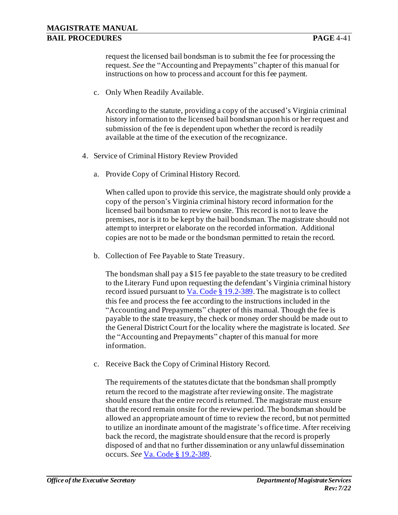request the licensed bail bondsman is to submit the fee for processing the request. *See* the "Accounting and Prepayments" chapter of this manual for instructions on how to process and account for this fee payment.

c. Only When Readily Available.

According to the statute, providing a copy of the accused's Virginia criminal history information to the licensed bail bondsman upon his or her request and submission of the fee is dependent upon whether the record is readily available at the time of the execution of the recognizance.

- 4. Service of Criminal History Review Provided
	- a. Provide Copy of Criminal History Record.

When called upon to provide this service, the magistrate should only provide a copy of the person's Virginia criminal history record information for the licensed bail bondsman to review onsite. This record is not to leave the premises, nor is it to be kept by the bail bondsman. The magistrate should not attempt to interpret or elaborate on the recorded information. Additional copies are not to be made or the bondsman permitted to retain the record.

b. Collection of Fee Payable to State Treasury.

The bondsman shall pay a \$15 fee payable to the state treasury to be credited to the Literary Fund upon requesting the defendant's Virginia criminal history record issued pursuant to  $Va$ . Code § 19.2-389. The magistrate is to collect</u> this fee and process the fee according to the instructions included in the "Accounting and Prepayments" chapter of this manual. Though the fee is payable to the state treasury, the check or money order should be made out to the General District Court for the locality where the magistrate is located. *See*  the "Accounting and Prepayments" chapter of this manual for more information.

c. Receive Back the Copy of Criminal History Record.

The requirements of the statutes dictate that the bondsman shall promptly return the record to the magistrate after reviewing onsite. The magistrate should ensure that the entire record is returned. The magistrate must ensure that the record remain onsite for the review period. The bondsman should be allowed an appropriate amount of time to review the record, but not permitted to utilize an inordinate amount of the magistrate's office time. After receiving back the record, the magistrate should ensure that the record is properly disposed of and that no further dissemination or any unlawful dissemination occurs. *See* Va. Code § 19.2-389.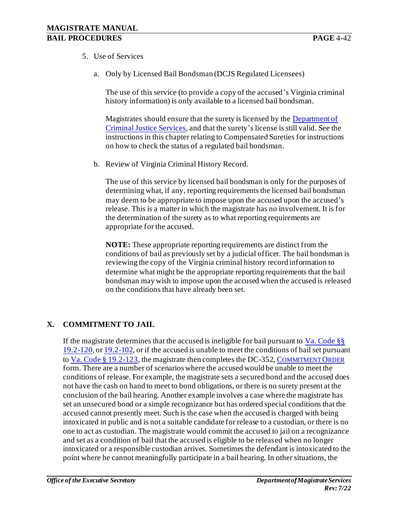- 5. Use of Services
	- a. Only by Licensed Bail Bondsman (DCJS Regulated Licensees)

The use of this service (to provide a copy of the accused's Virginia criminal history information) is only available to a licensed bail bondsman.

Magistrates should ensure that the surety is licensed by the **Department of** [Criminal Justice](http://www.dcjs.virginia.gov/) Services, and that the surety's license is still valid. See the instructions in this chapter relating to Compensated Sureties for instructions on how to check the status of a regulated bail bondsman.

b. Review of Virginia Criminal History Record.

The use of this service by licensed bail bondsman is only for the purposes of determining what, if any, reporting requirements the licensed bail bondsman may deem to be appropriate to impose upon the accused upon the accused's release. This is a matter in which the magistrate has no involvement. It is for the determination of the surety as to what reporting requirements are appropriate for the accused.

**NOTE:** These appropriate reporting requirements are distinct from the conditions of bail as previously set by a judicial officer. The bail bondsman is reviewing the copy of the Virginia criminal history record information to determine what might be the appropriate reporting requirements that the bail bondsman may wish to impose upon the accused when the accused is released on the conditions that have already been set.

## **X. COMMITMENT TO JAIL**

If the magistrate determines that the accused is ineligible for bail pursuant to Va. Code  $\S$ 19.2-120, or 19.2-102, or if the accused is unable to meet the conditions of bail set pursuant to Va. Code § 19.2-123, the magistrate then completes the DC-352, C[OMMITMENT](http://oesinet/forms/dcmasters/300s.pdf) ORDER form. There are a number of scenarios where the accused would be unable to meet the conditions of release. For example, the magistrate sets a secured bond and the accused does not have the cash on hand to meet to bond obligations, or there is no surety present at the conclusion of the bail hearing. Another example involves a case where the magistrate has set an unsecured bond or a simple recognizance but has ordered special conditions that the accused cannot presently meet. Such is the case when the accused is charged with being intoxicated in public and is not a suitable candidate for release to a custodian, or there is no one to act as custodian. The magistrate would commit the accused to jail on a recognizance and set as a condition of bail that the accused is eligible to be released when no longer intoxicated or a responsible custodian arrives. Sometimes the defendant is intoxicated to the point where he cannot meaningfully participate in a bail hearing. In other situations, the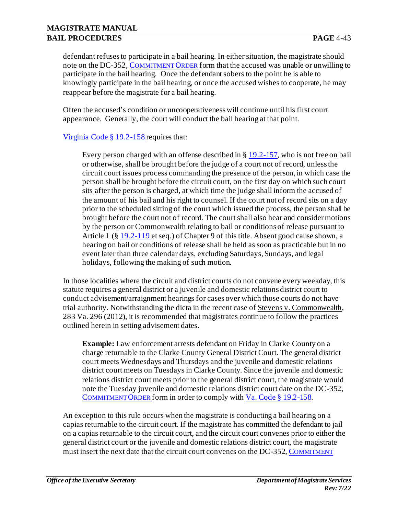## **MAGISTRATE MANUAL BAIL PROCEDURES PAGE** 4-43

defendant refuses to participate in a bail hearing. In either situation, the magistrate should note on the DC-352, C[OMMITMENT](http://oesinet/forms/dcmasters/300s.pdf) ORDER form that the accused was unable or unwilling to participate in the bail hearing. Once the defendant sobers to the point he is able to knowingly participate in the bail hearing, or once the accused wishes to cooperate, he may reappear before the magistrate for a bail hearing.

Often the accused's condition or uncooperativeness will continue until his first court appearance. Generally, the court will conduct the bail hearing at that point.

## Virginia Code § 19.2-158 requires that:

Every person charged with an offense described in § 19.2-157, who is not free on bail or otherwise, shall be brought before the judge of a court not of record, unless the circuit court issues process commanding the presence of the person, in which case the person shall be brought before the circuit court, on the first day on which such court sits after the person is charged, at which time the judge shall inform the accused of the amount of his bail and his right to counsel. If the court not of record sits on a day prior to the scheduled sitting of the court which issued the process, the person shall be brought before the court not of record. The court shall also hear and consider motions by the person or Commonwealth relating to bail or conditions of release pursuant to Article 1 (§ 19.2-119 et seq.) of Chapter 9 of this title. Absent good cause shown, a hearing on bail or conditions of release shall be held as soon as practicable but in no event later than three calendar days, excluding Saturdays, Sundays, and legal holidays, following the making of such motion.

In those localities where the circuit and district courts do not convene every weekday, this statute requires a general district or a juvenile and domestic relations district court to conduct advisement/arraignment hearings for cases over which those courts do not have trial authority. Notwithstanding the dicta in the recent case of Stevens v. Commonwealth, 283 Va. 296 (2012), it is recommended that magistrates continue to follow the practices outlined herein in setting advisement dates.

**Example:** Law enforcement arrests defendant on Friday in Clarke County on a charge returnable to the Clarke County General District Court. The general district court meets Wednesdays and Thursdays and the juvenile and domestic relations district court meets on Tuesdays in Clarke County. Since the juvenile and domestic relations district court meets prior to the general district court, the magistrate would note the Tuesday juvenile and domestic relations district court date on the DC-352, C[OMMITMENT](http://oesinet/forms/dcmasters/300s.pdf) ORDER form in order to comply with Va. Code § 19.2-158.

An exception to this rule occurs when the magistrate is conducting a bail hearing on a capias returnable to the circuit court. If the magistrate has committed the defendant to jail on a capias returnable to the circuit court, and the circuit court convenes prior to either the general district court or the juvenile and domestic relations district court, the magistrate must insert the next date that the circuit court convenes on the DC-352, C[OMMITMENT](http://oesinet/forms/dcmasters/300s.pdf)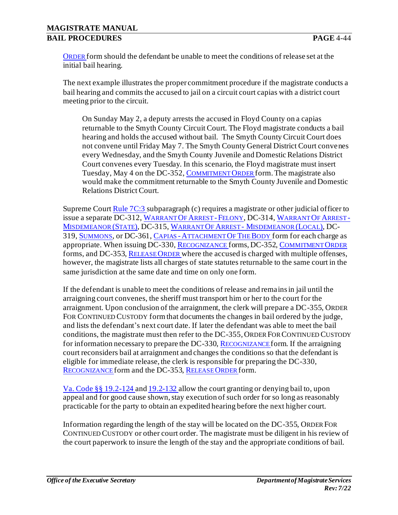O[RDER](http://oesinet/forms/dcmasters/300s.pdf) form should the defendant be unable to meet the conditions of release set at the initial bail hearing.

The next example illustrates the proper commitment procedure if the magistrate conducts a bail hearing and commits the accused to jail on a circuit court capias with a district court meeting prior to the circuit.

On Sunday May 2, a deputy arrests the accused in Floyd County on a capias returnable to the Smyth County Circuit Court. The Floyd magistrate conducts a bail hearing and holds the accused without bail. The Smyth County Circuit Court does not convene until Friday May 7. The Smyth County General District Court convenes every Wednesday, and the Smyth County Juvenile and Domestic Relations District Court convenes every Tuesday. In this scenario, the Floyd magistrate must insert Tuesday, May 4 on the DC-352, C[OMMITMENT](http://oesinet/forms/dcmasters/300s.pdf) O[RDER](http://oesinet/forms/dcmasters/300s.pdf) form. The magistrate also would make the commitment returnable to the Smyth County Juvenile and Domestic Relations District Court.

Supreme Cour[t Rule 7C:3](http://www.courts.state.va.us/courts/scv/rulesofcourt.pdf) subparagraph (c) requires a magistrate or other judicial officer to issue a separate DC-312, W[ARRANT](http://oesinet/forms/dcmasters/300s.pdf) OF ARREST -FELONY, DC-314, W[ARRANT](http://oesinet/forms/dcmasters/300s.pdf) OF ARREST - M[ISDEMEANOR](http://oesinet/forms/dcmasters/300s.pdf) (STATE), DC-315, WARRANT OF ARREST - M[ISDEMEANOR](http://oesinet/forms/dcmasters/300s.pdf) (LOCAL), DC-319, S[UMMONS](http://oesinet/forms/dcmasters/300s.pdf), or DC-361, CAPIAS -A[TTACHMENT](http://oesinet/forms/dcmasters/300s.pdf) OF THE BODY form for each charge as appropriate. When issuing DC-330, R[ECOGNIZANCE](http://oesinet/forms/dcmasters/300s.pdf) forms, DC-352, C[OMMITMENT](http://oesinet/forms/dcmasters/300s.pdf) ORDER forms, and DC-353, R[ELEASE](http://oesinet/forms/dcmasters/300s.pdf) ORDER where the accused is charged with multiple offenses, however, the magistrate lists all charges of state statutes returnable to the same court in the same jurisdiction at the same date and time on only one form.

If the defendant is unable to meet the conditions of release and remains in jail until the arraigning court convenes, the sheriff must transport him or her to the court for the arraignment. Upon conclusion of the arraignment, the clerk will prepare a DC-355, ORDER FOR CONTINUED CUSTODY form that documents the changes in bail ordered by the judge, and lists the defendant's next court date. If later the defendant was able to meet the bail conditions, the magistrate must then refer to the DC-355, ORDER FOR CONTINUED CUSTODY for information necessary to prepare the DC-330, R[ECOGNIZANCE](http://oesinet/forms/dcmasters/300s.pdf) form. If the arraigning court reconsiders bail at arraignment and changes the conditions so that the defendant is eligible for immediate release, the clerk is responsible for preparing the DC-330, R[ECOGNIZANCE](http://oesinet/forms/dcmasters/300s.pdf) form and the DC-353, R[ELEASE](http://oesinet/forms/dcmasters/300s.pdf) ORDER form.

Va. Code §§ 19.2-124 and 19.2-132 allow the court granting or denying bail to, upon appeal and for good cause shown, stay execution of such order for so long as reasonably practicable for the party to obtain an expedited hearing before the next higher court.

Information regarding the length of the stay will be located on the DC-355, ORDER FOR CONTINUED CUSTODY or other court order. The magistrate must be diligent in his review of the court paperwork to insure the length of the stay and the appropriate conditions of bail.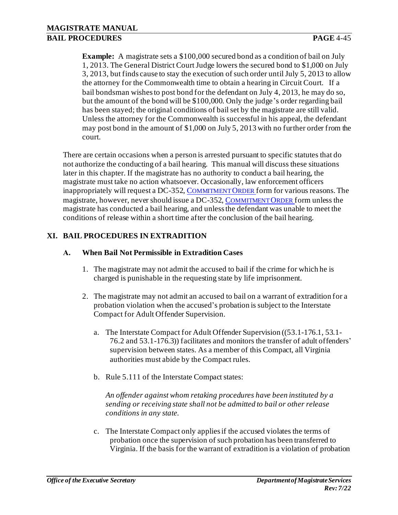**Example:** A magistrate sets a \$100,000 secured bond as a condition of bail on July 1, 2013. The General District Court Judge lowers the secured bond to \$1,000 on July 3, 2013, but finds cause to stay the execution of such order until July 5, 2013 to allow the attorney for the Commonwealth time to obtain a hearing in Circuit Court. If a bail bondsman wishes to post bond for the defendant on July 4, 2013, he may do so, but the amount of the bond will be \$100,000. Only the judge's order regarding bail has been stayed; the original conditions of bail set by the magistrate are still valid. Unless the attorney for the Commonwealth is successful in his appeal, the defendant may post bond in the amount of \$1,000 on July 5, 2013 with no further order from the court.

There are certain occasions when a person is arrested pursuant to specific statutes that do not authorize the conducting of a bail hearing. This manual will discuss these situations later in this chapter. If the magistrate has no authority to conduct a bail hearing, the magistrate must take no action whatsoever. Occasionally, law enforcement officers inappropriately will request a DC-352, C[OMMITMENT](http://oesinet/forms/dcmasters/300s.pdf) ORDER form for various reasons. The magistrate, however, never should issue a DC-352, C[OMMITMENT](http://oesinet/forms/dcmasters/300s.pdf) ORDER form unless the magistrate has conducted a bail hearing, and unless the defendant was unable to meet the conditions of release within a short time after the conclusion of the bail hearing.

## **XI. BAIL PROCEDURES IN EXTRADITION**

#### **A. When Bail Not Permissible in Extradition Cases**

- 1. The magistrate may not admit the accused to bail if the crime for which he is charged is punishable in the requesting state by life imprisonment.
- 2. The magistrate may not admit an accused to bail on a warrant of extradition for a probation violation when the accused's probation is subject to the Interstate Compact for Adult Offender Supervision.
	- a. The Interstate Compact for Adult Offender Supervision ((53.1-176.1, 53.1- 76.2 and 53.1-176.3)) facilitates and monitors the transfer of adult offenders' supervision between states. As a member of this Compact, all Virginia authorities must abide by the Compact rules.
	- b. Rule 5.111 of the Interstate Compact states:

*An offender against whom retaking procedures have been instituted by a sending or receiving state shall not be admitted to bail or other release conditions in any state.*

c. The Interstate Compact only applies if the accused violates the terms of probation once the supervision of such probation has been transferred to Virginia. If the basis for the warrant of extradition is a violation of probation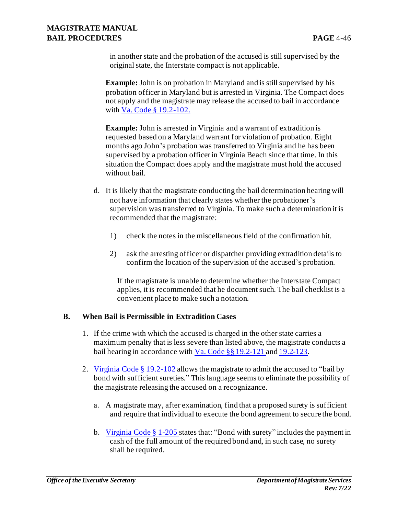in another state and the probation of the accused is still supervised by the original state, the Interstate compact is not applicable.

**Example:** John is on probation in Maryland and is still supervised by his probation officer in Maryland but is arrested in Virginia. The Compact does not apply and the magistrate may release the accused to bail in accordance with Va. Code § 19.2-102.

**Example:** John is arrested in Virginia and a warrant of extradition is requested based on a Maryland warrant for violation of probation. Eight months ago John's probation was transferred to Virginia and he has been supervised by a probation officer in Virginia Beach since that time. In this situation the Compact does apply and the magistrate must hold the accused without bail.

- d. It is likely that the magistrate conducting the bail determination hearing will not have information that clearly states whether the probationer's supervision was transferred to Virginia. To make such a determination it is recommended that the magistrate:
	- 1) check the notes in the miscellaneous field of the confirmation hit.
	- 2) ask the arresting officer or dispatcher providing extradition details to confirm the location of the supervision of the accused's probation.

If the magistrate is unable to determine whether the Interstate Compact applies, it is recommended that he document such. The bail checklist is a convenient place to make such a notation.

#### **B. When Bail is Permissible in Extradition Cases**

- 1. If the crime with which the accused is charged in the other state carries a maximum penalty that is less severe than listed above, the magistrate conducts a bail hearing in accordance with Va. Code §§ 19.2-121 and 19.2-123.
- 2. Virginia Code § 19.2-102 allows the magistrate to admit the accused to "bail by bond with sufficient sureties." This language seems to eliminate the possibility of the magistrate releasing the accused on a recognizance.
	- a. A magistrate may, after examination, find that a proposed surety is sufficient and require that individual to execute the bond agreement to secure the bond.
	- b. Virginia Code § 1-205 states that: "Bond with surety" includes the payment in cash of the full amount of the required bond and, in such case, no surety shall be required.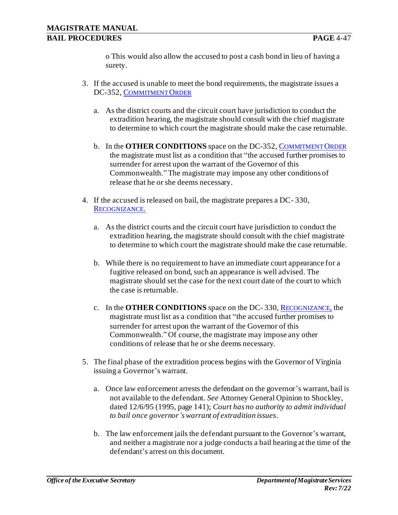o This would also allow the accused to post a cash bond in lieu of having a surety.

- 3. If the accused is unable to meet the bond requirements, the magistrate issues a DC-352, C[OMMITMENT](http://oesinet/forms/dcmasters/300s.pdf) ORDER
	- a. As the district courts and the circuit court have jurisdiction to conduct the extradition hearing, the magistrate should consult with the chief magistrate to determine to which court the magistrate should make the case returnable.
	- b. In the **OTHER CONDITIONS** space on the DC-352, C[OMMITMENT](http://oesinet/forms/dcmasters/300s.pdf) ORDER the magistrate must list as a condition that "the accused further promises to surrender for arrest upon the warrant of the Governor of this Commonwealth." The magistrate may impose any other conditions of release that he or she deems necessary.
- 4. If the accused is released on bail, the magistrate prepares a DC- 330, RECOGNIZANCE.
	- a. As the district courts and the circuit court have jurisdiction to conduct the extradition hearing, the magistrate should consult with the chief magistrate to determine to which court the magistrate should make the case returnable.
	- b. While there is no requirement to have an immediate court appearance for a fugitive released on bond, such an appearance is well advised. The magistrate should set the case for the next court date of the court to which the case is returnable.
	- c. In the **OTHER CONDITIONS** space on the DC- 330, R[ECOGNIZANCE](http://oesinet/forms/dcmasters/300s.pdf), the magistrate must list as a condition that "the accused further promises to surrender for arrest upon the warrant of the Governor of this Commonwealth." Of course, the magistrate may impose any other conditions of release that he or she deems necessary.
- 5. The final phase of the extradition process begins with the Governor of Virginia issuing a Governor's warrant.
	- a. Once law enforcement arrests the defendant on the governor's warrant, bail is not available to the defendant. *See* Attorney General Opinion to Shockley, dated 12/6/95 (1995, page 141); *Court has no authority to admit individual to bail once governor's warrant of extradition issues*.
	- b. The law enforcement jails the defendant pursuant to the Governor's warrant, and neither a magistrate nor a judge conducts a bail hearing at the time of the defendant's arrest on this document.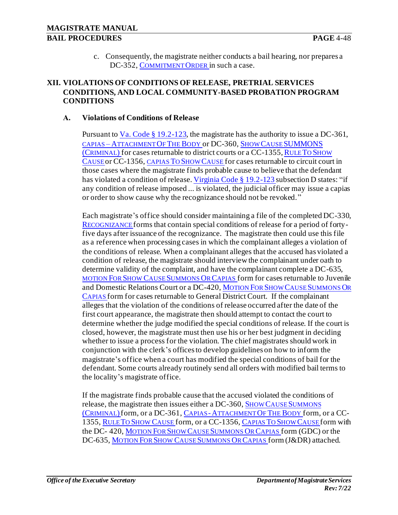c. Consequently, the magistrate neither conducts a bail hearing, nor prepares a DC-352, C[OMMITMENT](http://oesinet/forms/dcmasters/300s.pdf) ORDER in such a case.

#### **XII. VIOLATIONS OF CONDITIONS OF RELEASE, PRETRIAL SERVICES CONDITIONS, AND LOCAL COMMUNITY-BASED PROBATION PROGRAM CONDITIONS**

#### **A. Violations of Conditions of Release**

Pursuant to  $Va$ . Code § 19.2-123, the magistrate has the authority to issue a DC-361,</u> CAPIAS – A[TTACHMENT](http://oesinet/forms/dcmasters/300s.pdf) OF THE BODY or DC-360, SHOW CAUSE [SUMMONS](http://oesinet/forms/dcmasters/300s.pdf) (C[RIMINAL](http://oesinet/forms/dcmasters/300s.pdf)) for cases returnable to district courts or a CC-1355, RULE TO S[HOW](http://oesinet/forms/ccmasters/1300s.pdf) C[AUSE](http://oesinet/forms/ccmasters/1300s.pdf) or CC-1356, [CAPIAS](http://oesinet/forms/ccmasters/1300s.pdf) TO SHOW CAUSE for cases returnable to circuit court in those cases where the magistrate finds probable cause to believe that the defendant has violated a condition of release. Virginia Code § 19.2-123 subsection D states: "if any condition of release imposed ... is violated, the judicial officer may issue a capias or order to show cause why the recognizance should not be revoked."

Each magistrate's office should consider maintaining a file of the completed DC-330, R[ECOGNIZANCE](http://oesinet/forms/dcmasters/300s.pdf) forms that contain special conditions of release for a period of fortyfive days after issuance of the recognizance. The magistrate then could use this file as a reference when processing cases in which the complainant alleges a violation of the conditions of release. When a complainant alleges that the accused has violated a condition of release, the magistrate should interview the complainant under oath to determine validity of the complaint, and have the complainant complete a DC-635, MOTION FOR SHOW CAUSE S[UMMONS](http://www.courts.state.va.us/forms/district/dc635.pdf) OR CAPIAS form for cases returnable to Juvenile and Domestic Relations Court or a DC-420, MOTION FOR SHOW CAUSE S[UMMONS](http://www.courts.state.va.us/forms/district/dc420.pdf) OR C[APIAS](http://www.courts.state.va.us/forms/district/dc420.pdf) form for cases returnable to General District Court. If the complainant alleges that the violation of the conditions of release occurred after the date of the first court appearance, the magistrate then should attempt to contact the court to determine whether the judge modified the special conditions of release. If the court is closed, however, the magistrate must then use his or her best judgment in deciding whether to issue a process for the violation. The chief magistrates should work in conjunction with the clerk's offices to develop guidelines on how to inform the magistrate's office when a court has modified the special conditions of bail for the defendant. Some courts already routinely send all orders with modified bail terms to the locality's magistrate office.

If the magistrate finds probable cause that the accused violated the conditions of release, the magistrate then issues either a DC-360, SHOW CAUSE S[UMMONS](http://oesinet/forms/dcmasters/300s.pdf) (C[RIMINAL](http://oesinet/forms/dcmasters/300s.pdf))form, or a DC-361, CAPIAS -A[TTACHMENT](http://oesinet/forms/dcmasters/300s.pdf) OF THE BODY form, or a CC-1355, RULE TO SHOW C[AUSE](http://oesinet/forms/ccmasters/1300s.pdf) form, or a CC-1356, C[APIAS](http://oesinet/forms/ccmasters/1300s.pdf) TO SHOW CAUSE form with the DC- 420, MOTION FOR SHOW CAUSE S[UMMONS](http://www.courts.state.va.us/forms/district/dc420.pdf) OR CAPIAS form (GDC) or the DC-635, MOTION FOR SHOW CAUSE S[UMMONS](http://www.courts.state.va.us/forms/district/dc635.pdf) OR CAPIAS form (J&DR) attached.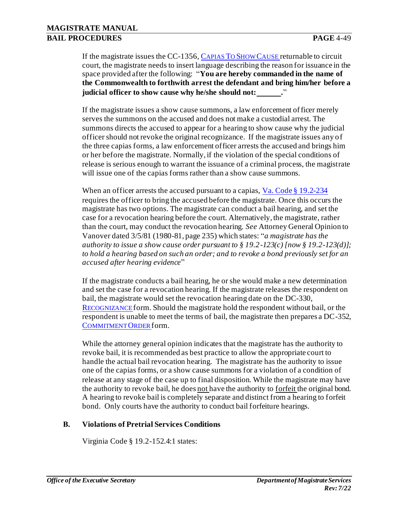If the magistrate issues the CC-1356, C[APIAS](http://oesinet/forms/ccmasters/1300s.pdf) TO SHOW CAUSE returnable to circuit court, the magistrate needs to insert language describing the reason for issuance in the space provided after the following: "**You are hereby commanded in the name of the Commonwealth to forthwith arrest the defendant and bring him/her before a judicial officer to show cause why he/she should not: .**"

If the magistrate issues a show cause summons, a law enforcement officer merely serves the summons on the accused and does not make a custodial arrest. The summons directs the accused to appear for a hearing to show cause why the judicial officer should not revoke the original recognizance. If the magistrate issues any of the three capias forms, a law enforcement officer arrests the accused and brings him or her before the magistrate. Normally, if the violation of the special conditions of release is serious enough to warrant the issuance of a criminal process, the magistrate will issue one of the capias forms rather than a show cause summons.

When an officer arrests the accused pursuant to a capias, Va. Code § 19.2-234 requires the officer to bring the accused before the magistrate. Once this occurs the magistrate has two options. The magistrate can conduct a bail hearing, and set the case for a revocation hearing before the court. Alternatively, the magistrate, rather than the court, may conduct the revocation hearing. *See* Attorney General Opinion to Vanover dated 3/5/81 (1980-81, page 235) which states: "*a magistrate has the authority to issue a show cause order pursuant to § 19.2-123(c) [now § 19.2-123(d)]; to hold a hearing based on such an order; and to revoke a bond previously set for an accused after hearing evidence*"

If the magistrate conducts a bail hearing, he or she would make a new determination and set the case for a revocation hearing. If the magistrate releases the respondent on bail, the magistrate would set the revocation hearing date on the DC-330, R[ECOGNIZANCE](http://oesinet/forms/dcmasters/300s.pdf) form. Should the magistrate hold the respondent without bail, or the respondent is unable to meet the terms of bail, the magistrate then prepares a DC-352, C[OMMITMENT](http://oesinet/forms/dcmasters/300s.pdf) ORDER form.

While the attorney general opinion indicates that the magistrate has the authority to revoke bail, it is recommended as best practice to allow the appropriate court to handle the actual bail revocation hearing. The magistrate has the authority to issue one of the capias forms, or a show cause summons for a violation of a condition of release at any stage of the case up to final disposition. While the magistrate may have the authority to revoke bail, he does not have the authority to forfeit the original bond. A hearing to revoke bail is completely separate and distinct from a hearing to forfeit bond. Only courts have the authority to conduct bail forfeiture hearings.

#### **B. Violations of Pretrial Services Conditions**

Virginia Code § 19.2-152.4:1 states: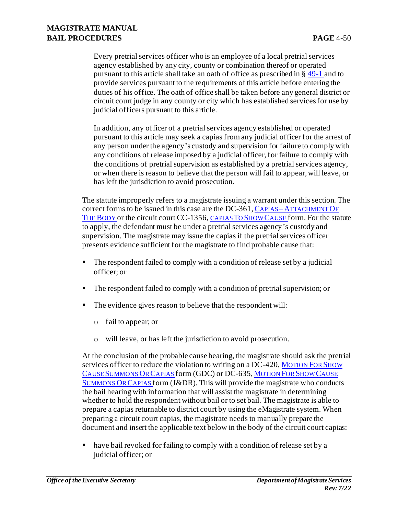Every pretrial services officer who is an employee of a local pretrial services agency established by any city, county or combination thereof or operated pursuant to this article shall take an oath of office as prescribed in § 49-1 and to provide services pursuant to the requirements of this article before entering the duties of his office. The oath of office shall be taken before any general district or circuit court judge in any county or city which has established services for use by judicial officers pursuant to this article.

In addition, any officer of a pretrial services agency established or operated pursuant to this article may seek a capias from any judicial officer for the arrest of any person under the agency's custody and supervision for failure to comply with any conditions of release imposed by a judicial officer, for failure to comply with the conditions of pretrial supervision as established by a pretrial services agency, or when there is reason to believe that the person will fail to appear, will leave, or has left the jurisdiction to avoid prosecution.

The statute improperly refers to a magistrate issuing a warrant under this section. The correct forms to be issued in this case are the DC-361, CAPIAS – A[TTACHMENT](http://oesinet/forms/dcmasters/300s.pdf) OF T[HE](http://oesinet/forms/dcmasters/300s.pdf) B[ODY](http://oesinet/forms/dcmasters/300s.pdf) or the circuit court CC-1356, [CAPIAS](http://oesinet/forms/ccmasters/1300s.pdf) TO SHOW CAUSE form. For the statute to apply, the defendant must be under a pretrial services agency's custody and supervision. The magistrate may issue the capias if the pretrial services officer presents evidence sufficient for the magistrate to find probable cause that:

- The respondent failed to comply with a condition of release set by a judicial officer; or
- The respondent failed to comply with a condition of pretrial supervision; or
- The evidence gives reason to believe that the respondent will:
	- o fail to appear; or
	- o will leave, or has left the jurisdiction to avoid prosecution.

At the conclusion of the probable cause hearing, the magistrate should ask the pretrial services officer to reduce the violation to writing on a DC-420, M[OTION](http://www.courts.state.va.us/forms/district/dc420.pdf) FOR SHOW CAUSE S[UMMONS](http://www.courts.state.va.us/forms/district/dc420.pdf) OR CAPIAS form (GDC) or DC-635, M[OTION](http://www.courts.state.va.us/forms/district/dc635.pdf) FOR SHOW CAUSE S[UMMONS](http://www.courts.state.va.us/forms/district/dc635.pdf) OR CAPIAS form (J&DR). This will provide the magistrate who conducts the bail hearing with information that will assist the magistrate in determining whether to hold the respondent without bail or to set bail. The magistrate is able to prepare a capias returnable to district court by using the eMagistrate system. When preparing a circuit court capias, the magistrate needs to manually prepare the document and insert the applicable text below in the body of the circuit court capias:

have bail revoked for failing to comply with a condition of release set by a judicial officer; or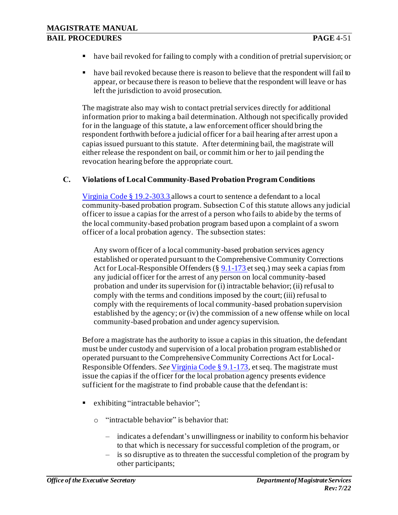- have bail revoked for failing to comply with a condition of pretrial supervision; or
- have bail revoked because there is reason to believe that the respondent will fail to appear, or because there is reason to believe that the respondent will leave or has left the jurisdiction to avoid prosecution.

The magistrate also may wish to contact pretrial services directly for additional information prior to making a bail determination. Although not specifically provided for in the language of this statute, a law enforcement officer should bring the respondent forthwith before a judicial officer for a bail hearing after arrest upon a capias issued pursuant to this statute. After determining bail, the magistrate will either release the respondent on bail, or commit him or her to jail pending the revocation hearing before the appropriate court.

#### **C. Violations of Local Community-Based Probation Program Conditions**

Virginia Code § 19.2-303.3 allows a court to sentence a defendant to a local community-based probation program. Subsection C of this statute allows any judicial officer to issue a capias for the arrest of a person who fails to abide by the terms of the local community-based probation program based upon a complaint of a sworn officer of a local probation agency. The subsection states:

Any sworn officer of a local community-based probation services agency established or operated pursuant to the Comprehensive Community Corrections Act for Local-Responsible Offenders (§ 9.1-173 et seq.) may seek a capias from any judicial officer for the arrest of any person on local community-based probation and under its supervision for (i) intractable behavior; (ii) refusal to comply with the terms and conditions imposed by the court; (iii) refusal to comply with the requirements of local community-based probation supervision established by the agency; or (iv) the commission of a new offense while on local community-based probation and under agency supervision.

Before a magistrate has the authority to issue a capias in this situation, the defendant must be under custody and supervision of a local probation program established or operated pursuant to the Comprehensive Community Corrections Act for Local-Responsible Offenders. *See* Virginia Code § 9.1-173, et seq. The magistrate must issue the capias if the officer for the local probation agency presents evidence sufficient for the magistrate to find probable cause that the defendant is:

- exhibiting "intractable behavior";
	- o "intractable behavior" is behavior that:
		- ‒ indicates a defendant's unwillingness or inability to conform his behavior to that which is necessary for successful completion of the program, or
		- ‒ is so disruptive as to threaten the successful completion of the program by other participants;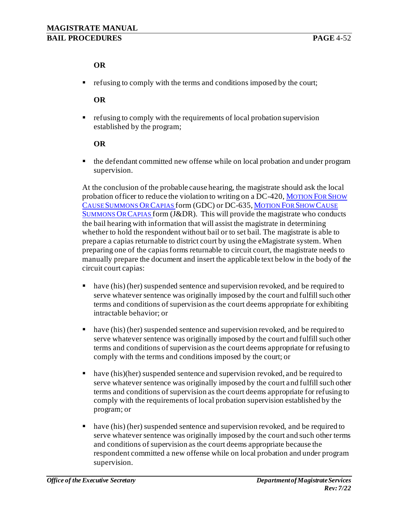## **OR**

■ refusing to comply with the terms and conditions imposed by the court;

### **OR**

■ refusing to comply with the requirements of local probation supervision established by the program;

### **OR**

■ the defendant committed new offense while on local probation and under program supervision.

At the conclusion of the probable cause hearing, the magistrate should ask the local probation officer to reduce the violation to writing on a DC-420, M[OTION](http://www.courts.state.va.us/forms/district/dc420.pdf) FOR SHOW CAUSE S[UMMONS](http://www.courts.state.va.us/forms/district/dc420.pdf) OR CAPIAS form (GDC) or DC-635, M[OTION](http://www.courts.state.va.us/forms/district/dc635.pdf) FOR SHOW CAUSE S[UMMONS](http://www.courts.state.va.us/forms/district/dc635.pdf) OR CAPIAS form (J&DR). This will provide the magistrate who conducts the bail hearing with information that will assist the magistrate in determining whether to hold the respondent without bail or to set bail. The magistrate is able to prepare a capias returnable to district court by using the eMagistrate system. When preparing one of the capias forms returnable to circuit court, the magistrate needs to manually prepare the document and insert the applicable text below in the body of the circuit court capias:

- have (his) (her) suspended sentence and supervision revoked, and be required to serve whatever sentence was originally imposed by the court and fulfill such other terms and conditions of supervision as the court deems appropriate for exhibiting intractable behavior; or
- have (his) (her) suspended sentence and supervision revoked, and be required to serve whatever sentence was originally imposed by the court and fulfill such other terms and conditions of supervision as the court deems appropriate for refusing to comply with the terms and conditions imposed by the court; or
- have (his)(her) suspended sentence and supervision revoked, and be required to serve whatever sentence was originally imposed by the court and fulfill such other terms and conditions of supervision as the court deems appropriate for refusing to comply with the requirements of local probation supervision established by the program; or
- have (his) (her) suspended sentence and supervision revoked, and be required to serve whatever sentence was originally imposed by the court and such other terms and conditions of supervision as the court deems appropriate because the respondent committed a new offense while on local probation and under program supervision.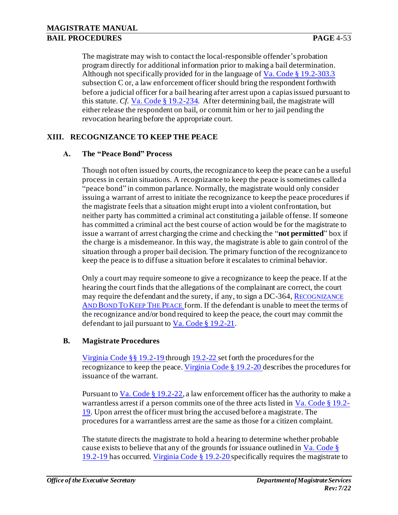The magistrate may wish to contact the local-responsible offender's probation program directly for additional information prior to making a bail determination. Although not specifically provided for in the language of Va. Code § 19.2-303.3 subsection C or, a law enforcement officer should bring the respondent forthwith before a judicial officer for a bail hearing after arrest upon a capias issued pursuant to this statute. *Cf*. Va. Code § 19.2-234. After determining bail, the magistrate will either release the respondent on bail, or commit him or her to jail pending the revocation hearing before the appropriate court.

## **XIII. RECOGNIZANCE TO KEEP THE PEACE**

#### **A. The "Peace Bond" Process**

Though not often issued by courts, the recognizance to keep the peace can be a useful process in certain situations. A recognizance to keep the peace is sometimes called a "peace bond" in common parlance. Normally, the magistrate would only consider issuing a warrant of arrest to initiate the recognizance to keep the peace procedures if the magistrate feels that a situation might erupt into a violent confrontation, but neither party has committed a criminal act constituting a jailable offense. If someone has committed a criminal act the best course of action would be for the magistrate to issue a warrant of arrest charging the crime and checking the "**not permitted**" box if the charge is a misdemeanor. In this way, the magistrate is able to gain control of the situation through a proper bail decision. The primary function of the recognizance to keep the peace is to diffuse a situation before it escalates to criminal behavior.

Only a court may require someone to give a recognizance to keep the peace. If at the hearing the court finds that the allegations of the complainant are correct, the court may require the defendant and the surety, if any, to sign a DC-364, R[ECOGNIZANCE](http://oesinet/forms/dcmasters/300s.pdf) AND BOND TO KEEP THE P[EACE](http://oesinet/forms/dcmasters/300s.pdf) form. If the defendant is unable to meet the terms of the recognizance and/or bond required to keep the peace, the court may commit the defendant to jail pursuant to Va. Code § 19.2-21.

#### **B. Magistrate Procedures**

Virginia Code §§ 19.2-19 through 19.2-22 set forth the procedures for the recognizance to keep the peace. Virginia Code § 19.2-20 describes the procedures for issuance of the warrant.

Pursuant to  $Va$ . Code § 19.2-22, a law enforcement officer has the authority to make a</u> warrantless arrest if a person commits one of the three acts listed in  $Va$ . Code  $\S 19.2$ -19. Upon arrest the officer must bring the accused before a magistrate. The procedures for a warrantless arrest are the same as those for a citizen complaint.

The statute directs the magistrate to hold a hearing to determine whether probable cause exists to believe that any of the grounds for issuance outlined in  $Va$ . Code § 19.2-19 has occurred. Virginia Code § 19.2-20 specifically requires the magistrate to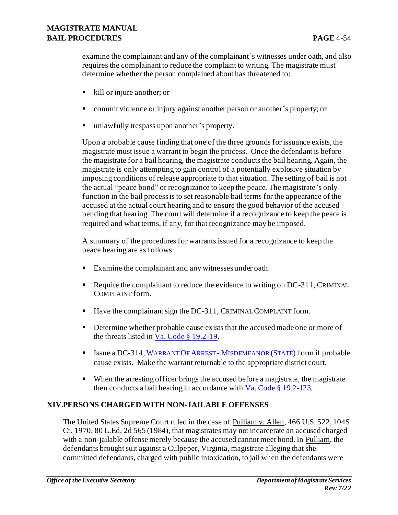examine the complainant and any of the complainant's witnesses under oath, and also requires the complainant to reduce the complaint to writing. The magistrate must determine whether the person complained about has threatened to:

- kill or injure another; or
- commit violence or injury against another person or another's property; or
- unlawfully trespass upon another's property.

Upon a probable cause finding that one of the three grounds for issuance exists, the magistrate must issue a warrant to begin the process. Once the defendant is before the magistrate for a bail hearing, the magistrate conducts the bail hearing. Again, the magistrate is only attempting to gain control of a potentially explosive situation by imposing conditions of release appropriate to that situation. The setting of bail is not the actual "peace bond" or recognizance to keep the peace. The magistrate's only function in the bail process is to set reasonable bail terms for the appearance of the accused at the actual court hearing and to ensure the good behavior of the accused pending that hearing. The court will determine if a recognizance to keep the peace is required and what terms, if any, for that recognizance may be imposed.

A summary of the procedures for warrants issued for a recognizance to keep the peace hearing are as follows:

- Examine the complainant and any witnesses under oath.
- Require the complainant to reduce the evidence to writing on DC-311, CRIMINAL COMPLAINT form.
- Have the complainant sign the DC-311, CRIMINAL COMPLAINT form.
- **•** Determine whether probable cause exists that the accused made one or more of the threats listed in Va. Code § 19.2-19.
- **EXECUTE:** Issue a DC-314, WARRANT OF ARREST M[ISDEMEANOR](http://oesinet/forms/dcmasters/300s.pdf) (STATE) form if probable cause exists. Make the warrant returnable to the appropriate district court.
- When the arresting officer brings the accused before a magistrate, the magistrate then conducts a bail hearing in accordance with  $Va$ . Code § 19.2-123.</u>

## **XIV.PERSONS CHARGED WITH NON-JAILABLE OFFENSES**

The United States Supreme Court ruled in the case of Pulliam v. Allen, 466 U.S. 522, 104S. Ct. 1970, 80 L.Ed. 2d 565 (1984), that magistrates may not incarcerate an accused charged with a non-jailable offense merely because the accused cannot meet bond. In Pulliam, the defendants brought suit against a Culpeper, Virginia, magistrate alleging that she committed defendants, charged with public intoxication, to jail when the defendants were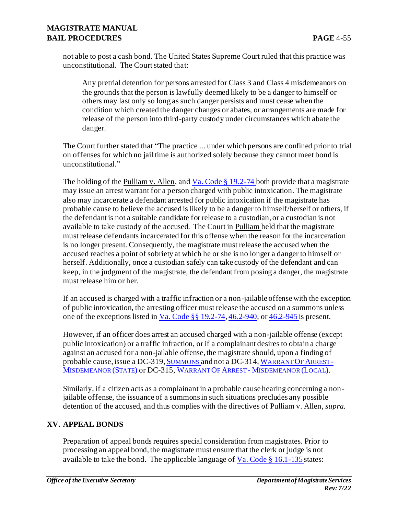not able to post a cash bond. The United States Supreme Court ruled that this practice was unconstitutional. The Court stated that:

Any pretrial detention for persons arrested for Class 3 and Class 4 misdemeanors on the grounds that the person is lawfully deemed likely to be a danger to himself or others may last only so long as such danger persists and must cease when the condition which created the danger changes or abates, or arrangements are made for release of the person into third-party custody under circumstances which abate the danger.

The Court further stated that "The practice ... under which persons are confined prior to trial on offenses for which no jail time is authorized solely because they cannot meet bond is unconstitutional."

The holding of the Pulliam v. Allen, and Va. Code  $\S 19.2-74$  both provide that a magistrate may issue an arrest warrant for a person charged with public intoxication. The magistrate also may incarcerate a defendant arrested for public intoxication if the magistrate has probable cause to believe the accused is likely to be a danger to himself/herself or others, if the defendant is not a suitable candidate for release to a custodian, or a custodian is not available to take custody of the accused. The Court in Pulliam held that the magistrate must release defendants incarcerated for this offense when the reason for the incarceration is no longer present. Consequently, the magistrate must release the accused when the accused reaches a point of sobriety at which he or she is no longer a danger to himself or herself. Additionally, once a custodian safely can take custody of the defendant and can keep, in the judgment of the magistrate, the defendant from posing a danger, the magistrate must release him or her.

If an accused is charged with a traffic infraction or a non-jailable offense with the exception of public intoxication, the arresting officer must release the accused on a summons unless one of the exceptions listed in Va. Code §§ 19.2-74, 46.2-940, or 46.2-945 is present.

However, if an officer does arrest an accused charged with a non-jailable offense (except public intoxication) or a traffic infraction, or if a complainant desires to obtain a charge against an accused for a non-jailable offense, the magistrate should, upon a finding of probable cause, issue a DC-319, S[UMMONS](http://oesinet/forms/dcmasters/300s.pdf) and not a DC-314, W[ARRANT](http://oesinet/forms/dcmasters/300s.pdf) OF ARREST - M[ISDEMEANOR](http://oesinet/forms/dcmasters/300s.pdf) (STATE) or DC-315, WARRANT OF ARREST - M[ISDEMEANOR](http://oesinet/forms/dcmasters/300s.pdf) (LOCAL).

Similarly, if a citizen acts as a complainant in a probable cause hearing concerning a nonjailable offense, the issuance of a summons in such situations precludes any possible detention of the accused, and thus complies with the directives of Pulliam v. Allen, *supra*.

## **XV. APPEAL BONDS**

Preparation of appeal bonds requires special consideration from magistrates. Prior to processing an appeal bond, the magistrate must ensure that the clerk or judge is not available to take the bond. The applicable language of  $Va$ . Code § 16.1-135 states: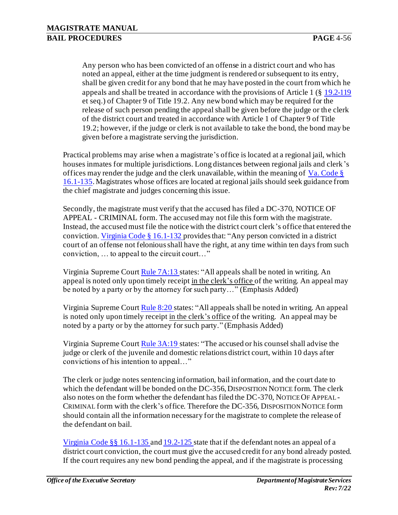Any person who has been convicted of an offense in a district court and who has noted an appeal, either at the time judgment is rendered or subsequent to its entry, shall be given credit for any bond that he may have posted in the court from which he appeals and shall be treated in accordance with the provisions of Article 1 (§ 19.2-119 et seq.) of Chapter 9 of Title 19.2. Any new bond which may be required for the release of such person pending the appeal shall be given before the judge or the clerk of the district court and treated in accordance with Article 1 of Chapter 9 of Title 19.2; however, if the judge or clerk is not available to take the bond, the bond may be given before a magistrate serving the jurisdiction.

Practical problems may arise when a magistrate's office is located at a regional jail, which houses inmates for multiple jurisdictions. Long distances between regional jails and clerk's offices may render the judge and the clerk unavailable, within the meaning of Va. Code § 16.1-135. Magistrates whose offices are located at regional jails should seek guidance from the chief magistrate and judges concerning this issue.

Secondly, the magistrate must verify that the accused has filed a DC-370, NOTICE OF APPEAL - CRIMINAL form. The accused may not file this form with the magistrate. Instead, the accused must file the notice with the district court clerk's office that entered the conviction. Virginia Code § 16.1-132 provides that: "Any person convicted in a district court of an offense not felonious shall have the right, at any time within ten days from such conviction, … to appeal to the circuit court…"

Virginia Supreme Cour[t Rule 7A:13](http://www.courts.state.va.us/courts/scv/rulesofcourt.pdf) states: "All appeals shall be noted in writing. An appeal is noted only upon timely receipt in the clerk's office of the writing. An appeal may be noted by a party or by the attorney for such party…" (Emphasis Added)

Virginia Supreme Cour[t Rule 8:20](http://www.courts.state.va.us/courts/scv/rulesofcourt.pdf) states: "All appeals shall be noted in writing. An appeal is noted only upon timely receipt in the clerk's office of the writing. An appeal may be noted by a party or by the attorney for such party." (Emphasis Added)

Virginia Supreme Cour[t Rule 3A:19](http://www.courts.state.va.us/courts/scv/rulesofcourt.pdf) states: "The accused or his counsel shall advise the judge or clerk of the juvenile and domestic relations district court, within 10 days after convictions of his intention to appeal…"

The clerk or judge notes sentencing information, bail information, and the court date to which the defendant will be bonded on the DC-356, DISPOSITION NOTICE form. The clerk also notes on the form whether the defendant has filed the DC-370, NOTICE OF APPEAL - CRIMINAL form with the clerk's office. Therefore the DC-356, DISPOSITION NOTICE form should contain all the information necessary for the magistrate to complete the release of the defendant on bail.

Virginia Code §§ 16.1-135 and 19.2-125 state that if the defendant notes an appeal of a district court conviction, the court must give the accused credit for any bond already posted. If the court requires any new bond pending the appeal, and if the magistrate is processing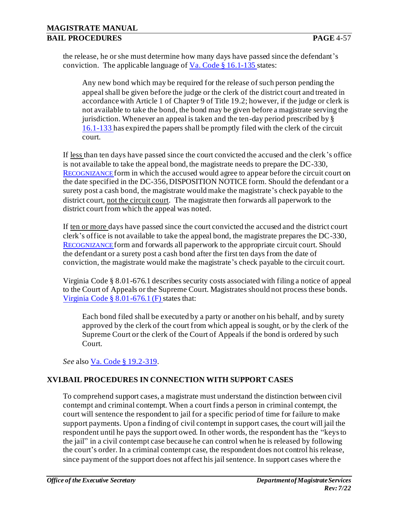the release, he or she must determine how many days have passed since the defendant's conviction. The applicable language of  $Va$ . Code § 16.1-135 states:

Any new bond which may be required for the release of such person pending the appeal shall be given before the judge or the clerk of the district court and treated in accordance with Article 1 of Chapter 9 of Title 19.2; however, if the judge or clerk is not available to take the bond, the bond may be given before a magistrate serving the jurisdiction. Whenever an appeal is taken and the ten-day period prescribed by § 16.1-133 has expired the papers shall be promptly filed with the clerk of the circuit court.

If less than ten days have passed since the court convicted the accused and the clerk's office is not available to take the appeal bond, the magistrate needs to prepare the DC-330, R[ECOGNIZANCE](http://oesinet/forms/dcmasters/300s.pdf) form in which the accused would agree to appear before the circuit court on the date specified in the DC-356, DISPOSITION NOTICE form. Should the defendant or a surety post a cash bond, the magistrate would make the magistrate's check payable to the district court, not the circuit court. The magistrate then forwards all paperwork to the district court from which the appeal was noted.

If ten or more days have passed since the court convicted the accused and the district court clerk's office is not available to take the appeal bond, the magistrate prepares the DC-330, R[ECOGNIZANCE](http://oesinet/forms/dcmasters/300s.pdf) form and forwards all paperwork to the appropriate circuit court. Should the defendant or a surety post a cash bond after the first ten days from the date of conviction, the magistrate would make the magistrate's check payable to the circuit court.

Virginia Code § 8.01-676.1 describes security costs associated with filing a notice of appeal to the Court of Appeals or the Supreme Court. Magistrates should not process these bonds. Virginia Code § 8.01-676.1 (F) states that:

Each bond filed shall be executed by a party or another on his behalf, and by surety approved by the clerk of the court from which appeal is sought, or by the clerk of the Supreme Court or the clerk of the Court of Appeals if the bond is ordered by such Court.

*See* also Va. Code § 19.2-319.

## **XVI.BAIL PROCEDURES IN CONNECTION WITH SUPPORT CASES**

To comprehend support cases, a magistrate must understand the distinction between civil contempt and criminal contempt. When a court finds a person in criminal contempt, the court will sentence the respondent to jail for a specific period of time for failure to make support payments. Upon a finding of civil contempt in support cases, the court will jail the respondent until he pays the support owed. In other words, the respondent has the "keys to the jail" in a civil contempt case because he can control when he is released by following the court's order. In a criminal contempt case, the respondent does not control his release, since payment of the support does not affect his jail sentence. In support cases where the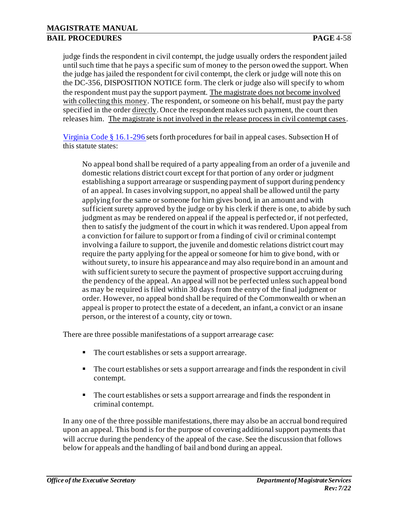judge finds the respondent in civil contempt, the judge usually orders the respondent jailed until such time that he pays a specific sum of money to the person owed the support. When the judge has jailed the respondent for civil contempt, the clerk or judge will note this on the DC-356, DISPOSITION NOTICE form. The clerk or judge also will specify to whom the respondent must pay the support payment. The magistrate does not become involved with collecting this money. The respondent, or someone on his behalf, must pay the party specified in the order directly. Once the respondent makes such payment, the court then releases him. The magistrate is not involved in the release process in civil contempt cases.

Virginia Code § 16.1-296 sets forth procedures for bail in appeal cases. Subsection H of this statute states:

No appeal bond shall be required of a party appealing from an order of a juvenile and domestic relations district court except for that portion of any order or judgment establishing a support arrearage or suspending payment of support during pendency of an appeal. In cases involving support, no appeal shall be allowed until the party applying for the same or someone for him gives bond, in an amount and with sufficient surety approved by the judge or by his clerk if there is one, to abide by such judgment as may be rendered on appeal if the appeal is perfected or, if not perfected, then to satisfy the judgment of the court in which it was rendered. Upon appeal from a conviction for failure to support or from a finding of civil or criminal contempt involving a failure to support, the juvenile and domestic relations district court may require the party applying for the appeal or someone for him to give bond, with or without surety, to insure his appearance and may also require bond in an amount and with sufficient surety to secure the payment of prospective support accruing during the pendency of the appeal. An appeal will not be perfected unless such appeal bond as may be required is filed within 30 days from the entry of the final judgment or order. However, no appeal bond shall be required of the Commonwealth or when an appeal is proper to protect the estate of a decedent, an infant, a convict or an insane person, or the interest of a county, city or town.

There are three possible manifestations of a support arrearage case:

- The court establishes or sets a support arrearage.
- The court establishes or sets a support arrearage and finds the respondent in civil contempt.
- The court establishes or sets a support arrearage and finds the respondent in criminal contempt.

In any one of the three possible manifestations, there may also be an accrual bond required upon an appeal. This bond is for the purpose of covering additional support payments tha t will accrue during the pendency of the appeal of the case. See the discussion that follows below for appeals and the handling of bail and bond during an appeal.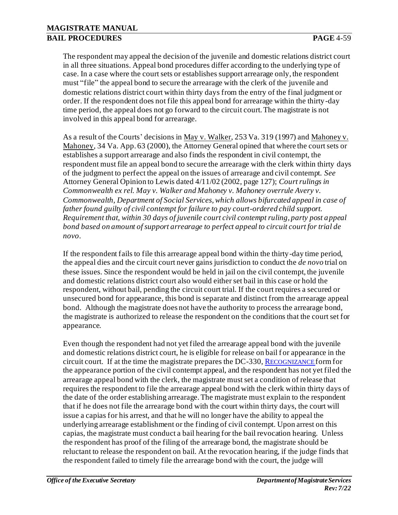The respondent may appeal the decision of the juvenile and domestic relations district court in all three situations. Appeal bond procedures differ according to the underlying type of case. In a case where the court sets or establishes support arrearage only, the respondent must "file" the appeal bond to secure the arrearage with the clerk of the juvenile and domestic relations district court within thirty days from the entry of the final judgment or order. If the respondent does not file this appeal bond for arrearage within the thirty-day time period, the appeal does not go forward to the circuit court. The magistrate is not involved in this appeal bond for arrearage.

As a result of the Courts' decisions in May v. Walker, 253 Va. 319 (1997) and Mahoney v. Mahoney, 34 Va. App. 63 (2000), the Attorney General opined that where the court sets or establishes a support arrearage and also finds the respondent in civil contempt, the respondent must file an appeal bond to secure the arrearage with the clerk within thirty days of the judgment to perfect the appeal on the issues of arrearage and civil contempt. *See*  Attorney General Opinion to Lewis dated 4/11/02 (2002, page 127); *Court rulings in Commonwealth ex rel. May v. Walker and Mahoney v. Mahoney overrule Avery v. Commonwealth, Department of Social Services, which allows bifurcated appeal in case of father found guilty of civil contempt for failure to pay court-ordered child support. Requirement that, within 30 days of juvenile court civil contempt ruling, party post appeal bond based on amount of support arrearage to perfect appeal to circuit court for trial de novo*.

If the respondent fails to file this arrearage appeal bond within the thirty-day time period, the appeal dies and the circuit court never gains jurisdiction to conduct the *de novo* trial on these issues. Since the respondent would be held in jail on the civil contempt, the juvenile and domestic relations district court also would either set bail in this case or hold the respondent, without bail, pending the circuit court trial. If the court requires a secured or unsecured bond for appearance, this bond is separate and distinct from the arrearage appeal bond. Although the magistrate does not have the authority to process the arrearage bond, the magistrate is authorized to release the respondent on the conditions that the court set for appearance.

Even though the respondent had not yet filed the arrearage appeal bond with the juvenile and domestic relations district court, he is eligible for release on bail for appearance in the circuit court. If at the time the magistrate prepares the DC-330, R[ECOGNIZANCE](http://oesinet/forms/dcmasters/300s.pdf) form for the appearance portion of the civil contempt appeal, and the respondent has not yet filed the arrearage appeal bond with the clerk, the magistrate must set a condition of release that requires the respondent to file the arrearage appeal bond with the clerk within thirty days of the date of the order establishing arrearage. The magistrate must explain to the respondent that if he does not file the arrearage bond with the court within thirty days, the court will issue a capias for his arrest, and that he will no longer have the ability to appeal the underlying arrearage establishment or the finding of civil contempt. Upon arrest on this capias, the magistrate must conduct a bail hearing for the bail revocation hearing. Unless the respondent has proof of the filing of the arrearage bond, the magistrate should be reluctant to release the respondent on bail. At the revocation hearing, if the judge finds that the respondent failed to timely file the arrearage bond with the court, the judge will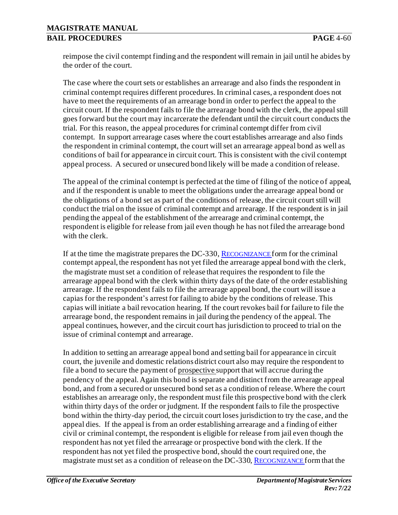reimpose the civil contempt finding and the respondent will remain in jail until he abides by the order of the court.

The case where the court sets or establishes an arrearage and also finds the respondent in criminal contempt requires different procedures. In criminal cases, a respondent does not have to meet the requirements of an arrearage bond in order to perfect the appeal to the circuit court. If the respondent fails to file the arrearage bond with the clerk, the appeal still goes forward but the court may incarcerate the defendant until the circuit court conducts the trial. For this reason, the appeal procedures for criminal contempt differ from civil contempt. In support arrearage cases where the court establishes arrearage and also finds the respondent in criminal contempt, the court will set an arrearage appeal bond as well as conditions of bail for appearance in circuit court. This is consistent with the civil contempt appeal process. A secured or unsecured bond likely will be made a condition of release.

The appeal of the criminal contempt is perfected at the time of filing of the notice of appeal, and if the respondent is unable to meet the obligations under the arrearage appeal bond or the obligations of a bond set as part of the conditions of release, the circuit court still will conduct the trial on the issue of criminal contempt and arrearage. If the respondent is in jail pending the appeal of the establishment of the arrearage and criminal contempt, the respondent is eligible for release from jail even though he has not filed the arrearage bond with the clerk.

If at the time the magistrate prepares the DC-330, R[ECOGNIZANCE](http://oesinet/forms/dcmasters/300s.pdf) form for the criminal contempt appeal, the respondent has not yet filed the arrearage appeal bond with the clerk, the magistrate must set a condition of release that requires the respondent to file the arrearage appeal bond with the clerk within thirty days of the date of the order establishing arrearage. If the respondent fails to file the arrearage appeal bond, the court will issue a capias for the respondent's arrest for failing to abide by the conditions of release. This capias will initiate a bail revocation hearing. If the court revokes bail for failure to file the arrearage bond, the respondent remains in jail during the pendency of the appeal. The appeal continues, however, and the circuit court has jurisdiction to proceed to trial on the issue of criminal contempt and arrearage.

In addition to setting an arrearage appeal bond and setting bail for appearance in circuit court, the juvenile and domestic relations district court also may require the respondent to file a bond to secure the payment of prospective support that will accrue during the pendency of the appeal. Again this bond is separate and distinct from the arrearage appeal bond, and from a secured or unsecured bond set as a condition of release. Where the court establishes an arrearage only, the respondent must file this prospective bond with the clerk within thirty days of the order or judgment. If the respondent fails to file the prospective bond within the thirty-day period, the circuit court loses jurisdiction to try the case, and the appeal dies. If the appeal is from an order establishing arrearage and a finding of either civil or criminal contempt, the respondent is eligible for release from jail even though the respondent has not yet filed the arrearage or prospective bond with the clerk. If the respondent has not yet filed the prospective bond, should the court required one, the magistrate must set as a condition of release on the DC-330, R[ECOGNIZANCE](http://oesinet/forms/dcmasters/300s.pdf) form that the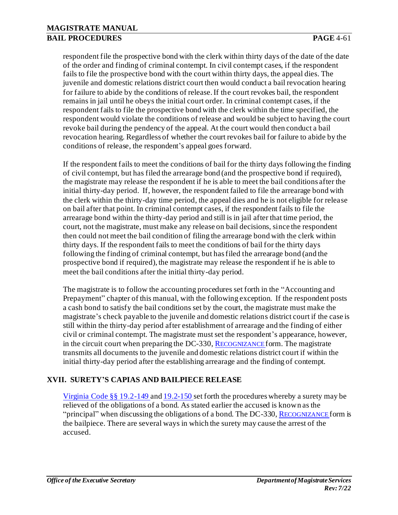respondent file the prospective bond with the clerk within thirty days of the date of the date of the order and finding of criminal contempt. In civil contempt cases, if the respondent fails to file the prospective bond with the court within thirty days, the appeal dies. The juvenile and domestic relations district court then would conduct a bail revocation hearing for failure to abide by the conditions of release. If the court revokes bail, the respondent remains in jail until he obeys the initial court order. In criminal contempt cases, if the respondent fails to file the prospective bond with the clerk within the time specified, the respondent would violate the conditions of release and would be subject to having the court revoke bail during the pendency of the appeal. At the court would then conduct a bail revocation hearing. Regardless of whether the court revokes bail for failure to abide by the conditions of release, the respondent's appeal goes forward.

If the respondent fails to meet the conditions of bail for the thirty days following the finding of civil contempt, but has filed the arrearage bond (and the prospective bond if required), the magistrate may release the respondent if he is able to meet the bail conditions after the initial thirty-day period. If, however, the respondent failed to file the arrearage bond with the clerk within the thirty-day time period, the appeal dies and he is not eligible for release on bail after that point. In criminal contempt cases, if the respondent fails to file the arrearage bond within the thirty-day period and still is in jail after that time period, the court, not the magistrate, must make any release on bail decisions, since the respondent then could not meet the bail condition of filing the arrearage bond with the clerk within thirty days. If the respondent fails to meet the conditions of bail for the thirty days following the finding of criminal contempt, but has filed the arrearage bond (and the prospective bond if required), the magistrate may release the respondent if he is able to meet the bail conditions after the initial thirty-day period.

The magistrate is to follow the accounting procedures set forth in the "Accounting and Prepayment" chapter of this manual, with the following exception. If the respondent posts a cash bond to satisfy the bail conditions set by the court, the magistrate must make the magistrate's check payable to the juvenile and domestic relations district court if the case is still within the thirty-day period after establishment of arrearage and the finding of either civil or criminal contempt. The magistrate must set the respondent's appearance, however, in the circuit court when preparing the DC-330, R[ECOGNIZANCE](http://oesinet/forms/dcmasters/300s.pdf) form. The magistrate transmits all documents to the juvenile and domestic relations district court if within the initial thirty-day period after the establishing arrearage and the finding of contempt.

## **XVII. SURETY'S CAPIAS AND BAILPIECE RELEASE**

Virginia Code §§ 19.2-149 and 19.2-150 set forth the procedures whereby a surety may be relieved of the obligations of a bond. As stated earlier the accused is known as the "principal" when discussing the obligations of a bond. The DC-330, R[ECOGNIZANCE](http://oesinet/forms/dcmasters/300s.pdf) form is the bailpiece. There are several ways in which the surety may cause the arrest of the accused.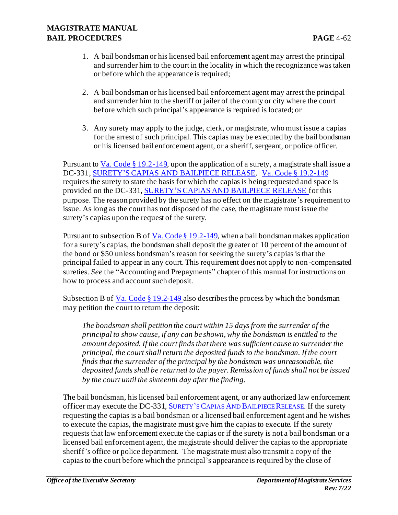- 1. A bail bondsman or his licensed bail enforcement agent may arrest the principal and surrender him to the court in the locality in which the recognizance was taken or before which the appearance is required;
- 2. A bail bondsman or his licensed bail enforcement agent may arrest the principal and surrender him to the sheriff or jailer of the county or city where the court before which such principal's appearance is required is located; or
- 3. Any surety may apply to the judge, clerk, or magistrate, who must issue a capias for the arrest of such principal. This capias may be executed by the bail bondsman or his licensed bail enforcement agent, or a sheriff, sergeant, or police officer.

Pursuant to  $Va$ . Code  $\S 19.2$ -149, upon the application of a surety, a magistrate shall issue a</u> DC-331, [SURETY'S CAPIAS AND BAILPIECE RELEASE.](http://www.courts.state.va.us/forms/district/dc331.pdf) Va. Code § 19.2-149 requires the surety to state the basis for which the capias is being requested and space is provided on the DC-331[, SURETY'S CAPIAS AND BAILPIECE RELEASE f](http://www.courts.state.va.us/forms/district/dc331.pdf)or this purpose. The reason provided by the surety has no effect on the magistrate's requirement to issue. As long as the court has not disposed of the case, the magistrate must issue the surety's capias upon the request of the surety.

Pursuant to subsection B of Va. Code  $\S 19.2$ -149, when a bail bondsman makes application for a surety's capias, the bondsman shall deposit the greater of 10 percent of the amount of the bond or \$50 unless bondsman's reason for seeking the surety's capias is that the principal failed to appear in any court. This requirement does not apply to non-compensated sureties. *See* the "Accounting and Prepayments" chapter of this manual for instructions on how to process and account such deposit.

Subsection B of  $Va$ . Code § 19.2-149 also describes the process by which the bondsman</u> may petition the court to return the deposit:

*The bondsman shall petition the court within 15 days from the surrender of the principal to show cause, if any can be shown, why the bondsman is entitled to the amount deposited. If the court finds that there was sufficient cause to surrender the principal, the court shall return the deposited funds to the bondsman. If the court finds that the surrender of the principal by the bondsman was unreasonable, the deposited funds shall be returned to the payer. Remission of funds shall not be issued by the court until the sixteenth day after the finding.*

The bail bondsman, his licensed bail enforcement agent, or any authorized law enforcement officer may execute the DC-331, SURETY'S CAPIAS AND B[AILPIECE](http://www.courts.state.va.us/forms/district/dc331.pdf) RELEASE. If the surety requesting the capias is a bail bondsman or a licensed bail enforcement agent and he wishes to execute the capias, the magistrate must give him the capias to execute. If the surety requests that law enforcement execute the capias or if the surety is not a bail bondsman or a licensed bail enforcement agent, the magistrate should deliver the capias to the appropriate sheriff's office or police department. The magistrate must also transmit a copy of the capias to the court before which the principal's appearance is required by the close of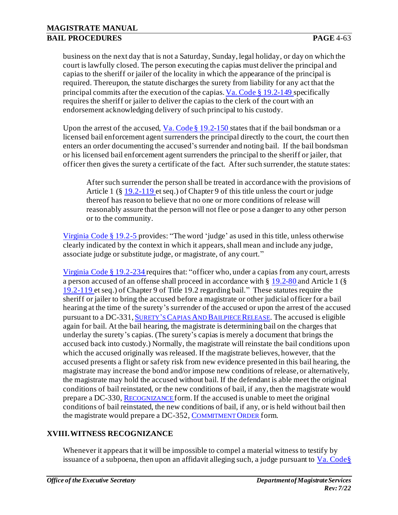business on the next day that is not a Saturday, Sunday, legal holiday, or day on which the court is lawfully closed. The person executing the capias must deliver the principal and capias to the sheriff or jailer of the locality in which the appearance of the principal is required. Thereupon, the statute discharges the surety from liability for any act that the principal commits after the execution of the capias. Va. Code § 19.2-149 specifically requires the sheriff or jailer to deliver the capias to the clerk of the court with an endorsement acknowledging delivery of such principal to his custody.

Upon the arrest of the accused, Va. Code  $\S 19.2$ -150 states that if the bail bondsman or a licensed bail enforcement agent surrenders the principal directly to the court, the court then enters an order documenting the accused's surrender and noting bail. If the bail bondsman or his licensed bail enforcement agent surrenders the principal to the sheriff or jailer, that officer then gives the surety a certificate of the fact. After such surrender, the statute states:

After such surrender the person shall be treated in accordance with the provisions of Article 1 (§ 19.2-119 et seq.) of Chapter 9 of this title unless the court or judge thereof has reason to believe that no one or more conditions of release will reasonably assure that the person will not flee or pose a danger to any other person or to the community.

Virginia Code § 19.2-5 provides: "The word 'judge' as used in this title, unless otherwise clearly indicated by the context in which it appears, shall mean and include any judge, associate judge or substitute judge, or magistrate, of any court."

Virginia Code § 19.2-234 requires that: "officer who, under a capias from any court, arrests a person accused of an offense shall proceed in accordance with § 19.2-80 and Article 1 (§ 19.2-119 et seq.) of Chapter 9 of Title 19.2 regarding bail." These statutes require the sheriff or jailer to bring the accused before a magistrate or other judicial officer for a bail hearing at the time of the surety's surrender of the accused or upon the arrest of the accused pursuant to a DC-331, SURETY'S CAPIAS AND B[AILPIECE](http://www.courts.state.va.us/forms/district/dc331.pdf) RELEASE. The accused is eligible again for bail. At the bail hearing, the magistrate is determining bail on the charges that underlay the surety's capias. (The surety's capias is merely a document that brings the accused back into custody.) Normally, the magistrate will reinstate the bail conditions upon which the accused originally was released. If the magistrate believes, however, that the accused presents a flight or safety risk from new evidence presented in this bail hearing, the magistrate may increase the bond and/or impose new conditions of release, or alternatively, the magistrate may hold the accused without bail. If the defendant is able meet the original conditions of bail reinstated, or the new conditions of bail, if any, then the magistrate would prepare a DC-330, R[ECOGNIZANCE](http://oesinet/forms/dcmasters/300s.pdf) form. If the accused is unable to meet the original conditions of bail reinstated, the new conditions of bail, if any, or is held without bail then the magistrate would prepare a DC-352, C[OMMITMENT](http://oesinet/forms/dcmasters/300s.pdf) ORDER form.

## **XVIII.WITNESS RECOGNIZANCE**

Whenever it appears that it will be impossible to compel a material witness to testify by issuance of a subpoena, then upon an affidavit alleging such, a judge pursuant to  $Va$ . Code§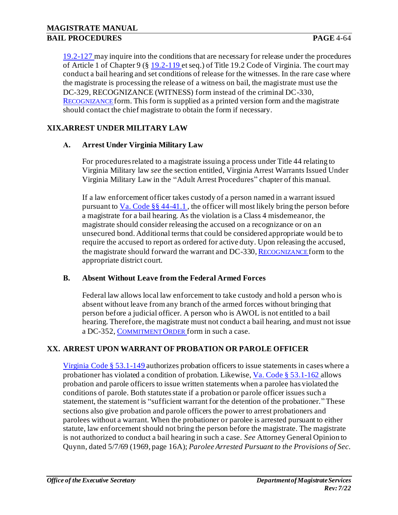[19.2-127](https://law.lis.virginia.gov/vacode/title19.2/chapter9/section19.2-127/) may inquire into the conditions that are necessary for release under the procedures of Article 1 of Chapter 9 ([§ 19.2-119](https://law.lis.virginia.gov/vacode/title19.2/chapter9/section19.2-119/) et seq.) of Title 19.2 Code of Virginia. The court may conduct a bail hearing and set conditions of release for the witnesses. In the rare case where the magistrate is processing the release of a witness on bail, the magistrate must use the DC-329, RECOGNIZANCE (WITNESS) form instead of the criminal DC-330, R[ECOGNIZANCE](http://oesinet/forms/dcmasters/300s.pdf) form. This form is supplied as a printed version form and the magistrate should contact the chief magistrate to obtain the form if necessary.

## **XIX.ARREST UNDER MILITARY LAW**

### **A. Arrest Under Virginia Military Law**

For procedures related to a magistrate issuing a process under Title 44 relating to Virginia Military law *see* the section entitled, Virginia Arrest Warrants Issued Under Virginia Military Law in the "Adult Arrest Procedures" chapter of this manual.

If a law enforcement officer takes custody of a person named in a warrant issued pursuant to  $Va$ . Code §§ 44-41.1, the officer will most likely bring the person before</u> a magistrate for a bail hearing. As the violation is a Class 4 misdemeanor, the magistrate should consider releasing the accused on a recognizance or on an unsecured bond. Additional terms that could be considered appropriate would be to require the accused to report as ordered for active duty. Upon releasing the accused, the magistrate should forward the warrant and DC-330, R[ECOGNIZANCE](http://oesinet/forms/dcmasters/300s.pdf) form to the appropriate district court.

#### **B. Absent Without Leave from the Federal Armed Forces**

Federal law allows local law enforcement to take custody and hold a person who is absent without leave from any branch of the armed forces without bringing that person before a judicial officer. A person who is AWOL is not entitled to a bail hearing. Therefore, the magistrate must not conduct a bail hearing, and must not issue a DC-352, C[OMMITMENT](http://oesinet/forms/dcmasters/300s.pdf) ORDER form in such a case.

# **XX. ARREST UPON WARRANT OF PROBATION OR PAROLE OFFICER**

[Virginia Code § 53.1-149](https://law.lis.virginia.gov/vacode/title53.1/chapter4/section53.1-149/) authorizes probation officers to issue statements in cases where a probationer has violated a condition of probation. Likewise[, Va. Code § 53.1-162](https://law.lis.virginia.gov/vacode/title53.1/chapter4/section53.1-162/) allows probation and parole officers to issue written statements when a parolee has violated the conditions of parole. Both statutes state if a probation or parole officer issues such a statement, the statement is "sufficient warrant for the detention of the probationer." These sections also give probation and parole officers the power to arrest probationers and parolees without a warrant. When the probationer or parolee is arrested pursuant to either statute, law enforcement should not bring the person before the magistrate. The magistrate is not authorized to conduct a bail hearing in such a case. *See* Attorney General Opinion to Quynn, dated 5/7/69 (1969, page 16A); *Parolee Arrested Pursuant to the Provisions of Sec.*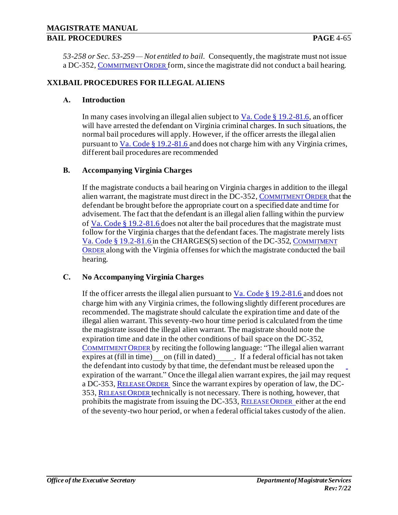*53-258 or Sec. 53-259 — Not entitled to bail*. Consequently, the magistrate must not issue a DC-352, C[OMMITMENT](http://oesinet/forms/dcmasters/300s.pdf) ORDER form, since the magistrate did not conduct a bail hearing.

### **XXI.BAIL PROCEDURES FOR ILLEGAL ALIENS**

### **A. Introduction**

In many cases involving an illegal alien subject to  $Va$ . Code  $\S 19.2-81.6$ , an officer will have arrested the defendant on Virginia criminal charges. In such situations, the normal bail procedures will apply. However, if the officer arrests the illegal alien pursuant to Va. Code § 19.2-81.6 and does not charge him with any Virginia crimes, different bail procedures are recommended

#### **B. Accompanying Virginia Charges**

If the magistrate conducts a bail hearing on Virginia charges in addition to the illegal alien warrant, the magistrate must direct in the DC-352, C[OMMITMENT](http://oesinet/forms/dcmasters/300s.pdf) ORDER that the defendant be brought before the appropriate court on a specified date and time for advisement. The fact that the defendant is an illegal alien falling within the purview of Va. Code § 19.2-81.6 does not alter the bail procedures that the magistrate must follow for the Virginia charges that the defendant faces. The magistrate merely lists Va. Code § 19.2-81.6 in the CHARGES(S) section of the DC-352, C[OMMITMENT](http://oesinet/forms/dcmasters/300s.pdf)  O[RDER](http://oesinet/forms/dcmasters/300s.pdf) along with the Virginia offenses for which the magistrate conducted the bail hearing.

#### **C. No Accompanying Virginia Charges**

If the officer arrests the illegal alien pursuant to  $Va$ . Code § 19.2-81.6 and does not charge him with any Virginia crimes, the following slightly different procedures are recommended. The magistrate should calculate the expiration time and date of the illegal alien warrant. This seventy-two hour time period is calculated from the time the magistrate issued the illegal alien warrant. The magistrate should note the expiration time and date in the other conditions of bail space on the DC-352, C[OMMITMENT](http://oesinet/forms/dcmasters/300s.pdf) ORDER by reciting the following language: "The illegal alien warrant  $express$  at (fill in time) on (fill in dated)  $\qquad \qquad$ . If a federal official has not taken the defendant into custody by that time, the defendant must be released upon the expiration of the warrant." Once the illegal alien warrant expires, the jail may request a DC-353, R[ELEASE](http://oesinet/forms/dcmasters/300s.pdf) ORDER Since the warrant expires by operation of law, the DC-353, R[ELEASE](http://oesinet/forms/dcmasters/300s.pdf) ORDER technically is not necessary. There is nothing, however, that prohibits the magistrate from issuing the DC-353, R[ELEASE](http://oesinet/forms/dcmasters/300s.pdf) ORDER either at the end of the seventy-two hour period, or when a federal official takes custody of the alien.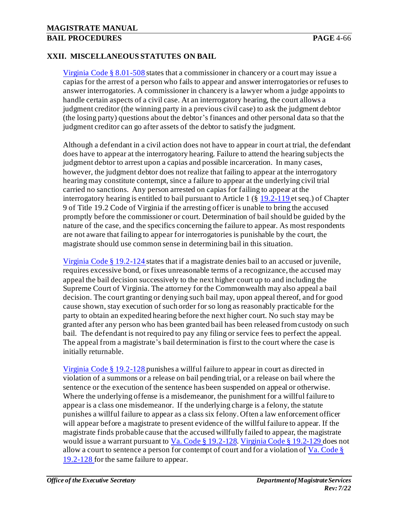### **MAGISTRATE MANUAL BAIL PROCEDURES PAGE** 4-66

### **XXII. MISCELLANEOUS STATUTES ON BAIL**

Virginia Code § 8.01-508 states that a commissioner in chancery or a court may issue a capias for the arrest of a person who fails to appear and answer interrogatories or refuses to answer interrogatories. A commissioner in chancery is a lawyer whom a judge appoints to handle certain aspects of a civil case. At an interrogatory hearing, the court allows a judgment creditor (the winning party in a previous civil case) to ask the judgment debtor (the losing party) questions about the debtor's finances and other personal data so that the judgment creditor can go after assets of the debtor to satisfy the judgment.

Although a defendant in a civil action does not have to appear in court at trial, the defendant does have to appear at the interrogatory hearing. Failure to attend the hearing subjects the judgment debtor to arrest upon a capias and possible incarceration. In many cases, however, the judgment debtor does not realize that failing to appear at the interrogatory hearing may constitute contempt, since a failure to appear at the underlying civil trial carried no sanctions. Any person arrested on capias for failing to appear at the interrogatory hearing is entitled to bail pursuant to Article 1 (§ 19.2-119 et seq.) of Chapter 9 of Title 19.2 Code of Virginia if the arresting officer is unable to bring the accused promptly before the commissioner or court. Determination of bail should be guided by the nature of the case, and the specifics concerning the failure to appear. As most respondents are not aware that failing to appear for interrogatories is punishable by the court, the magistrate should use common sense in determining bail in this situation.

Virginia Code § 19.2-124 states that if a magistrate denies bail to an accused or juvenile, requires excessive bond, or fixes unreasonable terms of a recognizance, the accused may appeal the bail decision successively to the next higher court up to and including the Supreme Court of Virginia. The attorney for the Commonwealth may also appeal a bail decision. The court granting or denying such bail may, upon appeal thereof, and for good cause shown, stay execution of such order for so long as reasonably practicable for the party to obtain an expedited hearing before the next higher court. No such stay may be granted after any person who has been granted bail has been released from custody on such bail. The defendant is not required to pay any filing or service fees to perfect the appeal. The appeal from a magistrate's bail determination is first to the court where the case is initially returnable.

Virginia Code § 19.2-128 punishes a willful failure to appear in court as directed in violation of a summons or a release on bail pending trial, or a release on bail where the sentence or the execution of the sentence has been suspended on appeal or otherwise. Where the underlying offense is a misdemeanor, the punishment for a willful failure to appear is a class one misdemeanor. If the underlying charge is a felony, the statute punishes a willful failure to appear as a class six felony. Often a law enforcement officer will appear before a magistrate to present evidence of the willful failure to appear. If the magistrate finds probable cause that the accused willfully failed to appear, the magistrate would issue a warrant pursuant to Va. Code § 19.2-128. Virginia Code § 19.2-129 does not allow a court to sentence a person for contempt of court and for a violation of  $Va$ . Code §</u> 19.2-128 for the same failure to appear.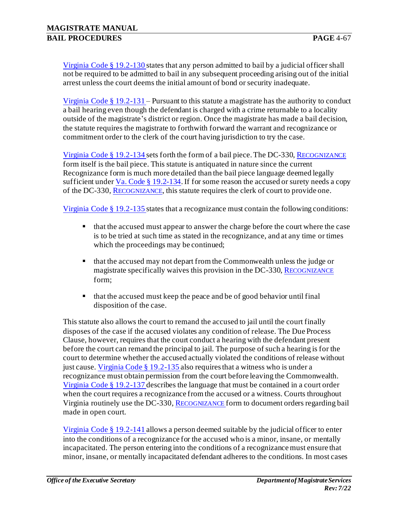Virginia Code § 19.2-130 states that any person admitted to bail by a judicial officer shall not be required to be admitted to bail in any subsequent proceeding arising out of the initial arrest unless the court deems the initial amount of bond or security inadequate.

Virginia Code § 19.2-131 – Pursuant to this statute a magistrate has the authority to conduct a bail hearing even though the defendant is charged with a crime returnable to a locality outside of the magistrate's district or region. Once the magistrate has made a bail decision, the statute requires the magistrate to forthwith forward the warrant and recognizance or commitment order to the clerk of the court having jurisdiction to try the case.

Virginia Code § 19.2-134 sets forth the form of a bail piece. The DC-330, R[ECOGNIZANCE](http://oesinet/forms/dcmasters/300s.pdf) form itself is the bail piece. This statute is antiquated in nature since the current Recognizance form is much more detailed than the bail piece language deemed legally sufficient under Va. Code  $\S 19.2 - 134$ . If for some reason the accused or surety needs a copy of the DC-330, R[ECOGNIZANCE](http://oesinet/forms/dcmasters/300s.pdf), this statute requires the clerk of court to provide one.

Virginia Code § 19.2-135 states that a recognizance must contain the following conditions:

- that the accused must appear to answer the charge before the court where the case is to be tried at such time as stated in the recognizance, and at any time or times which the proceedings may be continued;
- that the accused may not depart from the Commonwealth unless the judge or magistrate specifically waives this provision in the DC-330, R[ECOGNIZANCE](http://oesinet/forms/dcmasters/300s.pdf) form;
- that the accused must keep the peace and be of good behavior until final disposition of the case.

This statute also allows the court to remand the accused to jail until the court finally disposes of the case if the accused violates any condition of release. The Due Process Clause, however, requires that the court conduct a hearing with the defendant present before the court can remand the principal to jail. The purpose of such a hearing is for the court to determine whether the accused actually violated the conditions of release without just cause. Virginia Code § 19.2-135 also requires that a witness who is under a recognizance must obtain permission from the court before leaving the Commonwealth. Virginia Code § 19.2-137 describes the language that must be contained in a court order when the court requires a recognizance from the accused or a witness. Courts throughout Virginia routinely use the DC-330, R[ECOGNIZANCE](http://oesinet/forms/dcmasters/300s.pdf) form to document orders regarding bail made in open court.

Virginia Code § 19.2-141 allows a person deemed suitable by the judicial officer to enter into the conditions of a recognizance for the accused who is a minor, insane, or mentally incapacitated. The person entering into the conditions of a recognizance must ensure that minor, insane, or mentally incapacitated defendant adheres to the conditions. In most cases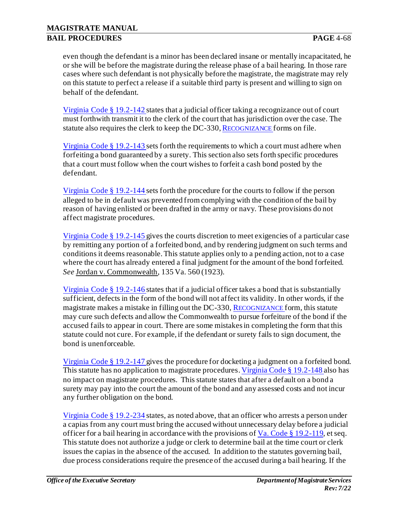even though the defendant is a minor has been declared insane or mentally incapacitated, he or she will be before the magistrate during the release phase of a bail hearing. In those rare cases where such defendant is not physically before the magistrate, the magistrate may rely on this statute to perfect a release if a suitable third party is present and willing to sign on behalf of the defendant.

Virginia Code § 19.2-142 states that a judicial officer taking a recognizance out of court must forthwith transmit it to the clerk of the court that has jurisdiction over the case. The statute also requires the clerk to keep the DC-330, R[ECOGNIZANCE](http://oesinet/forms/dcmasters/300s.pdf) forms on file.

Virginia Code § 19.2-143 sets forth the requirements to which a court must adhere when forfeiting a bond guaranteed by a surety. This section also sets forth specific procedures that a court must follow when the court wishes to forfeit a cash bond posted by the defendant.

Virginia Code § 19.2-144 sets forth the procedure for the courts to follow if the person alleged to be in default was prevented from complying with the condition of the bail by reason of having enlisted or been drafted in the army or navy. These provisions do not affect magistrate procedures.

Virginia Code § 19.2-145 gives the courts discretion to meet exigencies of a particular case by remitting any portion of a forfeited bond, and by rendering judgment on such terms and conditions it deems reasonable. This statute applies only to a pending action, not to a case where the court has already entered a final judgment for the amount of the bond forfeited. *See* Jordan v. Commonwealth, 135 Va. 560 (1923).

Virginia Code § 19.2-146 states that if a judicial officer takes a bond that is substantially sufficient, defects in the form of the bond will not affect its validity. In other words, if the magistrate makes a mistake in filling out the DC-330, R[ECOGNIZANCE](http://oesinet/forms/dcmasters/300s.pdf) form, this statute may cure such defects and allow the Commonwealth to pursue forfeiture of the bond if the accused fails to appear in court. There are some mistakes in completing the form that this statute could not cure. For example, if the defendant or surety fails to sign document, the bond is unenforceable.

Virginia Code § 19.2-147 gives the procedure for docketing a judgment on a forfeited bond. This statute has no application to magistrate procedures. Virginia Code § 19.2-148 also has no impact on magistrate procedures. This statute states that after a default on a bond a surety may pay into the court the amount of the bond and any assessed costs and not incur any further obligation on the bond.

Virginia Code § 19.2-234 states, as noted above, that an officer who arrests a person under a capias from any court must bring the accused without unnecessary delay before a judicial officer for a bail hearing in accordance with the provisions of  $Va$ . Code § 19.2-119, et seq.</u> This statute does not authorize a judge or clerk to determine bail at the time court or clerk issues the capias in the absence of the accused. In addition to the statutes governing bail, due process considerations require the presence of the accused during a bail hearing. If the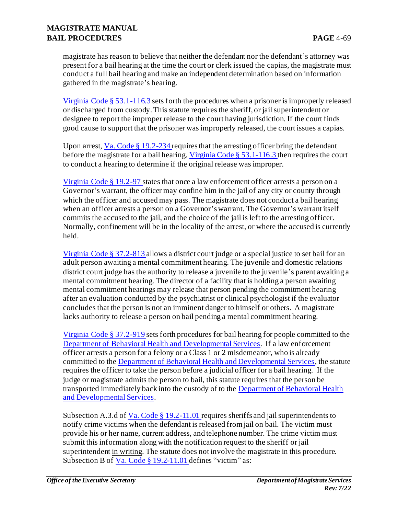magistrate has reason to believe that neither the defendant nor the defendant's attorney was present for a bail hearing at the time the court or clerk issued the capias, the magistrate must conduct a full bail hearing and make an independent determination based on information gathered in the magistrate's hearing.

Virginia Code § 53.1-116.3 sets forth the procedures when a prisoner is improperly released or discharged from custody. This statute requires the sheriff, or jail superintendent or designee to report the improper release to the court having jurisdiction. If the court finds good cause to support that the prisoner was improperly released, the court issues a capias.

Upon arrest,  $Va$ . Code § 19.2-234 requires that the arresting officer bring the defendant</u> before the magistrate for a bail hearing. Virginia Code § 53.1-116.3 then requires the court to conduct a hearing to determine if the original release was improper.

Virginia Code § 19.2-97 states that once a law enforcement officer arrests a person on a Governor's warrant, the officer may confine him in the jail of any city or county through which the officer and accused may pass. The magistrate does not conduct a bail hearing when an officer arrests a person on a Governor's warrant. The Governor's warrant itself commits the accused to the jail, and the choice of the jail is left to the arresting officer. Normally, confinement will be in the locality of the arrest, or where the accused is currently held.

Virginia Code § 37.2-813 allows a district court judge or a special justice to set bail for an adult person awaiting a mental commitment hearing. The juvenile and domestic relations district court judge has the authority to release a juvenile to the juvenile's parent awaiting a mental commitment hearing. The director of a facility that is holding a person awaiting mental commitment hearings may release that person pending the commitment hearing after an evaluation conducted by the psychiatrist or clinical psychologist if the evaluator concludes that the person is not an imminent danger to himself or others. A magistrate lacks authority to release a person on bail pending a mental commitment hearing.

Virginia Code § 37.2-919 sets forth procedures for bail hearing for people committed to the [Department of Behavioral Health and Developmental Services.](http://www.dmhmrsas.virginia.gov/) If a law enforcement officer arrests a person for a felony or a Class 1 or 2 misdemeanor, who is already committed to the [Department of Behavioral Health and Developmental Services](http://www.dmhmrsas.virginia.gov/), the statute requires the officer to take the person before a judicial officer for a bail hearing. If the judge or magistrate admits the person to bail, this statute requires that the person be transported immediately back into the custody of to th[e Department of Behavioral Health](http://www.dmhmrsas.virginia.gov/) [and Developmental Services.](http://www.dmhmrsas.virginia.gov/)

Subsection A.3.d of Va. Code § 19.2-11.01 requires sheriffs and jail superintendents to notify crime victims when the defendant is released from jail on bail. The victim must provide his or her name, current address, and telephone number. The crime victim must submit this information along with the notification request to the sheriff or jail superintendent in writing. The statute does not involve the magistrate in this procedure. Subsection B of Va. Code § 19.2-11.01 defines "victim" as: